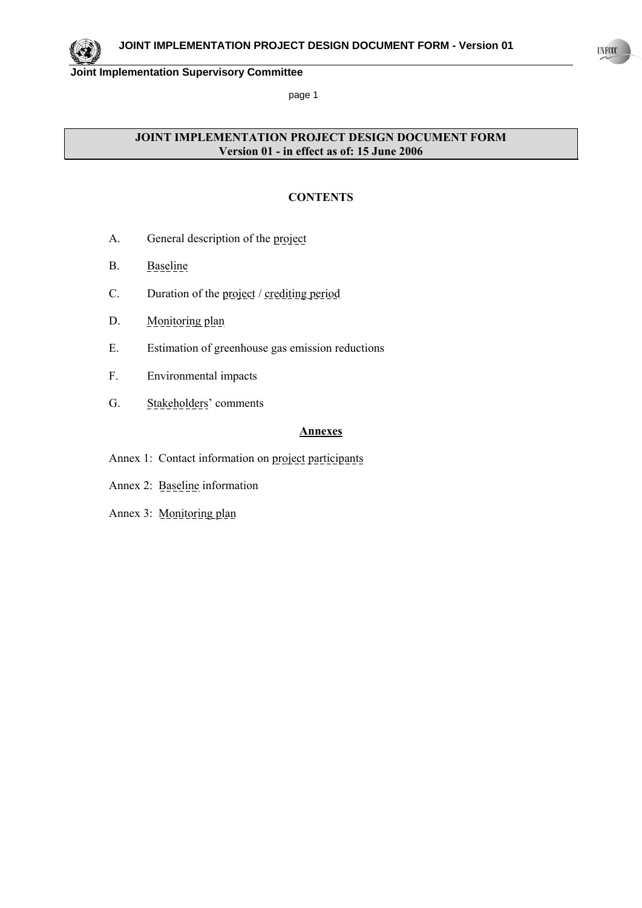

page 1

# **JOINT IMPLEMENTATION PROJECT DESIGN DOCUMENT FORM Version 01 - in effect as of: 15 June 2006**

### **CONTENTS**

- A. General description of the project
- B. Baseline
- C. Duration of the project / crediting period
- D. Monitoring plan
- E. Estimation of greenhouse gas emission reductions
- F. Environmental impacts
- G. Stakeholders' comments

### **Annexes**

- Annex 1: Contact information on project participants
- Annex 2: Baseline information
- Annex 3: Monitoring plan

 $UNFCCC$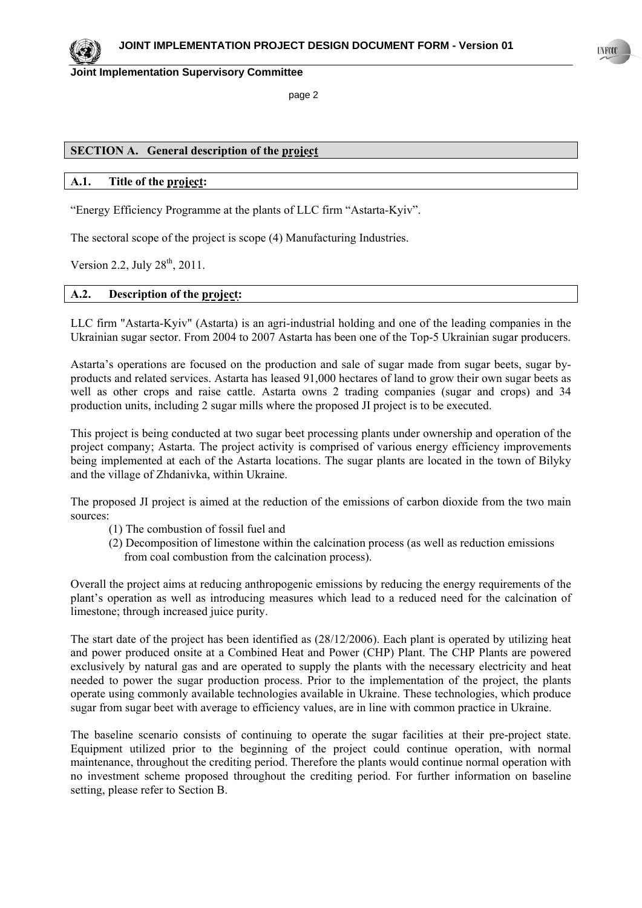page 2

## **SECTION A. General description of the project**

### **A.1. Title of the project:**

"Energy Efficiency Programme at the plants of LLC firm "Astarta-Kyiv".

The sectoral scope of the project is scope (4) Manufacturing Industries.

Version 2.2, July  $28^{th}$ , 2011.

### **A.2. Description of the project:**

LLC firm "Astarta-Kyiv" (Astarta) is an agri-industrial holding and one of the leading companies in the Ukrainian sugar sector. From 2004 to 2007 Astarta has been one of the Top-5 Ukrainian sugar producers.

Astarta's operations are focused on the production and sale of sugar made from sugar beets, sugar byproducts and related services. Astarta has leased 91,000 hectares of land to grow their own sugar beets as well as other crops and raise cattle. Astarta owns 2 trading companies (sugar and crops) and 34 production units, including 2 sugar mills where the proposed JI project is to be executed.

This project is being conducted at two sugar beet processing plants under ownership and operation of the project company; Astarta. The project activity is comprised of various energy efficiency improvements being implemented at each of the Astarta locations. The sugar plants are located in the town of Bilyky and the village of Zhdanivka, within Ukraine.

The proposed JI project is aimed at the reduction of the emissions of carbon dioxide from the two main sources:

- (1) The combustion of fossil fuel and
- (2) Decomposition of limestone within the calcination process (as well as reduction emissions from coal combustion from the calcination process).

Overall the project aims at reducing anthropogenic emissions by reducing the energy requirements of the plant's operation as well as introducing measures which lead to a reduced need for the calcination of limestone; through increased juice purity.

The start date of the project has been identified as (28/12/2006). Each plant is operated by utilizing heat and power produced onsite at a Combined Heat and Power (CHP) Plant. The CHP Plants are powered exclusively by natural gas and are operated to supply the plants with the necessary electricity and heat needed to power the sugar production process. Prior to the implementation of the project, the plants operate using commonly available technologies available in Ukraine. These technologies, which produce sugar from sugar beet with average to efficiency values, are in line with common practice in Ukraine.

The baseline scenario consists of continuing to operate the sugar facilities at their pre-project state. Equipment utilized prior to the beginning of the project could continue operation, with normal maintenance, throughout the crediting period. Therefore the plants would continue normal operation with no investment scheme proposed throughout the crediting period. For further information on baseline setting, please refer to Section B.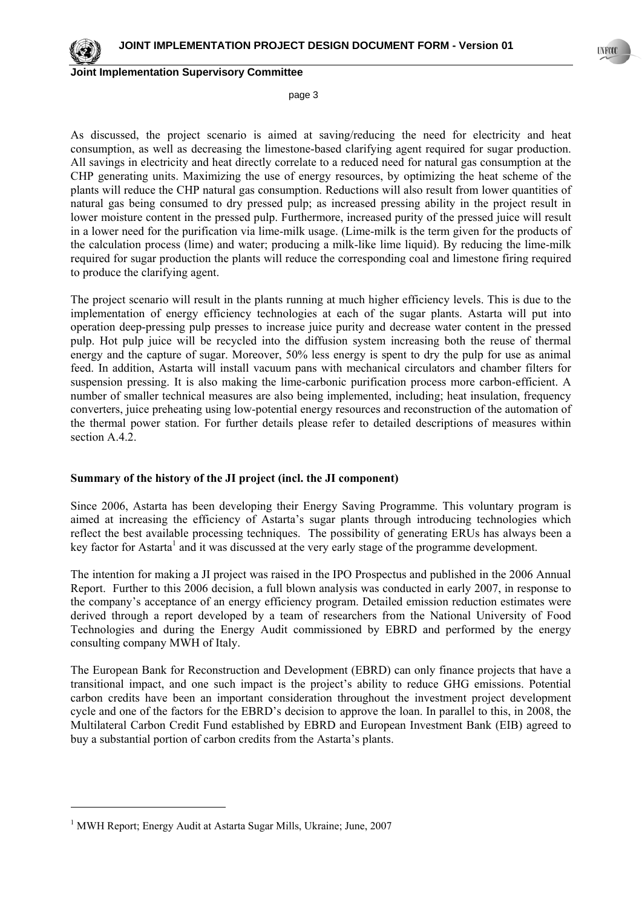page 3

As discussed, the project scenario is aimed at saving/reducing the need for electricity and heat consumption, as well as decreasing the limestone-based clarifying agent required for sugar production. All savings in electricity and heat directly correlate to a reduced need for natural gas consumption at the CHP generating units. Maximizing the use of energy resources, by optimizing the heat scheme of the plants will reduce the CHP natural gas consumption. Reductions will also result from lower quantities of natural gas being consumed to dry pressed pulp; as increased pressing ability in the project result in lower moisture content in the pressed pulp. Furthermore, increased purity of the pressed juice will result in a lower need for the purification via lime-milk usage. (Lime-milk is the term given for the products of the calculation process (lime) and water; producing a milk-like lime liquid). By reducing the lime-milk required for sugar production the plants will reduce the corresponding coal and limestone firing required to produce the clarifying agent.

The project scenario will result in the plants running at much higher efficiency levels. This is due to the implementation of energy efficiency technologies at each of the sugar plants. Astarta will put into operation deep-pressing pulp presses to increase juice purity and decrease water content in the pressed pulp. Hot pulp juice will be recycled into the diffusion system increasing both the reuse of thermal energy and the capture of sugar. Moreover, 50% less energy is spent to dry the pulp for use as animal feed. In addition, Astarta will install vacuum pans with mechanical circulators and chamber filters for suspension pressing. It is also making the lime-carbonic purification process more carbon-efficient. A number of smaller technical measures are also being implemented, including; heat insulation, frequency converters, juice preheating using low-potential energy resources and reconstruction of the automation of the thermal power station. For further details please refer to detailed descriptions of measures within section A.4.2.

### **Summary of the history of the JI project (incl. the JI component)**

Since 2006, Astarta has been developing their Energy Saving Programme. This voluntary program is aimed at increasing the efficiency of Astarta's sugar plants through introducing technologies which reflect the best available processing techniques. The possibility of generating ERUs has always been a key factor for Astarta<sup>1</sup> and it was discussed at the very early stage of the programme development.

The intention for making a JI project was raised in the IPO Prospectus and published in the 2006 Annual Report. Further to this 2006 decision, a full blown analysis was conducted in early 2007, in response to the company's acceptance of an energy efficiency program. Detailed emission reduction estimates were derived through a report developed by a team of researchers from the National University of Food Technologies and during the Energy Audit commissioned by EBRD and performed by the energy consulting company MWH of Italy.

The European Bank for Reconstruction and Development (EBRD) can only finance projects that have a transitional impact, and one such impact is the project's ability to reduce GHG emissions. Potential carbon credits have been an important consideration throughout the investment project development cycle and one of the factors for the EBRD's decision to approve the loan. In parallel to this, in 2008, the Multilateral Carbon Credit Fund established by EBRD and European Investment Bank (EIB) agreed to buy a substantial portion of carbon credits from the Astarta's plants.



<sup>&</sup>lt;sup>1</sup> MWH Report; Energy Audit at Astarta Sugar Mills, Ukraine; June, 2007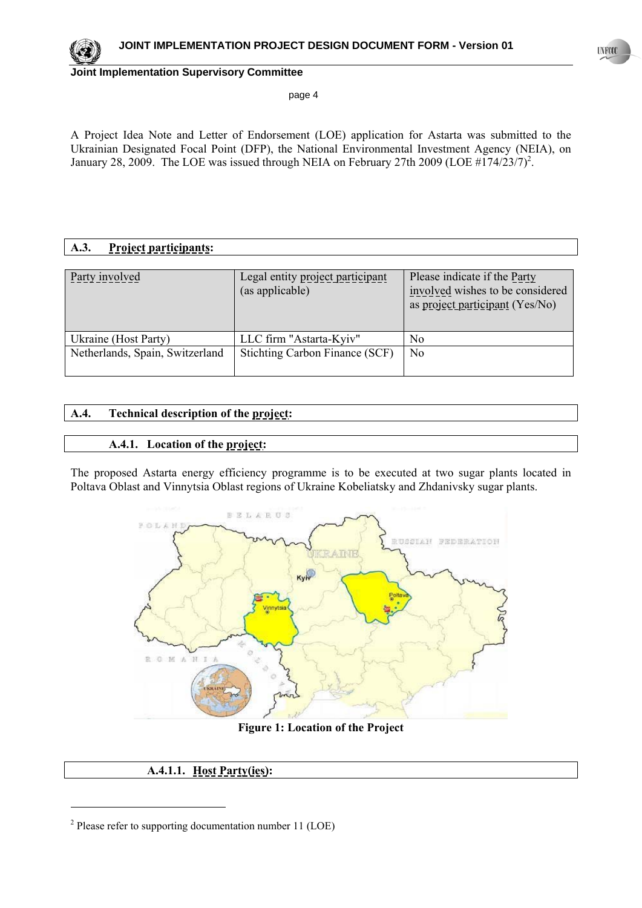

page 4

A Project Idea Note and Letter of Endorsement (LOE) application for Astarta was submitted to the Ukrainian Designated Focal Point (DFP), the National Environmental Investment Agency (NEIA), on January 28, 2009. The LOE was issued through NEIA on February 27th 2009 (LOE  $\#174/23/7$ )<sup>2</sup>.

# **A.3. Project participants:**

| Party involved                  | Legal entity project participant<br>(as applicable) | Please indicate if the Party<br>involved wishes to be considered<br>as project participant (Yes/No) |
|---------------------------------|-----------------------------------------------------|-----------------------------------------------------------------------------------------------------|
| Ukraine (Host Party)            | LLC firm "Astarta-Kyiv"                             | No                                                                                                  |
| Netherlands, Spain, Switzerland | Stichting Carbon Finance (SCF)                      | N <sub>o</sub>                                                                                      |

# **A.4. Technical description of the project:**

### **A.4.1. Location of the project:**

The proposed Astarta energy efficiency programme is to be executed at two sugar plants located in Poltava Oblast and Vinnytsia Oblast regions of Ukraine Kobeliatsky and Zhdanivsky sugar plants.



### **Figure 1: Location of the Project**

# **A.4.1.1. Host Party(ies):**

 $2$  Please refer to supporting documentation number 11 (LOE)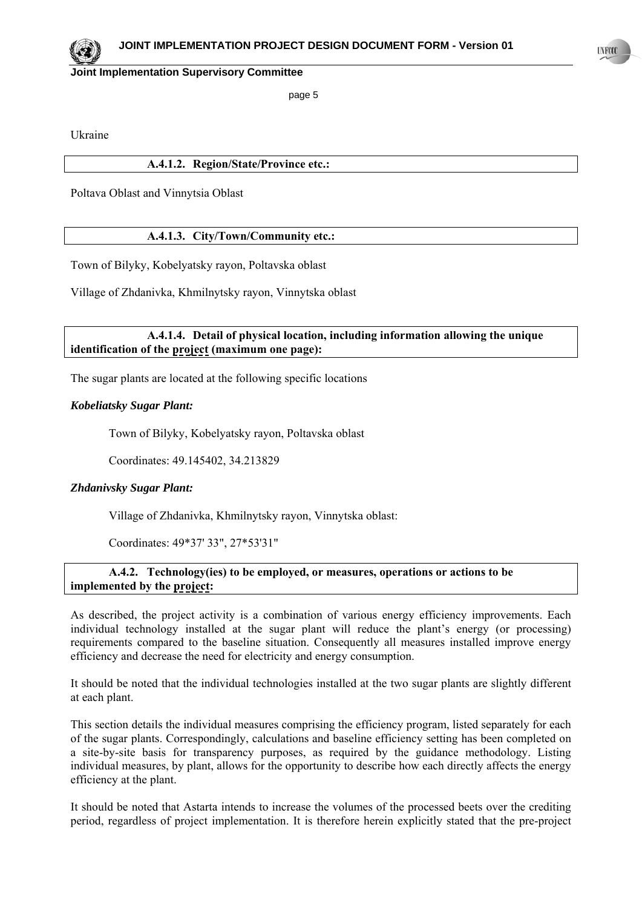page 5

Ukraine

### **A.4.1.2. Region/State/Province etc.:**

Poltava Oblast and Vinnytsia Oblast

### **A.4.1.3. City/Town/Community etc.:**

Town of Bilyky, Kobelyatsky rayon, Poltavska oblast

Village of Zhdanivka, Khmilnytsky rayon, Vinnytska oblast

### **A.4.1.4. Detail of physical location, including information allowing the unique**  identification of the project (maximum one page):

The sugar plants are located at the following specific locations

### *Kobeliatsky Sugar Plant:*

Town of Bilyky, Kobelyatsky rayon, Poltavska oblast

Coordinates: 49.145402, 34.213829

### *Zhdanivsky Sugar Plant:*

Village of Zhdanivka, Khmilnytsky rayon, Vinnytska oblast:

Coordinates: 49\*37' 33", 27\*53'31"

### **A.4.2. Technology(ies) to be employed, or measures, operations or actions to be implemented by the project:**

As described, the project activity is a combination of various energy efficiency improvements. Each individual technology installed at the sugar plant will reduce the plant's energy (or processing) requirements compared to the baseline situation. Consequently all measures installed improve energy efficiency and decrease the need for electricity and energy consumption.

It should be noted that the individual technologies installed at the two sugar plants are slightly different at each plant.

This section details the individual measures comprising the efficiency program, listed separately for each of the sugar plants. Correspondingly, calculations and baseline efficiency setting has been completed on a site-by-site basis for transparency purposes, as required by the guidance methodology. Listing individual measures, by plant, allows for the opportunity to describe how each directly affects the energy efficiency at the plant.

It should be noted that Astarta intends to increase the volumes of the processed beets over the crediting period, regardless of project implementation. It is therefore herein explicitly stated that the pre-project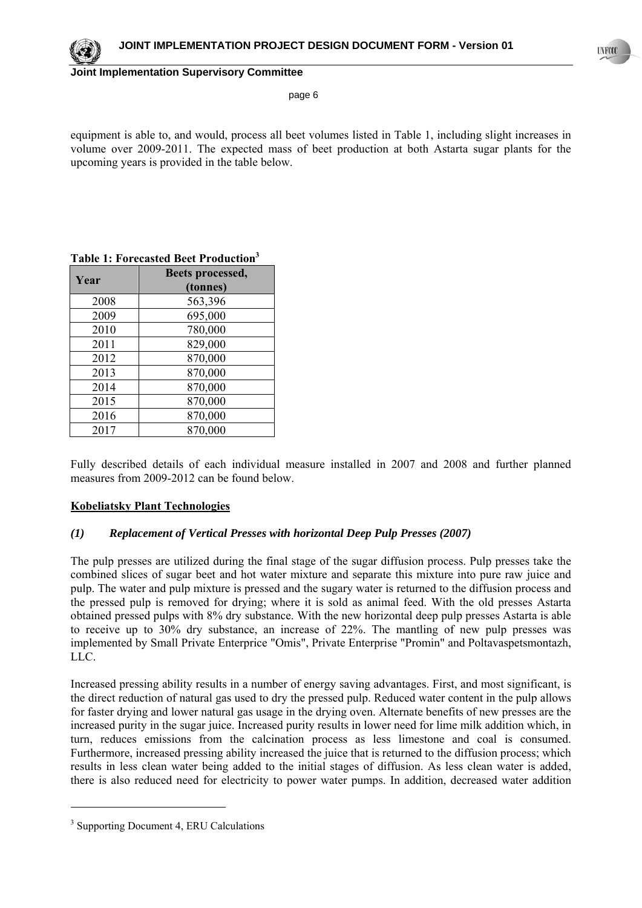

page 6

equipment is able to, and would, process all beet volumes listed in Table 1, including slight increases in volume over 2009-2011. The expected mass of beet production at both Astarta sugar plants for the upcoming years is provided in the table below.

| Year | Beets processed, |
|------|------------------|
|      | (tonnes)         |
| 2008 | 563,396          |
| 2009 | 695,000          |
| 2010 | 780,000          |
| 2011 | 829,000          |
| 2012 | 870,000          |
| 2013 | 870,000          |
| 2014 | 870,000          |
| 2015 | 870,000          |
| 2016 | 870,000          |
| 2017 | 870,000          |

### **Table 1: Forecasted Beet Production3**

Fully described details of each individual measure installed in 2007 and 2008 and further planned measures from 2009-2012 can be found below.

### **Kobeliatsky Plant Technologies**

### *(1) Replacement of Vertical Presses with horizontal Deep Pulp Presses (2007)*

The pulp presses are utilized during the final stage of the sugar diffusion process. Pulp presses take the combined slices of sugar beet and hot water mixture and separate this mixture into pure raw juice and pulp. The water and pulp mixture is pressed and the sugary water is returned to the diffusion process and the pressed pulp is removed for drying; where it is sold as animal feed. With the old presses Astarta obtained pressed pulps with 8% dry substance. With the new horizontal deep pulp presses Astarta is able to receive up to 30% dry substance, an increase of 22%. The mantling of new pulp presses was implemented by Small Private Enterprice "Оmis", Private Enterprise "Promin" and Poltavaspetsmontazh, LLC.

Increased pressing ability results in a number of energy saving advantages. First, and most significant, is the direct reduction of natural gas used to dry the pressed pulp. Reduced water content in the pulp allows for faster drying and lower natural gas usage in the drying oven. Alternate benefits of new presses are the increased purity in the sugar juice. Increased purity results in lower need for lime milk addition which, in turn, reduces emissions from the calcination process as less limestone and coal is consumed. Furthermore, increased pressing ability increased the juice that is returned to the diffusion process; which results in less clean water being added to the initial stages of diffusion. As less clean water is added, there is also reduced need for electricity to power water pumps. In addition, decreased water addition

<sup>&</sup>lt;sup>3</sup> Supporting Document 4, ERU Calculations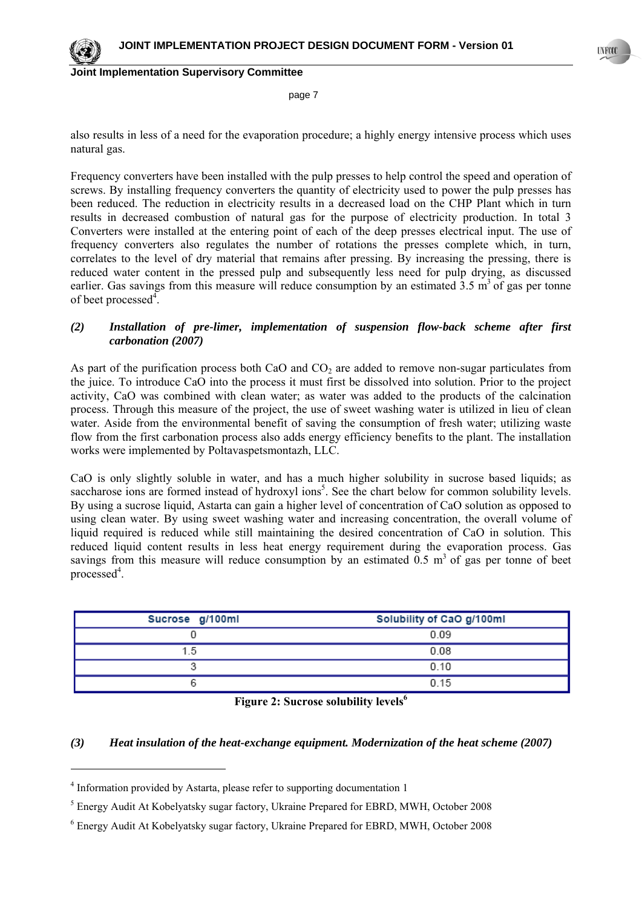

 $\overline{\phantom{a}}$ 

**UNFCCC** 

**Joint Implementation Supervisory Committee**

page 7

also results in less of a need for the evaporation procedure; a highly energy intensive process which uses natural gas.

Frequency converters have been installed with the pulp presses to help control the speed and operation of screws. By installing frequency converters the quantity of electricity used to power the pulp presses has been reduced. The reduction in electricity results in a decreased load on the CHP Plant which in turn results in decreased combustion of natural gas for the purpose of electricity production. In total 3 Converters were installed at the entering point of each of the deep presses electrical input. The use of frequency converters also regulates the number of rotations the presses complete which, in turn, correlates to the level of dry material that remains after pressing. By increasing the pressing, there is reduced water content in the pressed pulp and subsequently less need for pulp drying, as discussed earlier. Gas savings from this measure will reduce consumption by an estimated  $3.5 \text{ m}^3$  of gas per tonne of beet processed $4$ .

### *(2) Installation of pre-limer, implementation of suspension flow-back scheme after first carbonation (2007)*

As part of the purification process both CaO and  $CO<sub>2</sub>$  are added to remove non-sugar particulates from the juice. To introduce CaO into the process it must first be dissolved into solution. Prior to the project activity, CaO was combined with clean water; as water was added to the products of the calcination process. Through this measure of the project, the use of sweet washing water is utilized in lieu of clean water. Aside from the environmental benefit of saving the consumption of fresh water; utilizing waste flow from the first carbonation process also adds energy efficiency benefits to the plant. The installation works were implemented by Poltavaspetsmontazh, LLC.

CaO is only slightly soluble in water, and has a much higher solubility in sucrose based liquids; as saccharose ions are formed instead of hydroxyl ions<sup>5</sup>. See the chart below for common solubility levels. By using a sucrose liquid, Astarta can gain a higher level of concentration of CaO solution as opposed to using clean water. By using sweet washing water and increasing concentration, the overall volume of liquid required is reduced while still maintaining the desired concentration of CaO in solution. This reduced liquid content results in less heat energy requirement during the evaporation process. Gas savings from this measure will reduce consumption by an estimated  $0.5 \text{ m}^3$  of gas per tonne of beet processed<sup>4</sup>.

| Sucrose g/100ml | Solubility of CaO g/100ml |
|-----------------|---------------------------|
|                 | 0.09                      |
| - 5             | 0.08                      |
|                 | 0.10                      |
|                 | 0.15                      |

|  | Figure 2: Sucrose solubility levels <sup>6</sup> |  |
|--|--------------------------------------------------|--|
|  |                                                  |  |

### *(3) Heat insulation of the heat-exchange equipment. Modernization of the heat scheme (2007)*

<sup>&</sup>lt;sup>4</sup> Information provided by Astarta, please refer to supporting documentation 1

<sup>&</sup>lt;sup>5</sup> Energy Audit At Kobelyatsky sugar factory, Ukraine Prepared for EBRD, MWH, October 2008

<sup>&</sup>lt;sup>6</sup> Energy Audit At Kobelyatsky sugar factory, Ukraine Prepared for EBRD, MWH, October 2008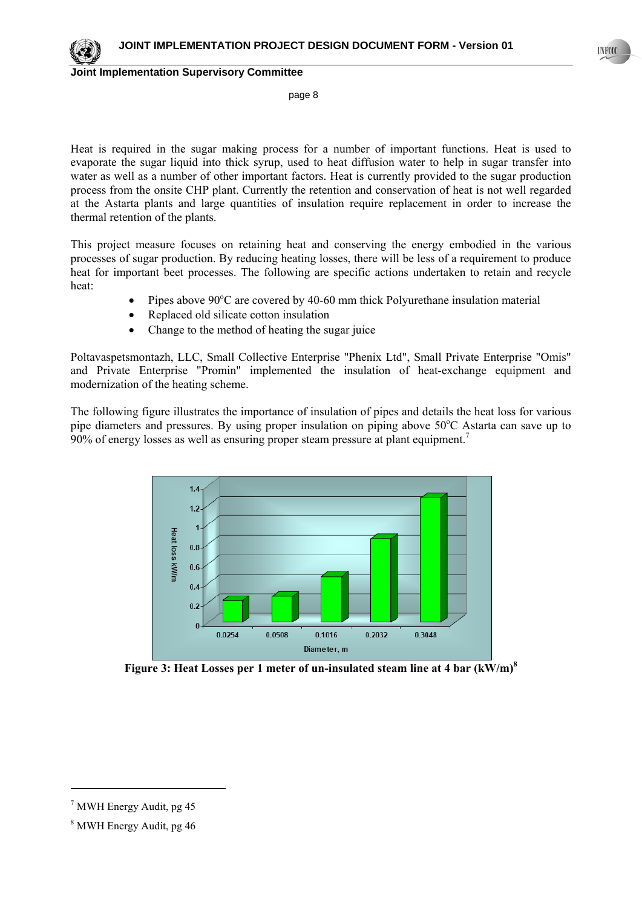

page 8

Heat is required in the sugar making process for a number of important functions. Heat is used to evaporate the sugar liquid into thick syrup, used to heat diffusion water to help in sugar transfer into water as well as a number of other important factors. Heat is currently provided to the sugar production process from the onsite CHP plant. Currently the retention and conservation of heat is not well regarded at the Astarta plants and large quantities of insulation require replacement in order to increase the thermal retention of the plants.

This project measure focuses on retaining heat and conserving the energy embodied in the various processes of sugar production. By reducing heating losses, there will be less of a requirement to produce heat for important beet processes. The following are specific actions undertaken to retain and recycle heat:

- Pipes above  $90^{\circ}$ C are covered by 40-60 mm thick Polyurethane insulation material
- Replaced old silicate cotton insulation
- Change to the method of heating the sugar juice

Poltavaspetsmontazh, LLC, Small Collective Enterprise "Phenix Ltd", Small Private Enterprise "Оmis" and Private Enterprise "Promin" implemented the insulation of heat-exchange equipment and modernization of the heating scheme.

The following figure illustrates the importance of insulation of pipes and details the heat loss for various pipe diameters and pressures. By using proper insulation on piping above  $50^{\circ}$ C Astarta can save up to  $90\%$  of energy losses as well as ensuring proper steam pressure at plant equipment.<sup>7</sup>



**Figure 3: Heat Losses per 1 meter of un-insulated steam line at 4 bar (kW/m)<sup>8</sup>**

<sup>7</sup> MWH Energy Audit, pg 45

<sup>8</sup> MWH Energy Audit, pg 46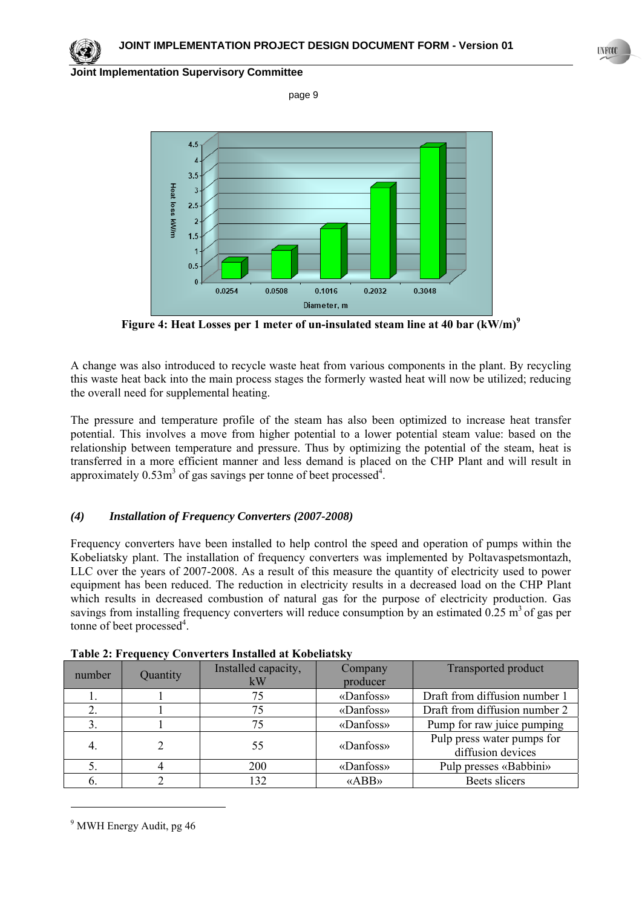

page 9



**Figure 4: Heat Losses per 1 meter of un-insulated steam line at 40 bar (kW/m)<sup>9</sup>**

A change was also introduced to recycle waste heat from various components in the plant. By recycling this waste heat back into the main process stages the formerly wasted heat will now be utilized; reducing the overall need for supplemental heating.

The pressure and temperature profile of the steam has also been optimized to increase heat transfer potential. This involves a move from higher potential to a lower potential steam value: based on the relationship between temperature and pressure. Thus by optimizing the potential of the steam, heat is transferred in a more efficient manner and less demand is placed on the CHP Plant and will result in approximately  $0.53m<sup>3</sup>$  of gas savings per tonne of beet processed<sup>4</sup>.

# *(4) Installation of Frequency Converters (2007-2008)*

Frequency converters have been installed to help control the speed and operation of pumps within the Kobeliatsky plant. The installation of frequency converters was implemented by Poltavaspetsmontazh, LLC over the years of 2007-2008. As a result of this measure the quantity of electricity used to power equipment has been reduced. The reduction in electricity results in a decreased load on the CHP Plant which results in decreased combustion of natural gas for the purpose of electricity production. Gas savings from installing frequency converters will reduce consumption by an estimated  $0.25 \text{ m}^3$  of gas per tonne of beet processed<sup>4</sup>.

| number | Quantity | Installed capacity,<br>kW | Company<br>producer | <b>Transported product</b>                      |
|--------|----------|---------------------------|---------------------|-------------------------------------------------|
|        |          | 75                        | «Danfoss»           | Draft from diffusion number 1                   |
|        |          | 75                        | «Danfoss»           | Draft from diffusion number 2                   |
|        |          | 75                        | «Danfoss»           | Pump for raw juice pumping                      |
| 4.     |          | 55                        | «Danfoss»           | Pulp press water pumps for<br>diffusion devices |
|        |          | 200                       | «Danfoss»           | Pulp presses «Babbini»                          |
|        |          | 132                       | «ABB»               | Beets slicers                                   |

<sup>&</sup>lt;sup>9</sup> MWH Energy Audit, pg 46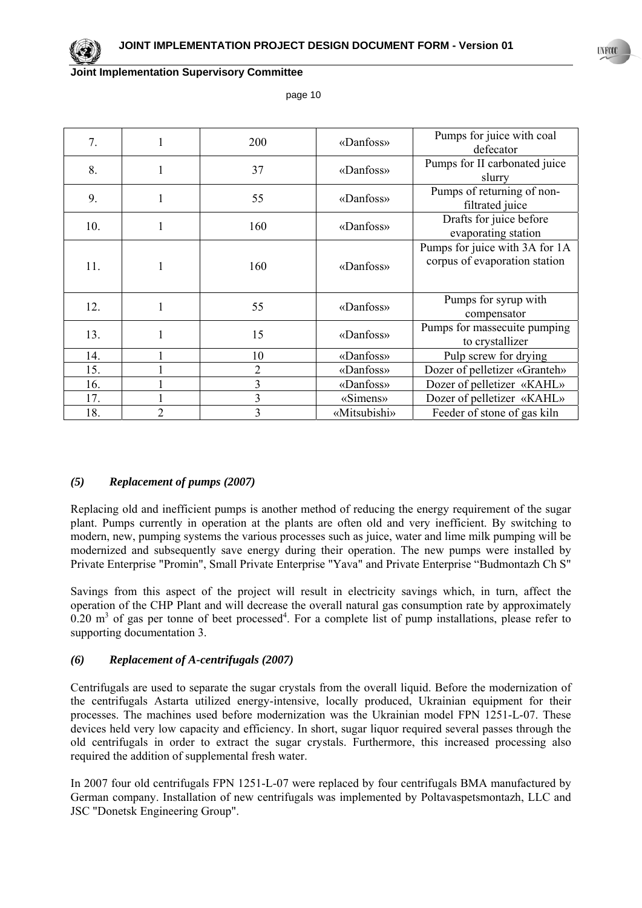page 10

| 7.  | ı              | 200            | «Danfoss»    | Pumps for juice with coal<br>defecator                          |
|-----|----------------|----------------|--------------|-----------------------------------------------------------------|
| 8.  | 1              | 37             | «Danfoss»    | Pumps for II carbonated juice<br>slurry                         |
| 9.  | 1              | 55             | «Danfoss»    | Pumps of returning of non-<br>filtrated juice                   |
| 10. | 1              | 160            | «Danfoss»    | Drafts for juice before<br>evaporating station                  |
| 11. | 1              | 160            | «Danfoss»    | Pumps for juice with 3A for 1A<br>corpus of evaporation station |
| 12. | 1              | 55             | «Danfoss»    | Pumps for syrup with<br>compensator                             |
| 13. |                | 15             | «Danfoss»    | Pumps for massecuite pumping<br>to crystallizer                 |
| 14. |                | 10             | «Danfoss»    | Pulp screw for drying                                           |
| 15. |                | $\overline{2}$ | «Danfoss»    | Dozer of pelletizer «Granteh»                                   |
| 16. |                | 3              | «Danfoss»    | Dozer of pelletizer «KAHL»                                      |
| 17. |                | 3              | «Simens»     | Dozer of pelletizer «KAHL»                                      |
| 18. | $\overline{2}$ | 3              | «Mitsubishi» | Feeder of stone of gas kiln                                     |

### *(5) Replacement of pumps (2007)*

Replacing old and inefficient pumps is another method of reducing the energy requirement of the sugar plant. Pumps currently in operation at the plants are often old and very inefficient. By switching to modern, new, pumping systems the various processes such as juice, water and lime milk pumping will be modernized and subsequently save energy during their operation. The new pumps were installed by Private Enterprise "Promin", Small Private Enterprise "Yava" and Private Enterprise "Budmontazh Ch S"

Savings from this aspect of the project will result in electricity savings which, in turn, affect the operation of the CHP Plant and will decrease the overall natural gas consumption rate by approximately  $0.20 \text{ m}^3$  of gas per tonne of beet processed<sup>4</sup>. For a complete list of pump installations, please refer to supporting documentation 3.

### *(6) Replacement of A-centrifugals (2007)*

Centrifugals are used to separate the sugar crystals from the overall liquid. Before the modernization of the centrifugals Astarta utilized energy-intensive, locally produced, Ukrainian equipment for their processes. The machines used before modernization was the Ukrainian model FPN 1251-L-07. These devices held very low capacity and efficiency. In short, sugar liquor required several passes through the old centrifugals in order to extract the sugar crystals. Furthermore, this increased processing also required the addition of supplemental fresh water.

In 2007 four old centrifugals FPN 1251-L-07 were replaced by four centrifugals BMA manufactured by German company. Installation of new centrifugals was implemented by Poltavaspetsmontazh, LLC and JSC "Donetsk Engineering Group".

**UNFCCC** 

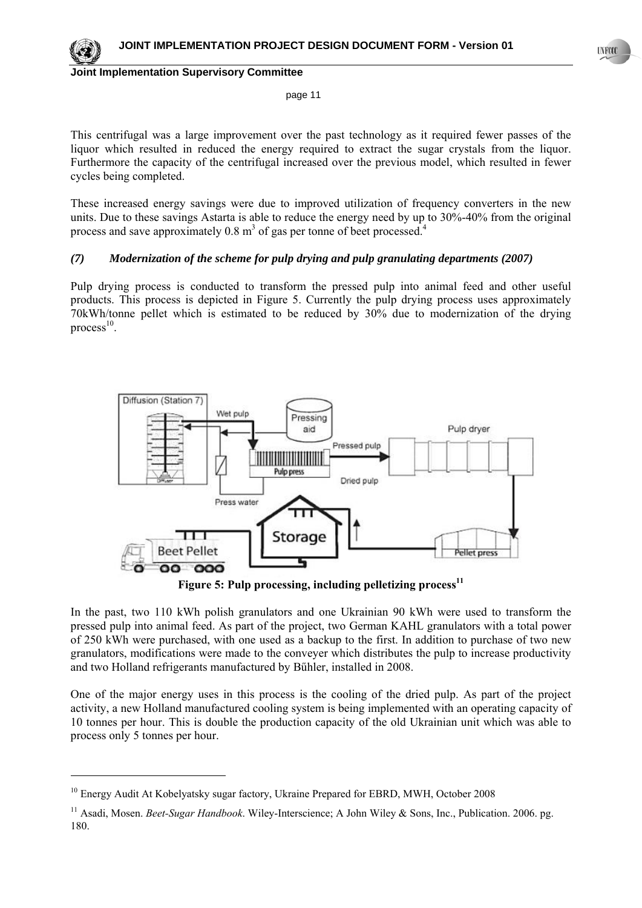

 $\overline{\phantom{a}}$ 

#### **Joint Implementation Supervisory Committee**

page 11

This centrifugal was a large improvement over the past technology as it required fewer passes of the liquor which resulted in reduced the energy required to extract the sugar crystals from the liquor. Furthermore the capacity of the centrifugal increased over the previous model, which resulted in fewer cycles being completed.

These increased energy savings were due to improved utilization of frequency converters in the new units. Due to these savings Astarta is able to reduce the energy need by up to 30%-40% from the original process and save approximately  $0.8 \text{ m}^3$  of gas per tonne of beet processed.<sup>4</sup>

# *(7) Modernization of the scheme for pulp drying and pulp granulating departments (2007)*

Pulp drying process is conducted to transform the pressed pulp into animal feed and other useful products. This process is depicted in Figure 5. Currently the pulp drying process uses approximately 70kWh/tonne pellet which is estimated to be reduced by 30% due to modernization of the drying  $process<sup>10</sup>$ .



**Figure 5: Pulp processing, including pelletizing process**<sup>11</sup>

In the past, two 110 kWh polish granulators and one Ukrainian 90 kWh were used to transform the pressed pulp into animal feed. As part of the project, two German KAHL granulators with a total power of 250 kWh were purchased, with one used as a backup to the first. In addition to purchase of two new granulators, modifications were made to the conveyer which distributes the pulp to increase productivity and two Holland refrigerants manufactured by Bűhler, installed in 2008.

One of the major energy uses in this process is the cooling of the dried pulp. As part of the project activity, a new Holland manufactured cooling system is being implemented with an operating capacity of 10 tonnes per hour. This is double the production capacity of the old Ukrainian unit which was able to process only 5 tonnes per hour.

<sup>&</sup>lt;sup>10</sup> Energy Audit At Kobelyatsky sugar factory, Ukraine Prepared for EBRD, MWH, October 2008

<sup>&</sup>lt;sup>11</sup> Asadi, Mosen. *Beet-Sugar Handbook*. Wiley-Interscience; A John Wiley & Sons, Inc., Publication. 2006. pg. 180.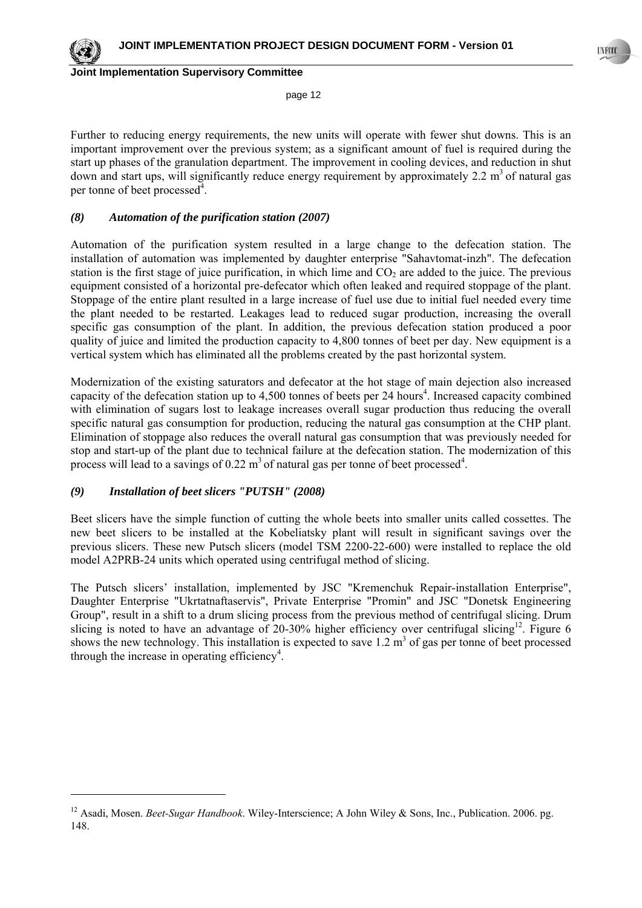page 12

Further to reducing energy requirements, the new units will operate with fewer shut downs. This is an important improvement over the previous system; as a significant amount of fuel is required during the start up phases of the granulation department. The improvement in cooling devices, and reduction in shut down and start ups, will significantly reduce energy requirement by approximately 2.2  $m<sup>3</sup>$  of natural gas per tonne of beet processed<sup>4</sup>.

### *(8) Automation of the purification station (2007)*

Automation of the purification system resulted in a large change to the defecation station. The installation of automation was implemented by daughter enterprise "Sahavtomat-inzh". The defecation station is the first stage of juice purification, in which lime and  $CO<sub>2</sub>$  are added to the juice. The previous equipment consisted of a horizontal pre-defecator which often leaked and required stoppage of the plant. Stoppage of the entire plant resulted in a large increase of fuel use due to initial fuel needed every time the plant needed to be restarted. Leakages lead to reduced sugar production, increasing the overall specific gas consumption of the plant. In addition, the previous defecation station produced a poor quality of juice and limited the production capacity to 4,800 tonnes of beet per day. New equipment is a vertical system which has eliminated all the problems created by the past horizontal system.

Modernization of the existing saturators and defecator at the hot stage of main dejection also increased capacity of the defecation station up to 4,500 tonnes of beets per 24 hours<sup>4</sup>. Increased capacity combined with elimination of sugars lost to leakage increases overall sugar production thus reducing the overall specific natural gas consumption for production, reducing the natural gas consumption at the CHP plant. Elimination of stoppage also reduces the overall natural gas consumption that was previously needed for stop and start-up of the plant due to technical failure at the defecation station. The modernization of this process will lead to a savings of 0.22  $m<sup>3</sup>$  of natural gas per tonne of beet processed<sup>4</sup>.

### *(9) Installation of beet slicers "PUTSH" (2008)*

l

Beet slicers have the simple function of cutting the whole beets into smaller units called cossettes. The new beet slicers to be installed at the Kobeliatsky plant will result in significant savings over the previous slicers. These new Putsch slicers (model TSM 2200-22-600) were installed to replace the old model A2PRB-24 units which operated using centrifugal method of slicing.

The Putsch slicers' installation, implemented by JSC "Kremenchuk Repair-installation Enterprise", Daughter Enterprise "Ukrtatnaftaservis", Private Enterprise "Promin" and JSC "Donetsk Engineering Group", result in a shift to a drum slicing process from the previous method of centrifugal slicing. Drum slicing is noted to have an advantage of 20-30% higher efficiency over centrifugal slicing<sup>12</sup>. Figure 6 shows the new technology. This installation is expected to save  $1.2 \text{ m}^3$  of gas per tonne of beet processed through the increase in operating efficiency<sup>4</sup>.

<sup>12</sup> Asadi, Mosen. *Beet-Sugar Handbook*. Wiley-Interscience; A John Wiley & Sons, Inc., Publication. 2006. pg. 148.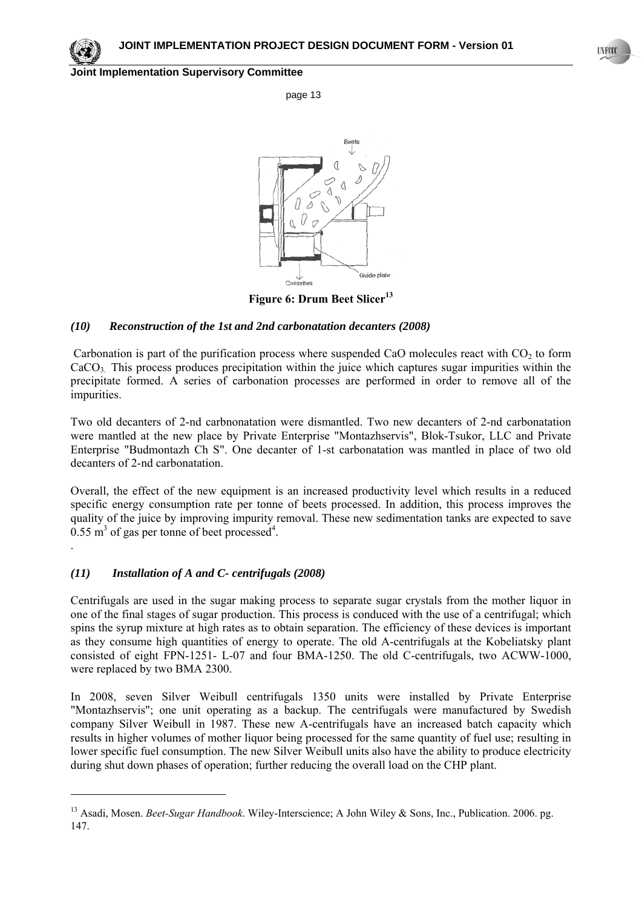

.

l

#### **Joint Implementation Supervisory Committee**

page 13



Figure 6: Drum Beet Slicer<sup>13</sup>

### *(10) Reconstruction of the 1st and 2nd carbonatation decanters (2008)*

Carbonation is part of the purification process where suspended CaO molecules react with  $CO<sub>2</sub>$  to form CaCO<sub>3</sub>. This process produces precipitation within the juice which captures sugar impurities within the precipitate formed. A series of carbonation processes are performed in order to remove all of the impurities.

Two old decanters of 2-nd carbnonatation were dismantled. Two new decanters of 2-nd carbonatation were mantled at the new place by Private Enterprise "Montazhservis", Blok-Tsukor, LLC and Private Enterprise "Budmontazh Ch S". One decanter of 1-st carbonatation was mantled in place of two old decanters of 2-nd carbonatation.

Overall, the effect of the new equipment is an increased productivity level which results in a reduced specific energy consumption rate per tonne of beets processed. In addition, this process improves the quality of the juice by improving impurity removal. These new sedimentation tanks are expected to save  $0.55 \text{ m}^3$  of gas per tonne of beet processed<sup>4</sup>.

# *(11) Installation of A and C- centrifugals (2008)*

Centrifugals are used in the sugar making process to separate sugar crystals from the mother liquor in one of the final stages of sugar production. This process is conduced with the use of a centrifugal; which spins the syrup mixture at high rates as to obtain separation. The efficiency of these devices is important as they consume high quantities of energy to operate. The old A-centrifugals at the Kobeliatsky plant consisted of eight FPN-1251- L-07 and four BMA-1250. The old С-centrifugals, two ACWW-1000, were replaced by two BMA 2300.

In 2008, seven Silver Weibull centrifugals 1350 units were installed by Private Enterprise "Моntazhservis"; one unit operating as a backup. The centrifugals were manufactured by Swedish company Silver Weibull in 1987. These new A-centrifugals have an increased batch capacity which results in higher volumes of mother liquor being processed for the same quantity of fuel use; resulting in lower specific fuel consumption. The new Silver Weibull units also have the ability to produce electricity during shut down phases of operation; further reducing the overall load on the CHP plant.

<sup>&</sup>lt;sup>13</sup> Asadi, Mosen. *Beet-Sugar Handbook*. Wiley-Interscience; A John Wiley & Sons, Inc., Publication. 2006. pg. 147.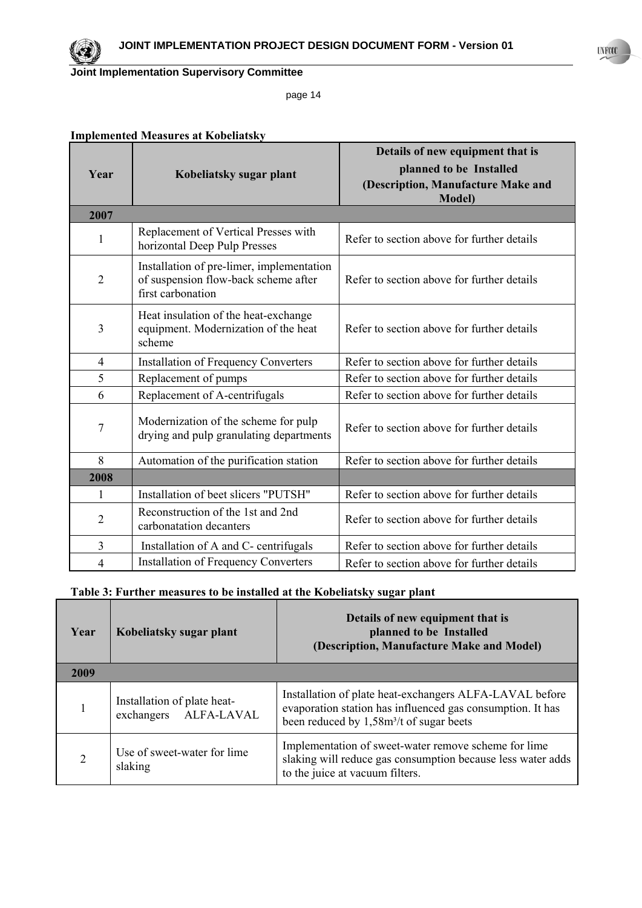

page 14

# **Implemented Measures at Kobeliatsky**

| Year           | Kobeliatsky sugar plant                                                                                | Details of new equipment that is<br>planned to be Installed<br>(Description, Manufacture Make and<br><b>Model</b> ) |
|----------------|--------------------------------------------------------------------------------------------------------|---------------------------------------------------------------------------------------------------------------------|
| 2007           |                                                                                                        |                                                                                                                     |
| $\mathbf{1}$   | Replacement of Vertical Presses with<br>horizontal Deep Pulp Presses                                   | Refer to section above for further details                                                                          |
| $\overline{2}$ | Installation of pre-limer, implementation<br>of suspension flow-back scheme after<br>first carbonation | Refer to section above for further details                                                                          |
| 3              | Heat insulation of the heat-exchange<br>equipment. Modernization of the heat<br>scheme                 | Refer to section above for further details                                                                          |
| $\overline{4}$ | <b>Installation of Frequency Converters</b>                                                            | Refer to section above for further details                                                                          |
| 5              | Replacement of pumps                                                                                   | Refer to section above for further details                                                                          |
| 6              | Replacement of A-centrifugals                                                                          | Refer to section above for further details                                                                          |
| $\overline{7}$ | Modernization of the scheme for pulp<br>drying and pulp granulating departments                        | Refer to section above for further details                                                                          |
| 8              | Automation of the purification station                                                                 | Refer to section above for further details                                                                          |
| 2008           |                                                                                                        |                                                                                                                     |
| 1              | Installation of beet slicers "PUTSH"                                                                   | Refer to section above for further details                                                                          |
| $\overline{2}$ | Reconstruction of the 1st and 2nd<br>carbonatation decanters                                           | Refer to section above for further details                                                                          |
| $\overline{3}$ | Installation of A and C- centrifugals                                                                  | Refer to section above for further details                                                                          |
| $\overline{4}$ | <b>Installation of Frequency Converters</b>                                                            | Refer to section above for further details                                                                          |

# **Table 3: Further measures to be installed at the Kobeliatsky sugar plant**

| Year           | Kobeliatsky sugar plant                              | Details of new equipment that is<br>planned to be Installed<br>(Description, Manufacture Make and Model)                                                                      |
|----------------|------------------------------------------------------|-------------------------------------------------------------------------------------------------------------------------------------------------------------------------------|
| 2009           |                                                      |                                                                                                                                                                               |
|                | Installation of plate heat-<br>exchangers ALFA-LAVAL | Installation of plate heat-exchangers ALFA-LAVAL before<br>evaporation station has influenced gas consumption. It has<br>been reduced by 1,58m <sup>3</sup> /t of sugar beets |
| $\overline{2}$ | Use of sweet-water for lime<br>slaking               | Implementation of sweet-water remove scheme for lime<br>slaking will reduce gas consumption because less water adds<br>to the juice at vacuum filters.                        |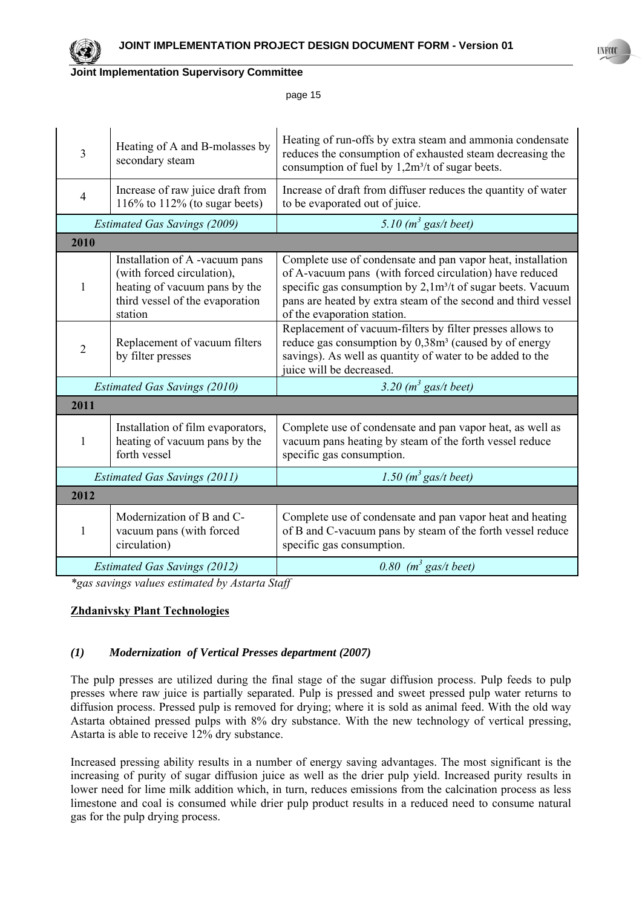

page 15

| $\overline{3}$                      | Heating of A and B-molasses by<br>secondary steam                                                                                           | Heating of run-offs by extra steam and ammonia condensate<br>reduces the consumption of exhausted steam decreasing the<br>consumption of fuel by $1,2m^3/t$ of sugar beets.                                                                                                                       |
|-------------------------------------|---------------------------------------------------------------------------------------------------------------------------------------------|---------------------------------------------------------------------------------------------------------------------------------------------------------------------------------------------------------------------------------------------------------------------------------------------------|
| $\overline{4}$                      | Increase of raw juice draft from<br>116\% to 112\% (to sugar beets)                                                                         | Increase of draft from diffuser reduces the quantity of water<br>to be evaporated out of juice.                                                                                                                                                                                                   |
|                                     | <b>Estimated Gas Savings (2009)</b>                                                                                                         | 5.10 $(m^3$ gas/t beet)                                                                                                                                                                                                                                                                           |
| 2010                                |                                                                                                                                             |                                                                                                                                                                                                                                                                                                   |
| 1                                   | Installation of A -vacuum pans<br>(with forced circulation),<br>heating of vacuum pans by the<br>third vessel of the evaporation<br>station | Complete use of condensate and pan vapor heat, installation<br>of A-vacuum pans (with forced circulation) have reduced<br>specific gas consumption by 2,1m <sup>3</sup> /t of sugar beets. Vacuum<br>pans are heated by extra steam of the second and third vessel<br>of the evaporation station. |
| $\overline{2}$                      | Replacement of vacuum filters<br>by filter presses                                                                                          | Replacement of vacuum-filters by filter presses allows to<br>reduce gas consumption by 0,38m <sup>3</sup> (caused by of energy<br>savings). As well as quantity of water to be added to the<br>juice will be decreased.                                                                           |
| <b>Estimated Gas Savings (2010)</b> |                                                                                                                                             | 3.20 $(m^3$ gas/t beet)                                                                                                                                                                                                                                                                           |
| 2011                                |                                                                                                                                             |                                                                                                                                                                                                                                                                                                   |
| 1                                   | Installation of film evaporators,<br>heating of vacuum pans by the<br>forth vessel                                                          | Complete use of condensate and pan vapor heat, as well as<br>vacuum pans heating by steam of the forth vessel reduce<br>specific gas consumption.                                                                                                                                                 |
| <b>Estimated Gas Savings (2011)</b> |                                                                                                                                             | 1.50 $(m^3$ gas/t beet)                                                                                                                                                                                                                                                                           |
| 2012                                |                                                                                                                                             |                                                                                                                                                                                                                                                                                                   |
| $\mathbf{1}$                        | Modernization of B and C-<br>vacuum pans (with forced<br>circulation)                                                                       | Complete use of condensate and pan vapor heat and heating<br>of B and C-vacuum pans by steam of the forth vessel reduce<br>specific gas consumption.                                                                                                                                              |
|                                     | <b>Estimated Gas Savings (2012)</b>                                                                                                         | $0.80$ ( $m^3$ gas/t beet)                                                                                                                                                                                                                                                                        |

*\*gas savings values estimated by Astarta Staff*

### **Zhdanivsky Plant Technologies**

### *(1) Modernization of Vertical Presses department (2007)*

The pulp presses are utilized during the final stage of the sugar diffusion process. Pulp feeds to pulp presses where raw juice is partially separated. Pulp is pressed and sweet pressed pulp water returns to diffusion process. Pressed pulp is removed for drying; where it is sold as animal feed. With the old way Astarta obtained pressed pulps with 8% dry substance. With the new technology of vertical pressing, Astarta is able to receive 12% dry substance.

Increased pressing ability results in a number of energy saving advantages. The most significant is the increasing of purity of sugar diffusion juice as well as the drier pulp yield. Increased purity results in lower need for lime milk addition which, in turn, reduces emissions from the calcination process as less limestone and coal is consumed while drier pulp product results in a reduced need to consume natural gas for the pulp drying process.

**UNFCCC**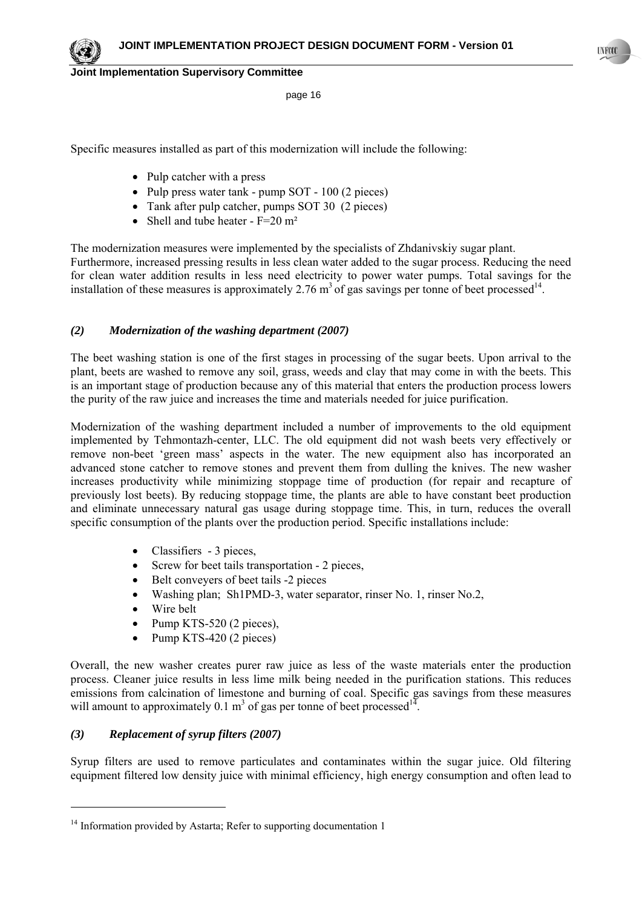page 16

Specific measures installed as part of this modernization will include the following:

- Pulp catcher with a press
- Pulp press water tank pump SOT 100 (2 pieces)
- Tank after pulp catcher, pumps SOT 30 (2 pieces)
- Shell and tube heater  $F=20 \text{ m}^2$

The modernization measures were implemented by the specialists of Zhdanivskiy sugar plant. Furthermore, increased pressing results in less clean water added to the sugar process. Reducing the need for clean water addition results in less need electricity to power water pumps. Total savings for the installation of these measures is approximately 2.76  $m<sup>3</sup>$  of gas savings per tonne of beet processed<sup>14</sup>.

### *(2) Modernization of the washing department (2007)*

The beet washing station is one of the first stages in processing of the sugar beets. Upon arrival to the plant, beets are washed to remove any soil, grass, weeds and clay that may come in with the beets. This is an important stage of production because any of this material that enters the production process lowers the purity of the raw juice and increases the time and materials needed for juice purification.

Modernization of the washing department included a number of improvements to the old equipment implemented by Tehmontazh-center, LLC. The old equipment did not wash beets very effectively or remove non-beet 'green mass' aspects in the water. The new equipment also has incorporated an advanced stone catcher to remove stones and prevent them from dulling the knives. The new washer increases productivity while minimizing stoppage time of production (for repair and recapture of previously lost beets). By reducing stoppage time, the plants are able to have constant beet production and eliminate unnecessary natural gas usage during stoppage time. This, in turn, reduces the overall specific consumption of the plants over the production period. Specific installations include:

- Classifiers 3 pieces,
- Screw for beet tails transportation 2 pieces,
- Belt conveyers of beet tails -2 pieces
- Washing plan; Sh1PMD-3, water separator, rinser No. 1, rinser No.2,
- Wire belt
- Pump KTS-520 (2 pieces),
- Pump KTS-420 (2 pieces)

Overall, the new washer creates purer raw juice as less of the waste materials enter the production process. Cleaner juice results in less lime milk being needed in the purification stations. This reduces emissions from calcination of limestone and burning of coal. Specific gas savings from these measures will amount to approximately 0.1  $m<sup>3</sup>$  of gas per tonne of beet processed<sup>14</sup>.

# *(3) Replacement of syrup filters (2007)*

l

Syrup filters are used to remove particulates and contaminates within the sugar juice. Old filtering equipment filtered low density juice with minimal efficiency, high energy consumption and often lead to



<sup>&</sup>lt;sup>14</sup> Information provided by Astarta; Refer to supporting documentation 1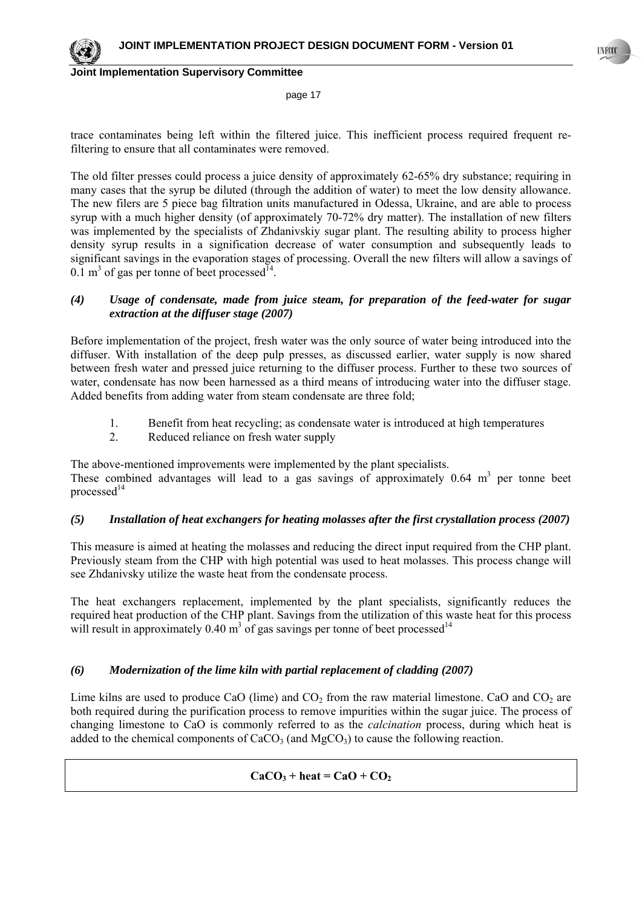

page 17

trace contaminates being left within the filtered juice. This inefficient process required frequent refiltering to ensure that all contaminates were removed.

The old filter presses could process a juice density of approximately 62-65% dry substance; requiring in many cases that the syrup be diluted (through the addition of water) to meet the low density allowance. The new filers are 5 piece bag filtration units manufactured in Odessa, Ukraine, and are able to process syrup with a much higher density (of approximately 70-72% dry matter). The installation of new filters was implemented by the specialists of Zhdanivskiy sugar plant. The resulting ability to process higher density syrup results in a signification decrease of water consumption and subsequently leads to significant savings in the evaporation stages of processing. Overall the new filters will allow a savings of 0.1 m<sup>3</sup> of gas per tonne of beet processed<sup>14</sup>.

# *(4) Usage of condensate, made from juice steam, for preparation of the feed-water for sugar extraction at the diffuser stage (2007)*

Before implementation of the project, fresh water was the only source of water being introduced into the diffuser. With installation of the deep pulp presses, as discussed earlier, water supply is now shared between fresh water and pressed juice returning to the diffuser process. Further to these two sources of water, condensate has now been harnessed as a third means of introducing water into the diffuser stage. Added benefits from adding water from steam condensate are three fold;

- 1. Benefit from heat recycling; as condensate water is introduced at high temperatures
- 2. Reduced reliance on fresh water supply

The above-mentioned improvements were implemented by the plant specialists. These combined advantages will lead to a gas savings of approximately  $0.64 \text{ m}^3$  per tonne beet processed $14$ 

# *(5) Installation of heat exchangers for heating molasses after the first crystallation process (2007)*

This measure is aimed at heating the molasses and reducing the direct input required from the CHP plant. Previously steam from the CHP with high potential was used to heat molasses. This process change will see Zhdanivsky utilize the waste heat from the condensate process.

The heat exchangers replacement, implemented by the plant specialists, significantly reduces the required heat production of the CHP plant. Savings from the utilization of this waste heat for this process will result in approximately 0.40  $m<sup>3</sup>$  of gas savings per tonne of beet processed<sup>14</sup>

# *(6) Modernization of the lime kiln with partial replacement of cladding (2007)*

Lime kilns are used to produce CaO (lime) and  $CO<sub>2</sub>$  from the raw material limestone. CaO and  $CO<sub>2</sub>$  are both required during the purification process to remove impurities within the sugar juice. The process of changing limestone to CaO is commonly referred to as the *calcination* process, during which heat is added to the chemical components of  $CaCO<sub>3</sub>$  (and  $MeCO<sub>3</sub>$ ) to cause the following reaction.

# $CaCO<sub>3</sub> + heat = CaO + CO<sub>2</sub>$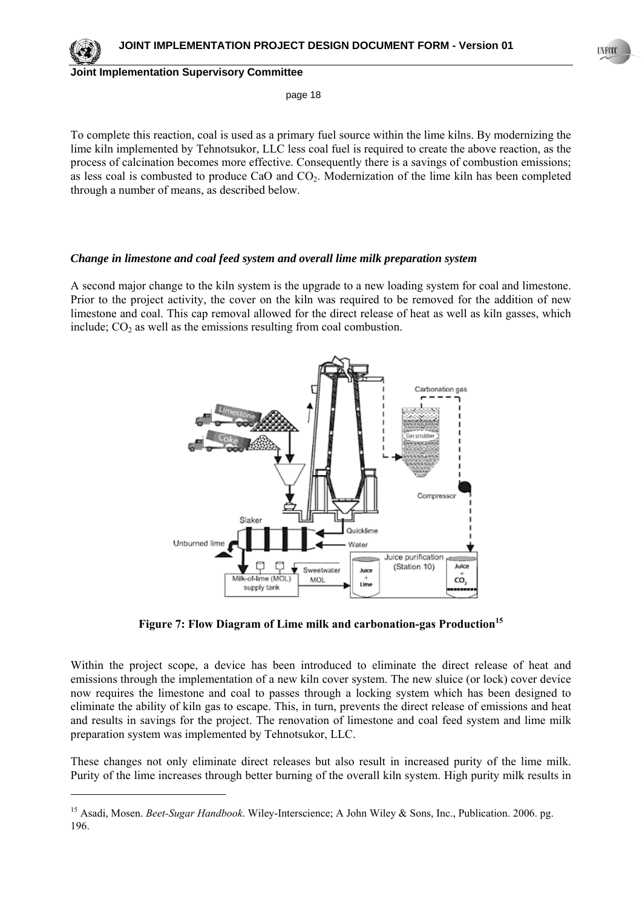page 18

To complete this reaction, coal is used as a primary fuel source within the lime kilns. By modernizing the lime kiln implemented by Tehnotsukor, LLC less coal fuel is required to create the above reaction, as the process of calcination becomes more effective. Consequently there is a savings of combustion emissions; as less coal is combusted to produce CaO and CO<sub>2</sub>. Modernization of the lime kiln has been completed through a number of means, as described below.

### *Change in limestone and coal feed system and overall lime milk preparation system*

A second major change to the kiln system is the upgrade to a new loading system for coal and limestone. Prior to the project activity, the cover on the kiln was required to be removed for the addition of new limestone and coal. This cap removal allowed for the direct release of heat as well as kiln gasses, which include;  $CO<sub>2</sub>$  as well as the emissions resulting from coal combustion.



Figure 7: Flow Diagram of Lime milk and carbonation-gas Production<sup>15</sup>

Within the project scope, a device has been introduced to eliminate the direct release of heat and emissions through the implementation of a new kiln cover system. The new sluice (or lock) cover device now requires the limestone and coal to passes through a locking system which has been designed to eliminate the ability of kiln gas to escape. This, in turn, prevents the direct release of emissions and heat and results in savings for the project. The renovation of limestone and coal feed system and lime milk preparation system was implemented by Tehnotsukor, LLC.

These changes not only eliminate direct releases but also result in increased purity of the lime milk. Purity of the lime increases through better burning of the overall kiln system. High purity milk results in

<sup>&</sup>lt;sup>15</sup> Asadi, Mosen. *Beet-Sugar Handbook*. Wiley-Interscience; A John Wiley & Sons, Inc., Publication. 2006. pg. 196.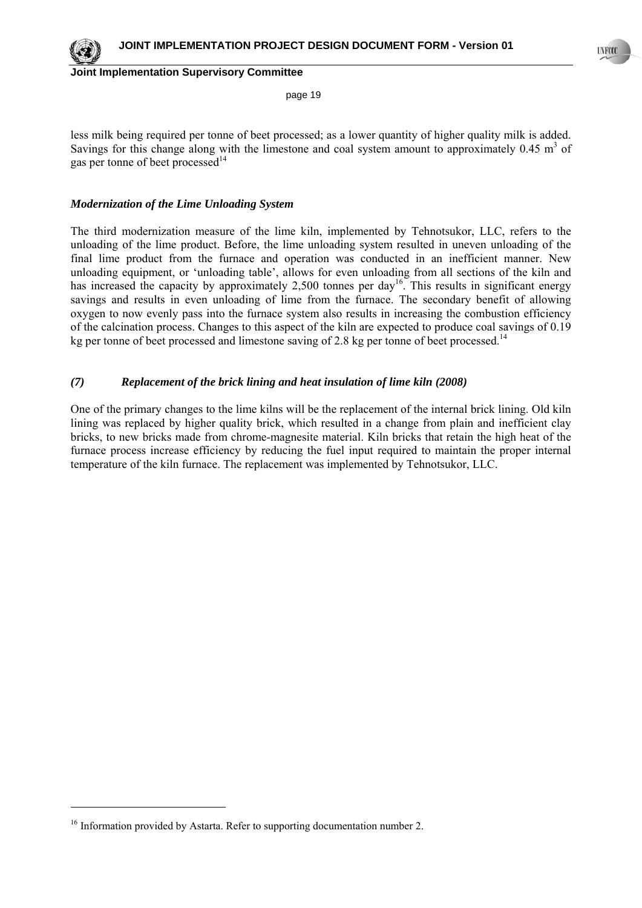

l

**Joint Implementation Supervisory Committee**

page 19

less milk being required per tonne of beet processed; as a lower quantity of higher quality milk is added. Savings for this change along with the limestone and coal system amount to approximately  $0.45 \text{ m}^3$  of gas per tonne of beet processed $14$ 

### *Modernization of the Lime Unloading System*

The third modernization measure of the lime kiln, implemented by Tehnotsukor, LLC, refers to the unloading of the lime product. Before, the lime unloading system resulted in uneven unloading of the final lime product from the furnace and operation was conducted in an inefficient manner. New unloading equipment, or 'unloading table', allows for even unloading from all sections of the kiln and has increased the capacity by approximately 2,500 tonnes per day<sup>16</sup>. This results in significant energy savings and results in even unloading of lime from the furnace. The secondary benefit of allowing oxygen to now evenly pass into the furnace system also results in increasing the combustion efficiency of the calcination process. Changes to this aspect of the kiln are expected to produce coal savings of 0.19 kg per tonne of beet processed and limestone saving of 2.8 kg per tonne of beet processed.<sup>14</sup>

### *(7) Replacement of the brick lining and heat insulation of lime kiln (2008)*

One of the primary changes to the lime kilns will be the replacement of the internal brick lining. Old kiln lining was replaced by higher quality brick, which resulted in a change from plain and inefficient clay bricks, to new bricks made from chrome-magnesite material. Kiln bricks that retain the high heat of the furnace process increase efficiency by reducing the fuel input required to maintain the proper internal temperature of the kiln furnace. The replacement was implemented by Tehnotsukor, LLC.

<sup>&</sup>lt;sup>16</sup> Information provided by Astarta. Refer to supporting documentation number 2.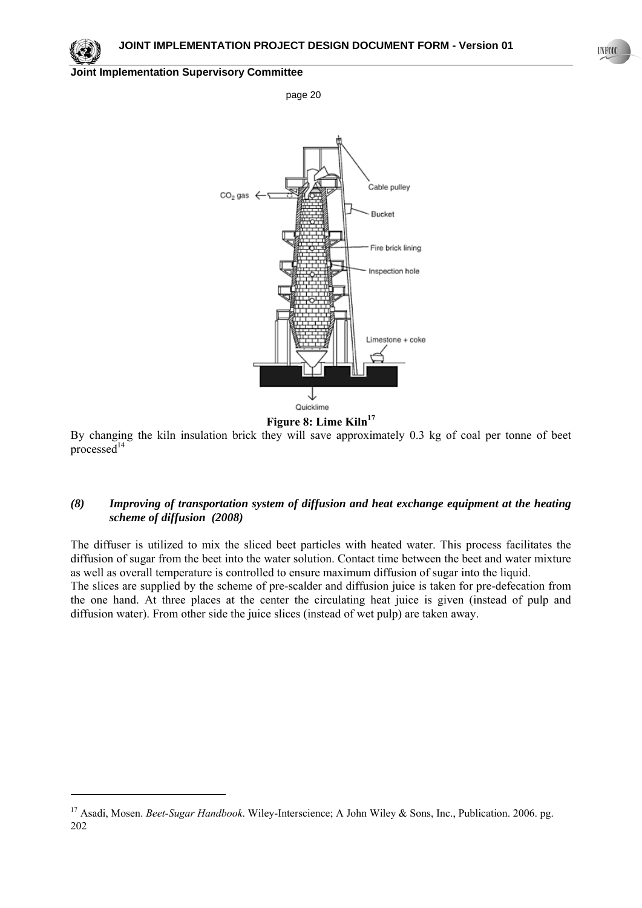page 20

### **Joint Implementation Supervisory Committee**





By changing the kiln insulation brick they will save approximately 0.3 kg of coal per tonne of beet processed $^{14}$ 

# *(8) Improving of transportation system of diffusion and heat exchange equipment at the heating scheme of diffusion (2008)*

The diffuser is utilized to mix the sliced beet particles with heated water. This process facilitates the diffusion of sugar from the beet into the water solution. Contact time between the beet and water mixture as well as overall temperature is controlled to ensure maximum diffusion of sugar into the liquid. The slices are supplied by the scheme of pre-scalder and diffusion juice is taken for pre-defecation from the one hand. At three places at the center the circulating heat juice is given (instead of pulp and diffusion water). From other side the juice slices (instead of wet pulp) are taken away.

<sup>&</sup>lt;sup>17</sup> Asadi, Mosen. *Beet-Sugar Handbook*. Wiley-Interscience; A John Wiley & Sons, Inc., Publication. 2006. pg. 202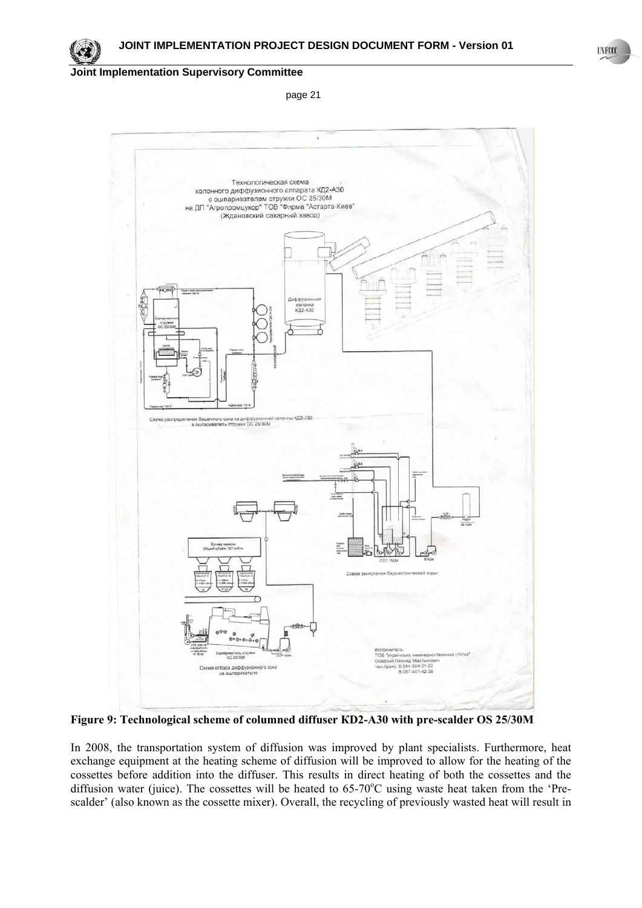page 21



**Figure 9: Technological scheme of columned diffuser КD2-А30 with pre-scalder ОS 25/30M** 

In 2008, the transportation system of diffusion was improved by plant specialists. Furthermore, heat exchange equipment at the heating scheme of diffusion will be improved to allow for the heating of the cossettes before addition into the diffuser. This results in direct heating of both the cossettes and the diffusion water (juice). The cossettes will be heated to 65-70°C using waste heat taken from the 'Prescalder' (also known as the cossette mixer). Overall, the recycling of previously wasted heat will result in **UNFOCO**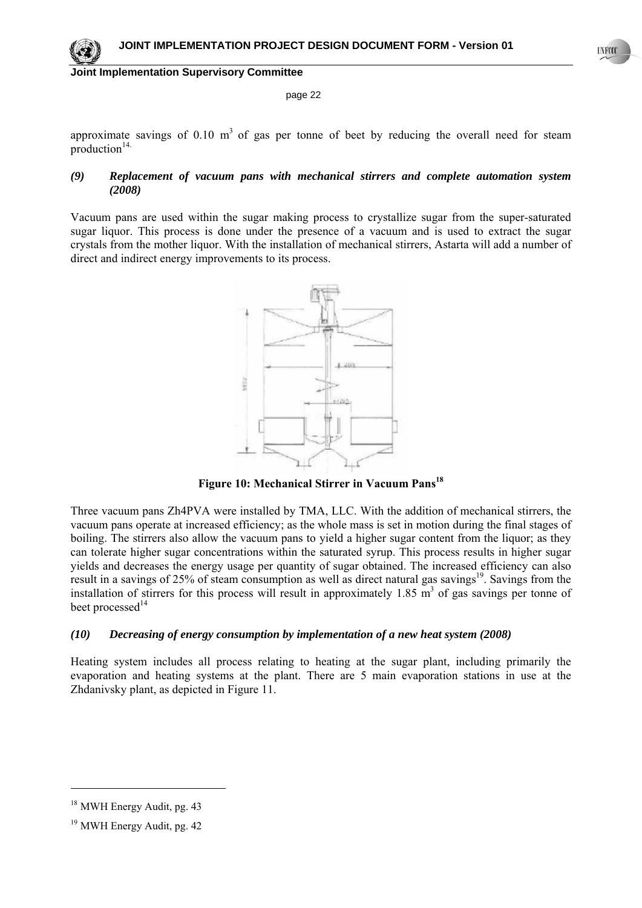#### page 22

approximate savings of  $0.10 \text{ m}^3$  of gas per tonne of beet by reducing the overall need for steam production $14$ .

### *(9) Replacement of vacuum pans with mechanical stirrers and complete automation system (2008)*

Vacuum pans are used within the sugar making process to crystallize sugar from the super-saturated sugar liquor. This process is done under the presence of a vacuum and is used to extract the sugar crystals from the mother liquor. With the installation of mechanical stirrers, Astarta will add a number of direct and indirect energy improvements to its process.



Figure 10: Mechanical Stirrer in Vacuum Pans<sup>18</sup>

Three vacuum pans Zh4PVA were installed by TMA, LLC. With the addition of mechanical stirrers, the vacuum pans operate at increased efficiency; as the whole mass is set in motion during the final stages of boiling. The stirrers also allow the vacuum pans to yield a higher sugar content from the liquor; as they can tolerate higher sugar concentrations within the saturated syrup. This process results in higher sugar yields and decreases the energy usage per quantity of sugar obtained. The increased efficiency can also result in a savings of 25% of steam consumption as well as direct natural gas savings<sup>19</sup>. Savings from the installation of stirrers for this process will result in approximately  $1.85 \text{ m}^3$  of gas savings per tonne of beet processed<sup>14</sup>

### *(10) Decreasing of energy consumption by implementation of a new heat system (2008)*

Heating system includes all process relating to heating at the sugar plant, including primarily the evaporation and heating systems at the plant. There are 5 main evaporation stations in use at the Zhdanivsky plant, as depicted in Figure 11.

<sup>&</sup>lt;sup>18</sup> MWH Energy Audit, pg. 43

<sup>19</sup> MWH Energy Audit, pg. 42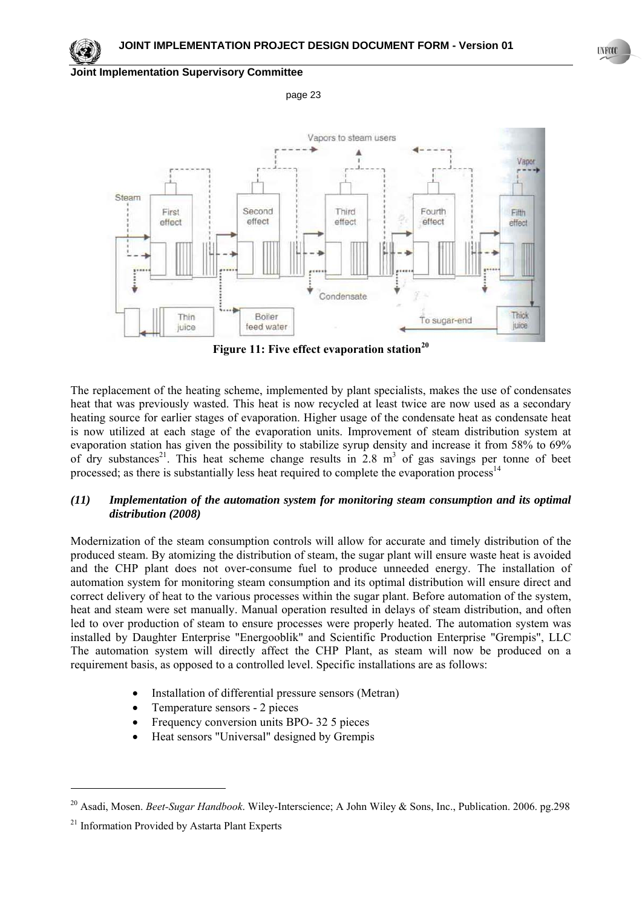

page 23



**Figure 11: Five effect evaporation station<sup>20</sup>**

The replacement of the heating scheme, implemented by plant specialists, makes the use of condensates heat that was previously wasted. This heat is now recycled at least twice are now used as a secondary heating source for earlier stages of evaporation. Higher usage of the condensate heat as condensate heat is now utilized at each stage of the evaporation units. Improvement of steam distribution system at evaporation station has given the possibility to stabilize syrup density and increase it from 58% to 69% of dry substances<sup>21</sup>. This heat scheme change results in  $2.8 \text{ m}^3$  of gas savings per tonne of beet processed; as there is substantially less heat required to complete the evaporation process<sup>14</sup>

### *(11) Implementation of the automation system for monitoring steam consumption and its optimal distribution (2008)*

Modernization of the steam consumption controls will allow for accurate and timely distribution of the produced steam. By atomizing the distribution of steam, the sugar plant will ensure waste heat is avoided and the CHP plant does not over-consume fuel to produce unneeded energy. The installation of automation system for monitoring steam consumption and its optimal distribution will ensure direct and correct delivery of heat to the various processes within the sugar plant. Before automation of the system, heat and steam were set manually. Manual operation resulted in delays of steam distribution, and often led to over production of steam to ensure processes were properly heated. The automation system was installed by Daughter Enterprise "Energooblik" and Scientific Production Enterprise "Grempis", LLC The automation system will directly affect the CHP Plant, as steam will now be produced on a requirement basis, as opposed to a controlled level. Specific installations are as follows:

- Installation of differential pressure sensors (Metran)
- Temperature sensors 2 pieces
- Frequency conversion units BPO- 32 5 pieces
- Heat sensors "Universal" designed by Grempis

l

**UNFCCC** 

<sup>20</sup> Asadi, Mosen. *Beet-Sugar Handbook*. Wiley-Interscience; A John Wiley & Sons, Inc., Publication. 2006. pg.298

<sup>&</sup>lt;sup>21</sup> Information Provided by Astarta Plant Experts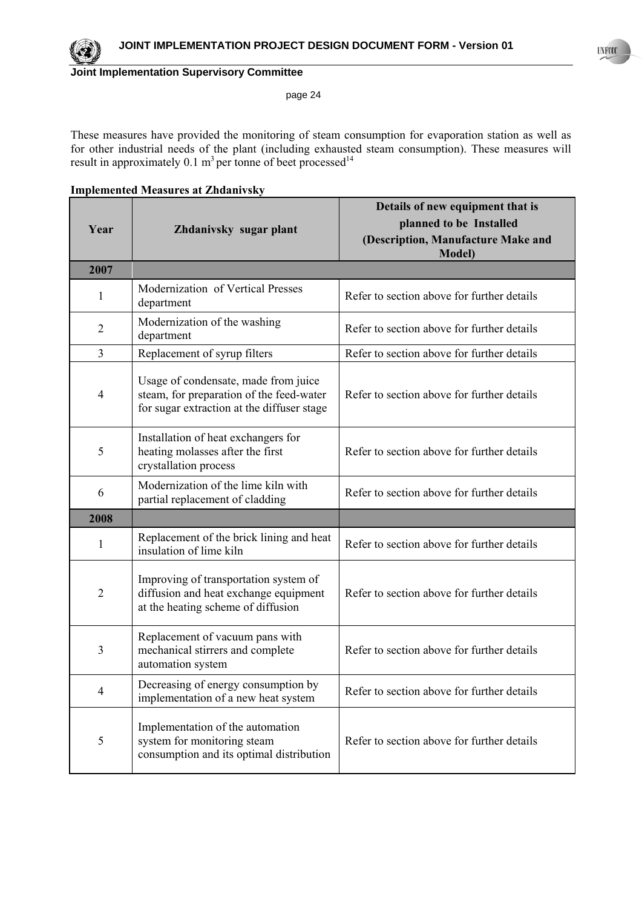

#### page 24

These measures have provided the monitoring of steam consumption for evaporation station as well as for other industrial needs of the plant (including exhausted steam consumption). These measures will result in approximately 0.1 m<sup>3</sup> per tonne of beet processed<sup>14</sup>

| <b>Implemented Measures at Zhdanivsky</b> |
|-------------------------------------------|
|-------------------------------------------|

|                |                                                                                                                                | Details of new equipment that is                     |
|----------------|--------------------------------------------------------------------------------------------------------------------------------|------------------------------------------------------|
| Year           | Zhdanivsky sugar plant                                                                                                         | planned to be Installed                              |
|                |                                                                                                                                | (Description, Manufacture Make and<br><b>Model</b> ) |
| 2007           |                                                                                                                                |                                                      |
| 1              | Modernization of Vertical Presses<br>department                                                                                | Refer to section above for further details           |
| $\overline{2}$ | Modernization of the washing<br>department                                                                                     | Refer to section above for further details           |
| 3              | Replacement of syrup filters                                                                                                   | Refer to section above for further details           |
| 4              | Usage of condensate, made from juice<br>steam, for preparation of the feed-water<br>for sugar extraction at the diffuser stage | Refer to section above for further details           |
| 5              | Installation of heat exchangers for<br>heating molasses after the first<br>crystallation process                               | Refer to section above for further details           |
| 6              | Modernization of the lime kiln with<br>partial replacement of cladding                                                         | Refer to section above for further details           |
| 2008           |                                                                                                                                |                                                      |
| 1              | Replacement of the brick lining and heat<br>insulation of lime kiln                                                            | Refer to section above for further details           |
| $\overline{2}$ | Improving of transportation system of<br>diffusion and heat exchange equipment<br>at the heating scheme of diffusion           | Refer to section above for further details           |
| 3              | Replacement of vacuum pans with<br>mechanical stirrers and complete<br>automation system                                       | Refer to section above for further details           |
| 4              | Decreasing of energy consumption by<br>implementation of a new heat system                                                     | Refer to section above for further details           |
| 5              | Implementation of the automation<br>system for monitoring steam<br>consumption and its optimal distribution                    | Refer to section above for further details           |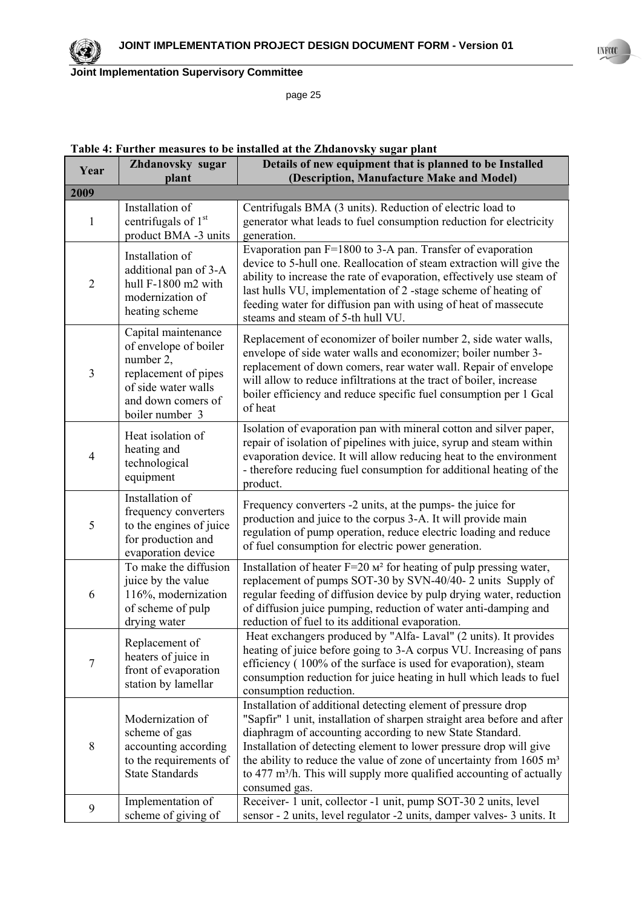page 25

| Year           | Zhdanovsky sugar<br>plant                                                                                                                         | Details of new equipment that is planned to be Installed<br>(Description, Manufacture Make and Model)                                                                                                                                                                                                                                                                                                                                                              |  |  |
|----------------|---------------------------------------------------------------------------------------------------------------------------------------------------|--------------------------------------------------------------------------------------------------------------------------------------------------------------------------------------------------------------------------------------------------------------------------------------------------------------------------------------------------------------------------------------------------------------------------------------------------------------------|--|--|
| 2009           |                                                                                                                                                   |                                                                                                                                                                                                                                                                                                                                                                                                                                                                    |  |  |
| $\mathbf{1}$   | Installation of<br>centrifugals of 1st<br>product BMA -3 units                                                                                    | Centrifugals BMA (3 units). Reduction of electric load to<br>generator what leads to fuel consumption reduction for electricity<br>generation.                                                                                                                                                                                                                                                                                                                     |  |  |
| $\overline{2}$ | Installation of<br>additional pan of 3-A<br>hull F-1800 m2 with<br>modernization of<br>heating scheme                                             | Evaporation pan F=1800 to 3-A pan. Transfer of evaporation<br>device to 5-hull one. Reallocation of steam extraction will give the<br>ability to increase the rate of evaporation, effectively use steam of<br>last hulls VU, implementation of 2-stage scheme of heating of<br>feeding water for diffusion pan with using of heat of massecute<br>steams and steam of 5-th hull VU.                                                                               |  |  |
| 3              | Capital maintenance<br>of envelope of boiler<br>number 2,<br>replacement of pipes<br>of side water walls<br>and down comers of<br>boiler number 3 | Replacement of economizer of boiler number 2, side water walls,<br>envelope of side water walls and economizer; boiler number 3-<br>replacement of down comers, rear water wall. Repair of envelope<br>will allow to reduce infiltrations at the tract of boiler, increase<br>boiler efficiency and reduce specific fuel consumption per 1 Gcal<br>of heat                                                                                                         |  |  |
| 4              | Heat isolation of<br>heating and<br>technological<br>equipment                                                                                    | Isolation of evaporation pan with mineral cotton and silver paper,<br>repair of isolation of pipelines with juice, syrup and steam within<br>evaporation device. It will allow reducing heat to the environment<br>- therefore reducing fuel consumption for additional heating of the<br>product.                                                                                                                                                                 |  |  |
| 5              | Installation of<br>frequency converters<br>to the engines of juice<br>for production and<br>evaporation device                                    | Frequency converters -2 units, at the pumps- the juice for<br>production and juice to the corpus 3-A. It will provide main<br>regulation of pump operation, reduce electric loading and reduce<br>of fuel consumption for electric power generation.                                                                                                                                                                                                               |  |  |
| 6              | To make the diffusion<br>juice by the value<br>116%, modernization<br>of scheme of pulp<br>drying water                                           | Installation of heater $F=20$ $M^2$ for heating of pulp pressing water,<br>replacement of pumps SOT-30 by SVN-40/40- 2 units Supply of<br>regular feeding of diffusion device by pulp drying water, reduction<br>of diffusion juice pumping, reduction of water anti-damping and<br>reduction of fuel to its additional evaporation.                                                                                                                               |  |  |
| $\overline{7}$ | Replacement of<br>heaters of juice in<br>front of evaporation<br>station by lamellar                                                              | Heat exchangers produced by "Alfa- Laval" (2 units). It provides<br>heating of juice before going to 3-A corpus VU. Increasing of pans<br>efficiency (100% of the surface is used for evaporation), steam<br>consumption reduction for juice heating in hull which leads to fuel<br>consumption reduction.                                                                                                                                                         |  |  |
| 8              | Modernization of<br>scheme of gas<br>accounting according<br>to the requirements of<br><b>State Standards</b>                                     | Installation of additional detecting element of pressure drop<br>"Sapfir" 1 unit, installation of sharpen straight area before and after<br>diaphragm of accounting according to new State Standard.<br>Installation of detecting element to lower pressure drop will give<br>the ability to reduce the value of zone of uncertainty from 1605 m <sup>3</sup><br>to 477 m <sup>3</sup> /h. This will supply more qualified accounting of actually<br>consumed gas. |  |  |
| 9              | Implementation of<br>scheme of giving of                                                                                                          | Receiver- 1 unit, collector -1 unit, pump SOT-30 2 units, level<br>sensor - 2 units, level regulator -2 units, damper valves- 3 units. It                                                                                                                                                                                                                                                                                                                          |  |  |

### **Table 4: Further measures to be installed at the Zhdanovsky sugar plant**

**UNFOCO**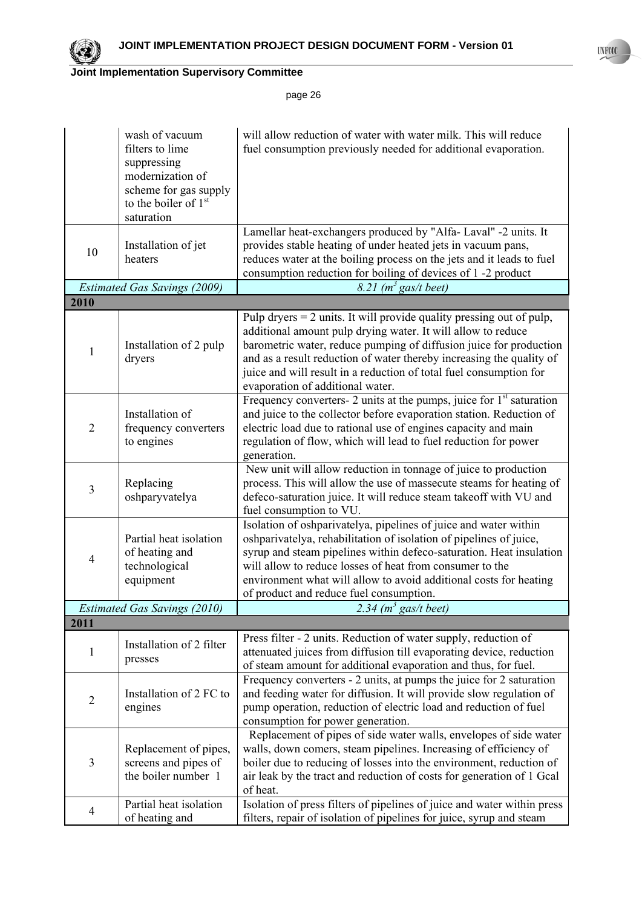

|                | wash of vacuum<br>filters to lime<br>suppressing<br>modernization of<br>scheme for gas supply<br>to the boiler of 1 <sup>st</sup><br>saturation | will allow reduction of water with water milk. This will reduce<br>fuel consumption previously needed for additional evaporation.                                                                                                                                                                                                                                                              |
|----------------|-------------------------------------------------------------------------------------------------------------------------------------------------|------------------------------------------------------------------------------------------------------------------------------------------------------------------------------------------------------------------------------------------------------------------------------------------------------------------------------------------------------------------------------------------------|
| 10             | Installation of jet<br>heaters                                                                                                                  | Lamellar heat-exchangers produced by "Alfa- Laval" -2 units. It<br>provides stable heating of under heated jets in vacuum pans,<br>reduces water at the boiling process on the jets and it leads to fuel<br>consumption reduction for boiling of devices of 1 -2 product                                                                                                                       |
| 2010           | <b>Estimated Gas Savings (2009)</b>                                                                                                             | 8.21 $(m^3 gas/t$ beet)                                                                                                                                                                                                                                                                                                                                                                        |
|                |                                                                                                                                                 |                                                                                                                                                                                                                                                                                                                                                                                                |
| 1              | Installation of 2 pulp<br>dryers                                                                                                                | Pulp dryers $= 2$ units. It will provide quality pressing out of pulp,<br>additional amount pulp drying water. It will allow to reduce<br>barometric water, reduce pumping of diffusion juice for production<br>and as a result reduction of water thereby increasing the quality of<br>juice and will result in a reduction of total fuel consumption for<br>evaporation of additional water. |
| $\overline{2}$ | Installation of<br>frequency converters<br>to engines                                                                                           | Frequency converters- 2 units at the pumps, juice for $1st$ saturation<br>and juice to the collector before evaporation station. Reduction of<br>electric load due to rational use of engines capacity and main<br>regulation of flow, which will lead to fuel reduction for power<br>generation.                                                                                              |
| 3              | Replacing<br>oshparyvatelya                                                                                                                     | New unit will allow reduction in tonnage of juice to production<br>process. This will allow the use of massecute steams for heating of<br>defeco-saturation juice. It will reduce steam takeoff with VU and<br>fuel consumption to VU.                                                                                                                                                         |
| 4              | Partial heat isolation<br>of heating and<br>technological<br>equipment                                                                          | Isolation of oshparivatelya, pipelines of juice and water within<br>oshparivatelya, rehabilitation of isolation of pipelines of juice,<br>syrup and steam pipelines within defeco-saturation. Heat insulation<br>will allow to reduce losses of heat from consumer to the<br>environment what will allow to avoid additional costs for heating<br>of product and reduce fuel consumption.      |
|                | <b>Estimated Gas Savings (2010)</b>                                                                                                             | 2.34 $(m^3$ gas/t beet)                                                                                                                                                                                                                                                                                                                                                                        |
| 2011           |                                                                                                                                                 |                                                                                                                                                                                                                                                                                                                                                                                                |
| 1              | Installation of 2 filter<br>presses                                                                                                             | Press filter - 2 units. Reduction of water supply, reduction of<br>attenuated juices from diffusion till evaporating device, reduction<br>of steam amount for additional evaporation and thus, for fuel.                                                                                                                                                                                       |
| $\overline{c}$ | Installation of 2 FC to<br>engines                                                                                                              | Frequency converters - 2 units, at pumps the juice for 2 saturation<br>and feeding water for diffusion. It will provide slow regulation of<br>pump operation, reduction of electric load and reduction of fuel<br>consumption for power generation.                                                                                                                                            |
| 3              | Replacement of pipes,<br>screens and pipes of<br>the boiler number 1                                                                            | Replacement of pipes of side water walls, envelopes of side water<br>walls, down comers, steam pipelines. Increasing of efficiency of<br>boiler due to reducing of losses into the environment, reduction of<br>air leak by the tract and reduction of costs for generation of 1 Gcal<br>of heat.                                                                                              |
| $\overline{4}$ | Partial heat isolation<br>of heating and                                                                                                        | Isolation of press filters of pipelines of juice and water within press<br>filters, repair of isolation of pipelines for juice, syrup and steam                                                                                                                                                                                                                                                |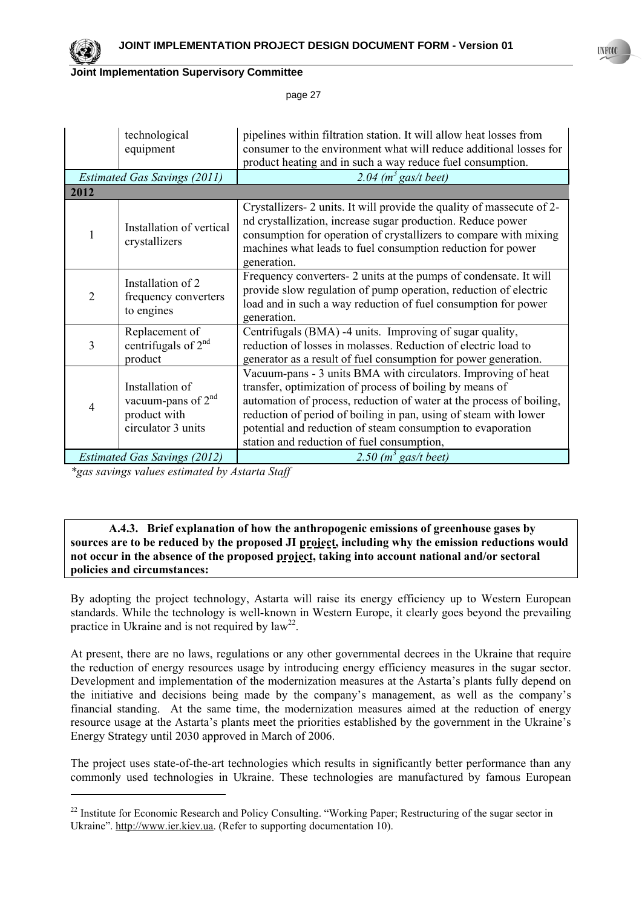

l

### **Joint Implementation Supervisory Committee**

page 27

|                                     | technological<br>equipment                                                    | pipelines within filtration station. It will allow heat losses from<br>consumer to the environment what will reduce additional losses for                                                                                                                                                                                                                                          |
|-------------------------------------|-------------------------------------------------------------------------------|------------------------------------------------------------------------------------------------------------------------------------------------------------------------------------------------------------------------------------------------------------------------------------------------------------------------------------------------------------------------------------|
|                                     |                                                                               | product heating and in such a way reduce fuel consumption.                                                                                                                                                                                                                                                                                                                         |
|                                     | <b>Estimated Gas Savings (2011)</b>                                           | 2.04 $(m^3$ gas/t beet)                                                                                                                                                                                                                                                                                                                                                            |
| 2012                                |                                                                               |                                                                                                                                                                                                                                                                                                                                                                                    |
|                                     | Installation of vertical<br>crystallizers                                     | Crystallizers- 2 units. It will provide the quality of massecute of 2-<br>nd crystallization, increase sugar production. Reduce power<br>consumption for operation of crystallizers to compare with mixing<br>machines what leads to fuel consumption reduction for power<br>generation.                                                                                           |
| $\overline{2}$                      | Installation of 2<br>frequency converters<br>to engines                       | Frequency converters- 2 units at the pumps of condensate. It will<br>provide slow regulation of pump operation, reduction of electric<br>load and in such a way reduction of fuel consumption for power<br>generation.                                                                                                                                                             |
| 3                                   | Replacement of<br>centrifugals of $2nd$<br>product                            | Centrifugals (BMA) -4 units. Improving of sugar quality,<br>reduction of losses in molasses. Reduction of electric load to<br>generator as a result of fuel consumption for power generation.                                                                                                                                                                                      |
| 4                                   | Installation of<br>vacuum-pans of $2nd$<br>product with<br>circulator 3 units | Vacuum-pans - 3 units BMA with circulators. Improving of heat<br>transfer, optimization of process of boiling by means of<br>automation of process, reduction of water at the process of boiling,<br>reduction of period of boiling in pan, using of steam with lower<br>potential and reduction of steam consumption to evaporation<br>station and reduction of fuel consumption, |
| <b>Estimated Gas Savings (2012)</b> |                                                                               | 2.50 $(m^3$ gas/t beet)                                                                                                                                                                                                                                                                                                                                                            |

*\*gas savings values estimated by Astarta Staff* 

### **A.4.3. Brief explanation of how the anthropogenic emissions of greenhouse gases by sources are to be reduced by the proposed JI project, including why the emission reductions would not occur in the absence of the proposed project, taking into account national and/or sectoral policies and circumstances:**

By adopting the project technology, Astarta will raise its energy efficiency up to Western European standards. While the technology is well-known in Western Europe, it clearly goes beyond the prevailing practice in Ukraine and is not required by  $law^{22}$ .

At present, there are no laws, regulations or any other governmental decrees in the Ukraine that require the reduction of energy resources usage by introducing energy efficiency measures in the sugar sector. Development and implementation of the modernization measures at the Astarta's plants fully depend on the initiative and decisions being made by the company's management, as well as the company's financial standing. At the same time, the modernization measures aimed at the reduction of energy resource usage at the Astarta's plants meet the priorities established by the government in the Ukraine's Energy Strategy until 2030 approved in March of 2006.

The project uses state-of-the-art technologies which results in significantly better performance than any commonly used technologies in Ukraine. These technologies are manufactured by famous European

<sup>&</sup>lt;sup>22</sup> Institute for Economic Research and Policy Consulting. "Working Paper; Restructuring of the sugar sector in Ukraine". http://www.ier.kiev.ua. (Refer to supporting documentation 10).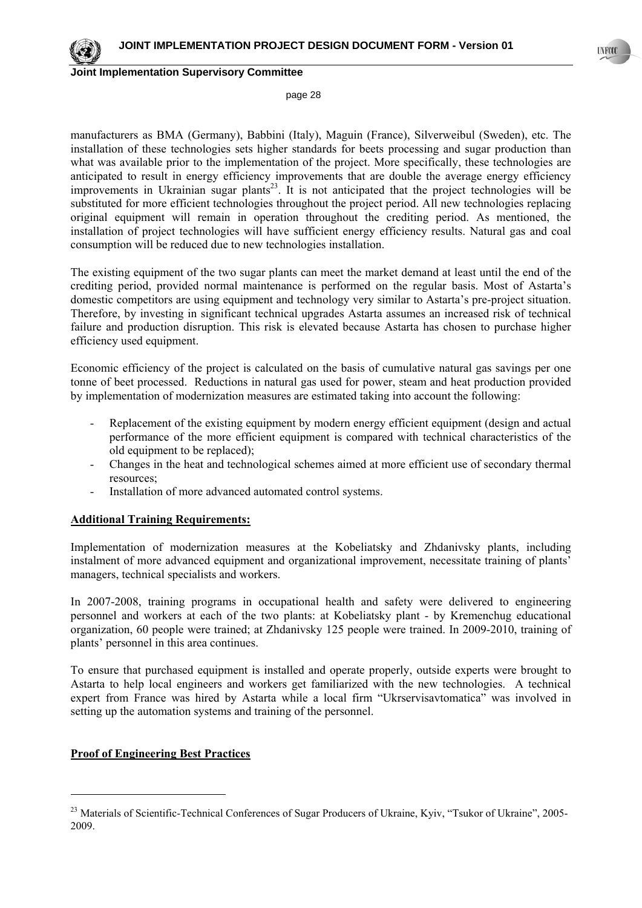

page 28

manufacturers as BMA (Germany), Babbini (Italy), Maguin (France), Silverweibul (Sweden), etc. The installation of these technologies sets higher standards for beets processing and sugar production than what was available prior to the implementation of the project. More specifically, these technologies are anticipated to result in energy efficiency improvements that are double the average energy efficiency improvements in Ukrainian sugar plants<sup>23</sup>. It is not anticipated that the project technologies will be substituted for more efficient technologies throughout the project period. All new technologies replacing original equipment will remain in operation throughout the crediting period. As mentioned, the installation of project technologies will have sufficient energy efficiency results. Natural gas and coal consumption will be reduced due to new technologies installation.

The existing equipment of the two sugar plants can meet the market demand at least until the end of the crediting period, provided normal maintenance is performed on the regular basis. Most of Astarta's domestic competitors are using equipment and technology very similar to Astarta's pre-project situation. Therefore, by investing in significant technical upgrades Astarta assumes an increased risk of technical failure and production disruption. This risk is elevated because Astarta has chosen to purchase higher efficiency used equipment.

Economic efficiency of the project is calculated on the basis of cumulative natural gas savings per one tonne of beet processed. Reductions in natural gas used for power, steam and heat production provided by implementation of modernization measures are estimated taking into account the following:

- Replacement of the existing equipment by modern energy efficient equipment (design and actual performance of the more efficient equipment is compared with technical characteristics of the old equipment to be replaced);
- Changes in the heat and technological schemes aimed at more efficient use of secondary thermal resources;
- Installation of more advanced automated control systems.

### **Additional Training Requirements:**

Implementation of modernization measures at the Kobeliatsky and Zhdanivsky plants, including instalment of more advanced equipment and organizational improvement, necessitate training of plants' managers, technical specialists and workers.

In 2007-2008, training programs in occupational health and safety were delivered to engineering personnel and workers at each of the two plants: at Kobeliatsky plant - by Kremenchug educational organization, 60 people were trained; at Zhdanivsky 125 people were trained. In 2009-2010, training of plants' personnel in this area continues.

To ensure that purchased equipment is installed and operate properly, outside experts were brought to Astarta to help local engineers and workers get familiarized with the new technologies. A technical expert from France was hired by Astarta while a local firm "Ukrservisavtomatica" was involved in setting up the automation systems and training of the personnel.

### **Proof of Engineering Best Practices**

<sup>&</sup>lt;sup>23</sup> Materials of Scientific-Technical Conferences of Sugar Producers of Ukraine, Kyiv, "Tsukor of Ukraine", 2005-2009.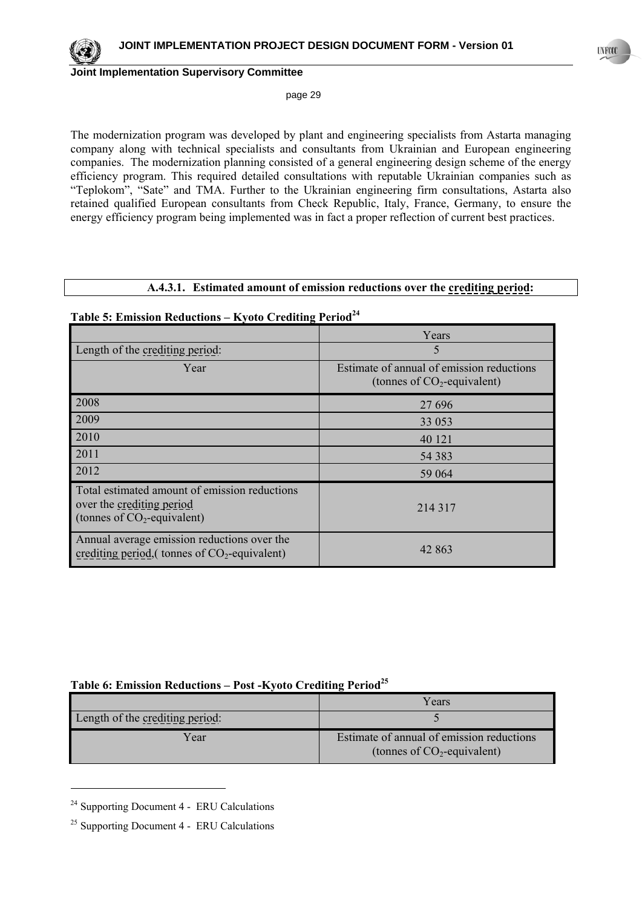

page 29

The modernization program was developed by plant and engineering specialists from Astarta managing company along with technical specialists and consultants from Ukrainian and European engineering companies. The modernization planning consisted of a general engineering design scheme of the energy efficiency program. This required detailed consultations with reputable Ukrainian companies such as "Teplokom", "Sate" and TMA. Further to the Ukrainian engineering firm consultations, Astarta also retained qualified European consultants from Check Republic, Italy, France, Germany, to ensure the energy efficiency program being implemented was in fact a proper reflection of current best practices.

#### **A.4.3.1. Estimated amount of emission reductions over the crediting period:**

# Table 5: Emission Reductions – Kyoto Crediting Period<sup>24</sup>

|                                                                                                             | Years                                                                       |
|-------------------------------------------------------------------------------------------------------------|-----------------------------------------------------------------------------|
| Length of the crediting period:                                                                             | 5                                                                           |
| Year                                                                                                        | Estimate of annual of emission reductions<br>(tonnes of $CO_2$ -equivalent) |
| 2008                                                                                                        | 27 696                                                                      |
| 2009                                                                                                        | 33 053                                                                      |
| 2010                                                                                                        | 40 121                                                                      |
| 2011                                                                                                        | 54 383                                                                      |
| 2012                                                                                                        | 59 064                                                                      |
| Total estimated amount of emission reductions<br>over the crediting period<br>(tonnes of $CO2$ -equivalent) | 214 317                                                                     |
| Annual average emission reductions over the<br>crediting period, (tonnes of $CO_2$ -equivalent)             | 42 863                                                                      |

### **Table 6: Emission Reductions – Post -Kyoto Crediting Period25**

|                                 | Years                                                                       |
|---------------------------------|-----------------------------------------------------------------------------|
| Length of the crediting period: |                                                                             |
| Year                            | Estimate of annual of emission reductions<br>(tonnes of $CO_2$ -equivalent) |

24 Supporting Document 4 - ERU Calculations

 $25$  Supporting Document 4 - ERU Calculations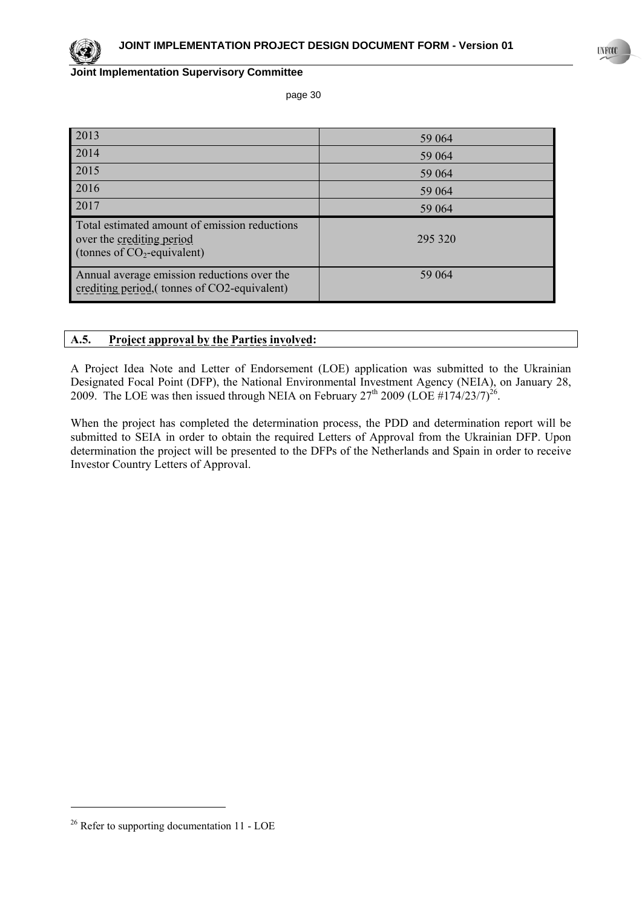page 30

| 2013                                                                                                         | 59 064  |
|--------------------------------------------------------------------------------------------------------------|---------|
| 2014                                                                                                         | 59 064  |
| 2015                                                                                                         | 59 064  |
| 2016                                                                                                         | 59 064  |
| 2017                                                                                                         | 59 064  |
| Total estimated amount of emission reductions<br>over the crediting period<br>(tonnes of $CO_2$ -equivalent) | 295 320 |
| Annual average emission reductions over the<br>crediting period, (tonnes of CO2-equivalent)                  | 59 064  |

## **A.5. Project approval by the Parties involved:**

A Project Idea Note and Letter of Endorsement (LOE) application was submitted to the Ukrainian Designated Focal Point (DFP), the National Environmental Investment Agency (NEIA), on January 28, 2009. The LOE was then issued through NEIA on February  $27<sup>th</sup>$  2009 (LOE #174/23/7)<sup>26</sup>.

When the project has completed the determination process, the PDD and determination report will be submitted to SEIA in order to obtain the required Letters of Approval from the Ukrainian DFP. Upon determination the project will be presented to the DFPs of the Netherlands and Spain in order to receive Investor Country Letters of Approval.

l

**UNFOCO** 

<sup>&</sup>lt;sup>26</sup> Refer to supporting documentation 11 - LOE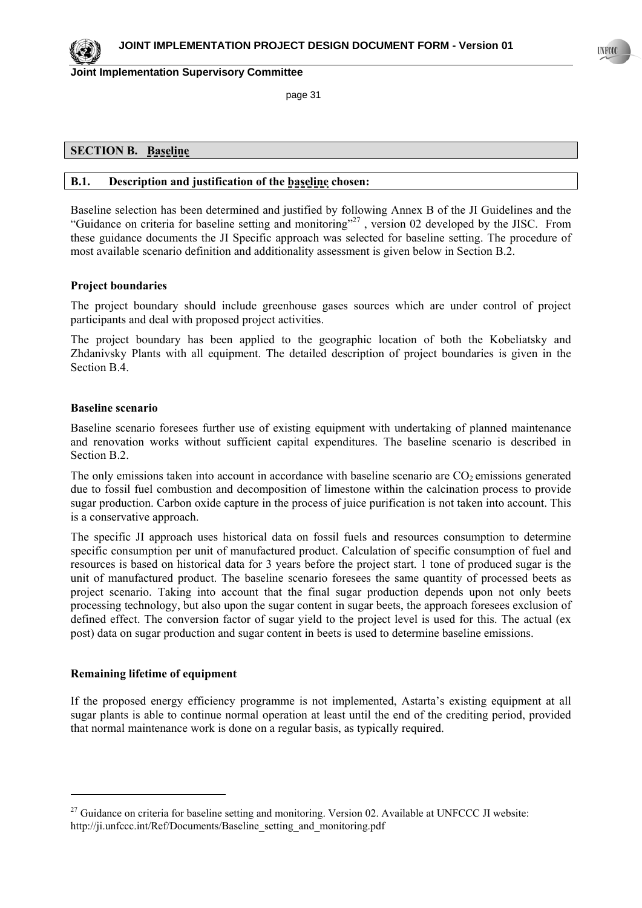page 31

### **SECTION B. Baseline**

#### **B.1. Description and justification of the baseline chosen:**

Baseline selection has been determined and justified by following Annex B of the JI Guidelines and the "Guidance on criteria for baseline setting and monitoring"<sup>27</sup>, version 02 developed by the JISC. From these guidance documents the JI Specific approach was selected for baseline setting. The procedure of most available scenario definition and additionality assessment is given below in Section B.2.

### **Project boundaries**

The project boundary should include greenhouse gases sources which are under control of project participants and deal with proposed project activities.

The project boundary has been applied to the geographic location of both the Kobeliatsky and Zhdanivsky Plants with all equipment. The detailed description of project boundaries is given in the Section B.4.

#### **Baseline scenario**

Baseline scenario foresees further use of existing equipment with undertaking of planned maintenance and renovation works without sufficient capital expenditures. The baseline scenario is described in Section B.2.

The only emissions taken into account in accordance with baseline scenario are  $CO<sub>2</sub>$  emissions generated due to fossil fuel combustion and decomposition of limestone within the calcination process to provide sugar production. Carbon oxide capture in the process of juice purification is not taken into account. This is a conservative approach.

The specific JI approach uses historical data on fossil fuels and resources consumption to determine specific consumption per unit of manufactured product. Calculation of specific consumption of fuel and resources is based on historical data for 3 years before the project start. 1 tone of produced sugar is the unit of manufactured product. The baseline scenario foresees the same quantity of processed beets as project scenario. Taking into account that the final sugar production depends upon not only beets processing technology, but also upon the sugar content in sugar beets, the approach foresees exclusion of defined effect. The conversion factor of sugar yield to the project level is used for this. The actual (ex post) data on sugar production and sugar content in beets is used to determine baseline emissions.

#### **Remaining lifetime of equipment**

l

If the proposed energy efficiency programme is not implemented, Astarta's existing equipment at all sugar plants is able to continue normal operation at least until the end of the crediting period, provided that normal maintenance work is done on a regular basis, as typically required.

<sup>&</sup>lt;sup>27</sup> Guidance on criteria for baseline setting and monitoring. Version 02. Available at UNFCCC JI website: http://ji.unfccc.int/Ref/Documents/Baseline setting and monitoring.pdf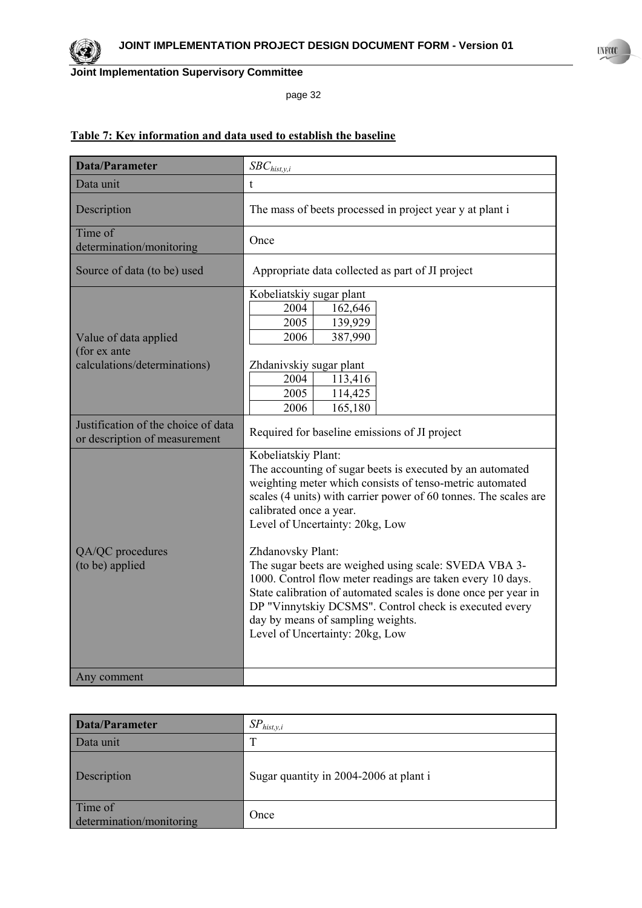

page 32

# **Table 7: Key information and data used to establish the baseline**

| <b>Data/Parameter</b>                                                 | $SBC_{hist,y,i}$                                                                                                                                                                                                                                                                                                                                                                                                                                                                                                                                                                                                               |  |
|-----------------------------------------------------------------------|--------------------------------------------------------------------------------------------------------------------------------------------------------------------------------------------------------------------------------------------------------------------------------------------------------------------------------------------------------------------------------------------------------------------------------------------------------------------------------------------------------------------------------------------------------------------------------------------------------------------------------|--|
| Data unit                                                             | t                                                                                                                                                                                                                                                                                                                                                                                                                                                                                                                                                                                                                              |  |
| Description                                                           | The mass of beets processed in project year y at plant i                                                                                                                                                                                                                                                                                                                                                                                                                                                                                                                                                                       |  |
| Time of<br>determination/monitoring                                   | Once                                                                                                                                                                                                                                                                                                                                                                                                                                                                                                                                                                                                                           |  |
| Source of data (to be) used                                           | Appropriate data collected as part of JI project                                                                                                                                                                                                                                                                                                                                                                                                                                                                                                                                                                               |  |
| Value of data applied<br>(for ex ante<br>calculations/determinations) | Kobeliatskiy sugar plant<br>2004<br>162,646<br>2005<br>139,929<br>387,990<br>2006<br>Zhdanivskiy sugar plant<br>2004<br>113,416<br>2005<br>114,425<br>165,180<br>2006                                                                                                                                                                                                                                                                                                                                                                                                                                                          |  |
| Justification of the choice of data<br>or description of measurement  | Required for baseline emissions of JI project                                                                                                                                                                                                                                                                                                                                                                                                                                                                                                                                                                                  |  |
| QA/QC procedures<br>(to be) applied                                   | Kobeliatskiy Plant:<br>The accounting of sugar beets is executed by an automated<br>weighting meter which consists of tenso-metric automated<br>scales (4 units) with carrier power of 60 tonnes. The scales are<br>calibrated once a year.<br>Level of Uncertainty: 20kg, Low<br>Zhdanovsky Plant:<br>The sugar beets are weighed using scale: SVEDA VBA 3-<br>1000. Control flow meter readings are taken every 10 days.<br>State calibration of automated scales is done once per year in<br>DP "Vinnytskiy DCSMS". Control check is executed every<br>day by means of sampling weights.<br>Level of Uncertainty: 20kg, Low |  |
| Any comment                                                           |                                                                                                                                                                                                                                                                                                                                                                                                                                                                                                                                                                                                                                |  |

| <b>Data/Parameter</b>               | $SP_{hist, y, i}$                      |
|-------------------------------------|----------------------------------------|
| Data unit                           | т                                      |
| Description                         | Sugar quantity in 2004-2006 at plant i |
| Time of<br>determination/monitoring | Once                                   |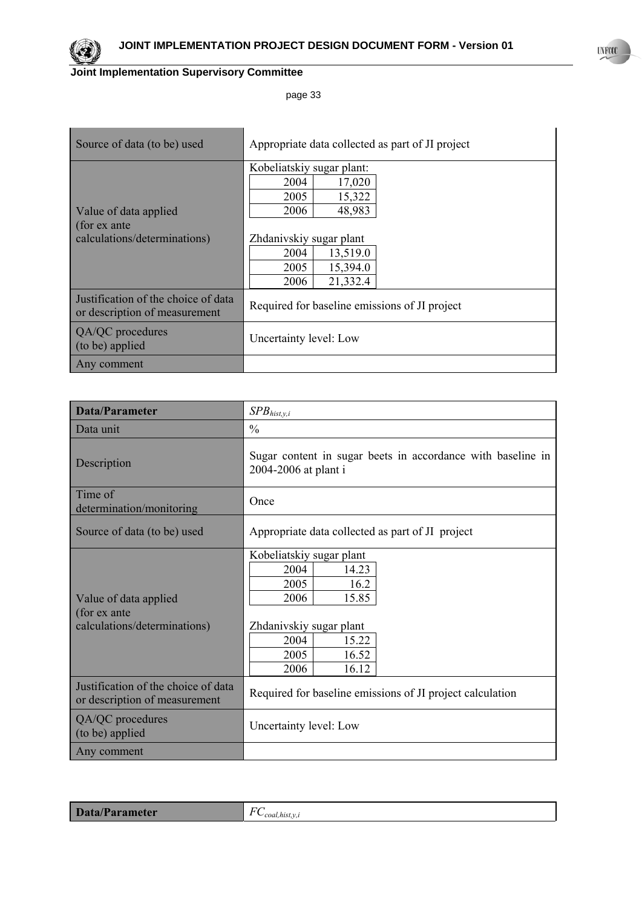

| Source of data (to be) used                                           | Appropriate data collected as part of JI project                                                                                                                       |  |
|-----------------------------------------------------------------------|------------------------------------------------------------------------------------------------------------------------------------------------------------------------|--|
| Value of data applied<br>(for ex ante<br>calculations/determinations) | Kobeliatskiy sugar plant:<br>2004<br>17,020<br>2005<br>15,322<br>48,983<br>2006<br>Zhdanivskiy sugar plant<br>13,519.0<br>2004<br>2005<br>15,394.0<br>21,332.4<br>2006 |  |
| Justification of the choice of data<br>or description of measurement  | Required for baseline emissions of JI project                                                                                                                          |  |
| QA/QC procedures<br>(to be) applied                                   | Uncertainty level: Low                                                                                                                                                 |  |
| Any comment                                                           |                                                                                                                                                                        |  |

| Data/Parameter                                                        | $SPB_{hist,y,i}$                                                                                                                                         |
|-----------------------------------------------------------------------|----------------------------------------------------------------------------------------------------------------------------------------------------------|
| Data unit                                                             | $\frac{0}{0}$                                                                                                                                            |
| Description                                                           | Sugar content in sugar beets in accordance with baseline in<br>2004-2006 at plant i                                                                      |
| Time of<br>determination/monitoring                                   | Once                                                                                                                                                     |
| Source of data (to be) used                                           | Appropriate data collected as part of JI project                                                                                                         |
| Value of data applied<br>(for ex ante<br>calculations/determinations) | Kobeliatskiy sugar plant<br>2004<br>14.23<br>2005<br>16.2<br>15.85<br>2006<br>Zhdanivskiy sugar plant<br>2004<br>15.22<br>2005<br>16.52<br>16.12<br>2006 |
| Justification of the choice of data<br>or description of measurement  | Required for baseline emissions of JI project calculation                                                                                                |
| QA/QC procedures<br>(to be) applied                                   | Uncertainty level: Low                                                                                                                                   |
| Any comment                                                           |                                                                                                                                                          |

| Data/Parameter | $\sim$<br>L<br>coal.hıst. |
|----------------|---------------------------|
|                |                           |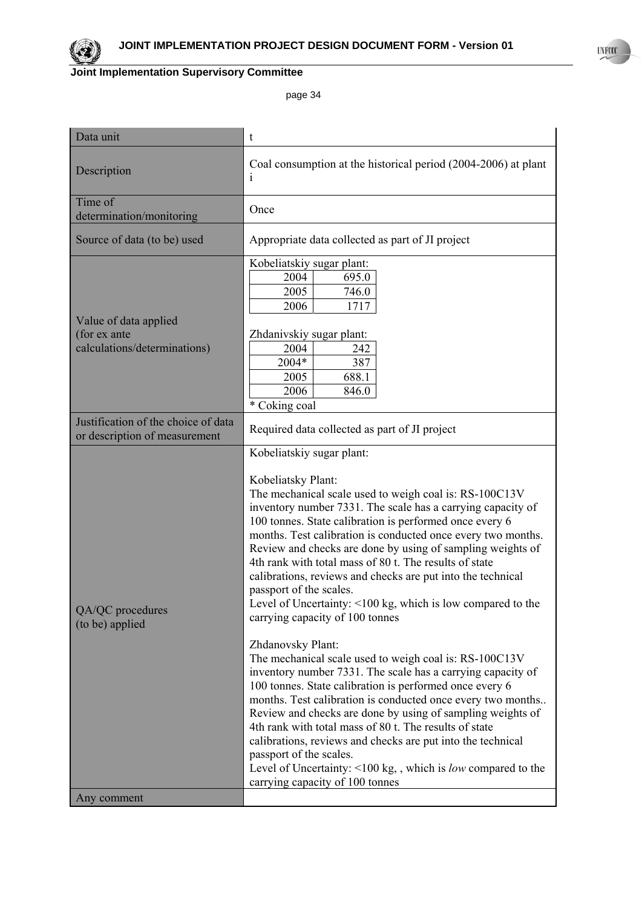

| Data unit                                                             | t                                                                                                                                                                                                                                                                                                                                                                                                                                                                                                                                                                                                                                                                                                                                                                                                                                                                                                                                                                                                                                                                                                                                                                                                                    |
|-----------------------------------------------------------------------|----------------------------------------------------------------------------------------------------------------------------------------------------------------------------------------------------------------------------------------------------------------------------------------------------------------------------------------------------------------------------------------------------------------------------------------------------------------------------------------------------------------------------------------------------------------------------------------------------------------------------------------------------------------------------------------------------------------------------------------------------------------------------------------------------------------------------------------------------------------------------------------------------------------------------------------------------------------------------------------------------------------------------------------------------------------------------------------------------------------------------------------------------------------------------------------------------------------------|
| Description                                                           | Coal consumption at the historical period (2004-2006) at plant                                                                                                                                                                                                                                                                                                                                                                                                                                                                                                                                                                                                                                                                                                                                                                                                                                                                                                                                                                                                                                                                                                                                                       |
| Time of<br>determination/monitoring                                   | Once                                                                                                                                                                                                                                                                                                                                                                                                                                                                                                                                                                                                                                                                                                                                                                                                                                                                                                                                                                                                                                                                                                                                                                                                                 |
| Source of data (to be) used                                           | Appropriate data collected as part of JI project                                                                                                                                                                                                                                                                                                                                                                                                                                                                                                                                                                                                                                                                                                                                                                                                                                                                                                                                                                                                                                                                                                                                                                     |
| Value of data applied<br>(for ex ante<br>calculations/determinations) | Kobeliatskiy sugar plant:<br>2004<br>695.0<br>2005<br>746.0<br>1717<br>2006<br>Zhdanivskiy sugar plant:<br>2004<br>242<br>2004*<br>387<br>688.1<br>2005<br>2006<br>846.0<br>* Coking coal                                                                                                                                                                                                                                                                                                                                                                                                                                                                                                                                                                                                                                                                                                                                                                                                                                                                                                                                                                                                                            |
| Justification of the choice of data<br>or description of measurement  | Required data collected as part of JI project                                                                                                                                                                                                                                                                                                                                                                                                                                                                                                                                                                                                                                                                                                                                                                                                                                                                                                                                                                                                                                                                                                                                                                        |
| QA/QC procedures<br>(to be) applied<br>Any comment                    | Kobeliatskiy sugar plant:<br>Kobeliatsky Plant:<br>The mechanical scale used to weigh coal is: RS-100C13V<br>inventory number 7331. The scale has a carrying capacity of<br>100 tonnes. State calibration is performed once every 6<br>months. Test calibration is conducted once every two months.<br>Review and checks are done by using of sampling weights of<br>4th rank with total mass of 80 t. The results of state<br>calibrations, reviews and checks are put into the technical<br>passport of the scales.<br>Level of Uncertainty: <100 kg, which is low compared to the<br>carrying capacity of 100 tonnes<br>Zhdanovsky Plant:<br>The mechanical scale used to weigh coal is: RS-100C13V<br>inventory number 7331. The scale has a carrying capacity of<br>100 tonnes. State calibration is performed once every 6<br>months. Test calibration is conducted once every two months<br>Review and checks are done by using of sampling weights of<br>4th rank with total mass of 80 t. The results of state<br>calibrations, reviews and checks are put into the technical<br>passport of the scales.<br>Level of Uncertainty: <100 kg,, which is low compared to the<br>carrying capacity of 100 tonnes |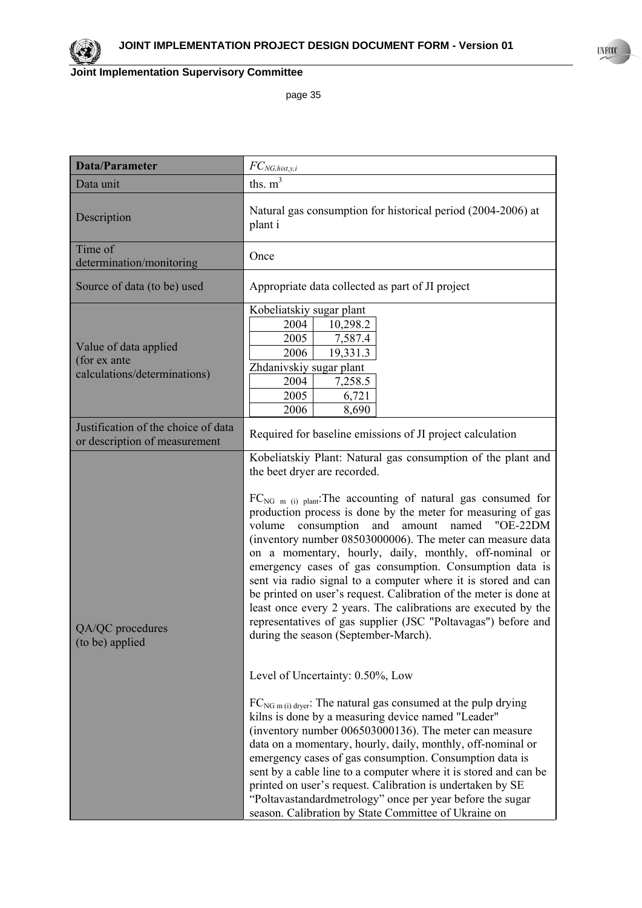

| <b>Data/Parameter</b>                                                 | $FC_{NG, hist, y, i}$                                                                                                                                                                                                                                                                                                                                                                                                                                                                                                                                                                                                                                                                                                                                                                                                                                                                                                                                                                                                                                                                                                                                                                                                                                                                                                                                                                                                          |
|-----------------------------------------------------------------------|--------------------------------------------------------------------------------------------------------------------------------------------------------------------------------------------------------------------------------------------------------------------------------------------------------------------------------------------------------------------------------------------------------------------------------------------------------------------------------------------------------------------------------------------------------------------------------------------------------------------------------------------------------------------------------------------------------------------------------------------------------------------------------------------------------------------------------------------------------------------------------------------------------------------------------------------------------------------------------------------------------------------------------------------------------------------------------------------------------------------------------------------------------------------------------------------------------------------------------------------------------------------------------------------------------------------------------------------------------------------------------------------------------------------------------|
| Data unit                                                             | ths. $m3$                                                                                                                                                                                                                                                                                                                                                                                                                                                                                                                                                                                                                                                                                                                                                                                                                                                                                                                                                                                                                                                                                                                                                                                                                                                                                                                                                                                                                      |
| Description                                                           | Natural gas consumption for historical period (2004-2006) at<br>plant i                                                                                                                                                                                                                                                                                                                                                                                                                                                                                                                                                                                                                                                                                                                                                                                                                                                                                                                                                                                                                                                                                                                                                                                                                                                                                                                                                        |
| Time of<br>determination/monitoring                                   | Once                                                                                                                                                                                                                                                                                                                                                                                                                                                                                                                                                                                                                                                                                                                                                                                                                                                                                                                                                                                                                                                                                                                                                                                                                                                                                                                                                                                                                           |
| Source of data (to be) used                                           | Appropriate data collected as part of JI project                                                                                                                                                                                                                                                                                                                                                                                                                                                                                                                                                                                                                                                                                                                                                                                                                                                                                                                                                                                                                                                                                                                                                                                                                                                                                                                                                                               |
| Value of data applied<br>(for ex ante<br>calculations/determinations) | Kobeliatskiy sugar plant<br>2004<br>10,298.2<br>2005<br>7,587.4<br>19,331.3<br>2006<br>Zhdanivskiy sugar plant<br>2004<br>7,258.5<br>6,721<br>2005<br>2006<br>8,690                                                                                                                                                                                                                                                                                                                                                                                                                                                                                                                                                                                                                                                                                                                                                                                                                                                                                                                                                                                                                                                                                                                                                                                                                                                            |
| Justification of the choice of data<br>or description of measurement  | Required for baseline emissions of JI project calculation                                                                                                                                                                                                                                                                                                                                                                                                                                                                                                                                                                                                                                                                                                                                                                                                                                                                                                                                                                                                                                                                                                                                                                                                                                                                                                                                                                      |
| QA/QC procedures<br>(to be) applied                                   | Kobeliatskiy Plant: Natural gas consumption of the plant and<br>the beet dryer are recorded.<br>$FC_{NG \text{m} (i) plant}$ : The accounting of natural gas consumed for<br>production process is done by the meter for measuring of gas<br>named<br>volume consumption<br>and<br>amount<br>"OE-22DM<br>(inventory number 08503000006). The meter can measure data<br>on a momentary, hourly, daily, monthly, off-nominal or<br>emergency cases of gas consumption. Consumption data is<br>sent via radio signal to a computer where it is stored and can<br>be printed on user's request. Calibration of the meter is done at<br>least once every 2 years. The calibrations are executed by the<br>representatives of gas supplier (JSC "Poltavagas") before and<br>during the season (September-March).<br>Level of Uncertainty: 0.50%, Low<br>$FC_{NG m (i) \text{ dyver}}$ : The natural gas consumed at the pulp drying<br>kilns is done by a measuring device named "Leader"<br>(inventory number 006503000136). The meter can measure<br>data on a momentary, hourly, daily, monthly, off-nominal or<br>emergency cases of gas consumption. Consumption data is<br>sent by a cable line to a computer where it is stored and can be<br>printed on user's request. Calibration is undertaken by SE<br>"Poltavastandardmetrology" once per year before the sugar<br>season. Calibration by State Committee of Ukraine on |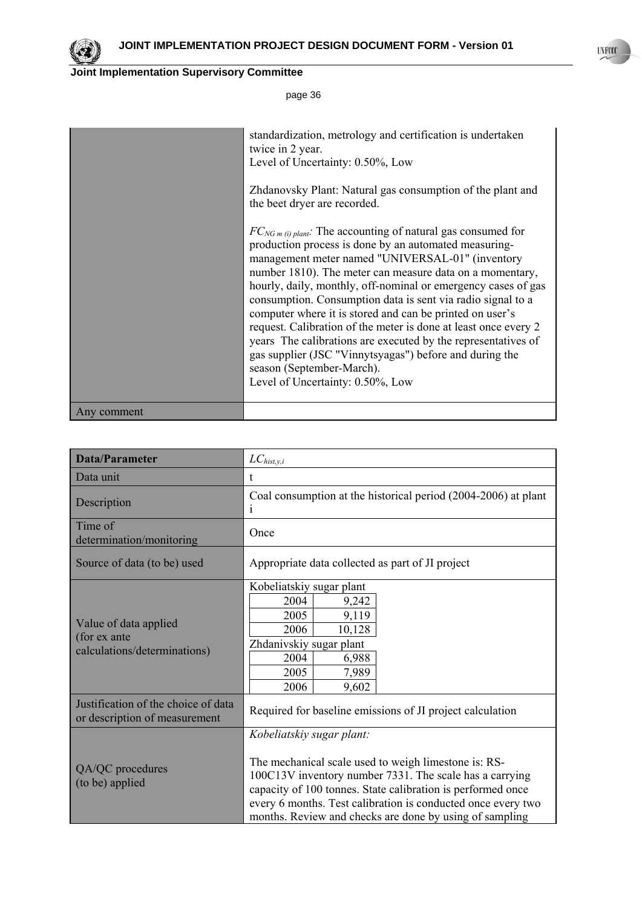

|             | standardization, metrology and certification is undertaken<br>twice in 2 year.<br>Level of Uncertainty: 0.50%, Low<br>Zhdanovsky Plant: Natural gas consumption of the plant and<br>the beet dryer are recorded.<br>$FC_{NGm (i) plant}$ . The accounting of natural gas consumed for<br>production process is done by an automated measuring-<br>management meter named "UNIVERSAL-01" (inventory<br>number 1810). The meter can measure data on a momentary,<br>hourly, daily, monthly, off-nominal or emergency cases of gas<br>consumption. Consumption data is sent via radio signal to a<br>computer where it is stored and can be printed on user's<br>request. Calibration of the meter is done at least once every 2<br>years. The calibrations are executed by the representatives of<br>gas supplier (JSC "Vinnytsyagas") before and during the<br>season (September-March).<br>Level of Uncertainty: 0.50%, Low |
|-------------|-----------------------------------------------------------------------------------------------------------------------------------------------------------------------------------------------------------------------------------------------------------------------------------------------------------------------------------------------------------------------------------------------------------------------------------------------------------------------------------------------------------------------------------------------------------------------------------------------------------------------------------------------------------------------------------------------------------------------------------------------------------------------------------------------------------------------------------------------------------------------------------------------------------------------------|
| Any comment |                                                                                                                                                                                                                                                                                                                                                                                                                                                                                                                                                                                                                                                                                                                                                                                                                                                                                                                             |

| <b>Data/Parameter</b>                                                 | $LC_{\textit{hist},y,i}$                                                                                                                                                                                                                                                                                                               |
|-----------------------------------------------------------------------|----------------------------------------------------------------------------------------------------------------------------------------------------------------------------------------------------------------------------------------------------------------------------------------------------------------------------------------|
| Data unit                                                             | t.                                                                                                                                                                                                                                                                                                                                     |
| Description                                                           | Coal consumption at the historical period (2004-2006) at plant<br>i                                                                                                                                                                                                                                                                    |
| Time of<br>determination/monitoring                                   | Once                                                                                                                                                                                                                                                                                                                                   |
| Source of data (to be) used                                           | Appropriate data collected as part of JI project                                                                                                                                                                                                                                                                                       |
| Value of data applied<br>(for ex ante<br>calculations/determinations) | Kobeliatskiy sugar plant<br>2004<br>9,242<br>9,119<br>2005<br>2006<br>10,128<br>Zhdanivskiy sugar plant<br>2004<br>6,988<br>2005<br>7,989<br>2006<br>9,602                                                                                                                                                                             |
| Justification of the choice of data<br>or description of measurement  | Required for baseline emissions of JI project calculation                                                                                                                                                                                                                                                                              |
| QA/QC procedures<br>(to be) applied                                   | Kobeliatskiy sugar plant:<br>The mechanical scale used to weigh limestone is: RS-<br>100C13V inventory number 7331. The scale has a carrying<br>capacity of 100 tonnes. State calibration is performed once<br>every 6 months. Test calibration is conducted once every two<br>months. Review and checks are done by using of sampling |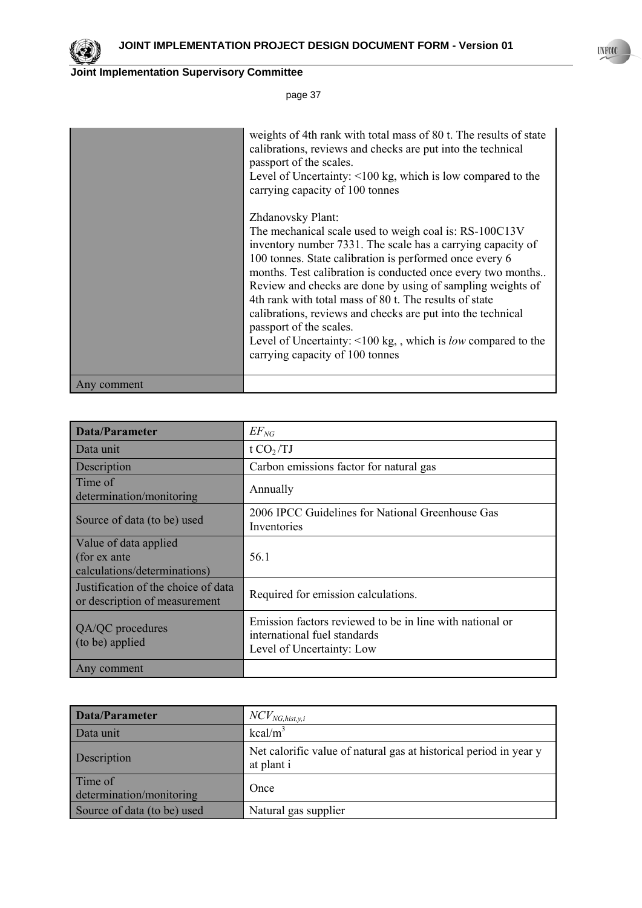

page 37

|             | weights of 4th rank with total mass of 80 t. The results of state<br>calibrations, reviews and checks are put into the technical<br>passport of the scales.<br>Level of Uncertainty: <100 kg, which is low compared to the<br>carrying capacity of 100 tonnes |
|-------------|---------------------------------------------------------------------------------------------------------------------------------------------------------------------------------------------------------------------------------------------------------------|
|             | Zhdanovsky Plant:                                                                                                                                                                                                                                             |
|             | The mechanical scale used to weigh coal is: RS-100C13V                                                                                                                                                                                                        |
|             | inventory number 7331. The scale has a carrying capacity of                                                                                                                                                                                                   |
|             | 100 tonnes. State calibration is performed once every 6                                                                                                                                                                                                       |
|             | months. Test calibration is conducted once every two months                                                                                                                                                                                                   |
|             | Review and checks are done by using of sampling weights of                                                                                                                                                                                                    |
|             | 4th rank with total mass of 80 t. The results of state                                                                                                                                                                                                        |
|             | calibrations, reviews and checks are put into the technical<br>passport of the scales.                                                                                                                                                                        |
|             | Level of Uncertainty: $\leq 100 \text{ kg}$ , which is <i>low</i> compared to the                                                                                                                                                                             |
|             | carrying capacity of 100 tonnes                                                                                                                                                                                                                               |
|             |                                                                                                                                                                                                                                                               |
| Any comment |                                                                                                                                                                                                                                                               |

| <b>Data/Parameter</b>                                                 | $EF_{NG}$                                                                                                             |
|-----------------------------------------------------------------------|-----------------------------------------------------------------------------------------------------------------------|
| Data unit                                                             | t $CO2/TJ$                                                                                                            |
| Description                                                           | Carbon emissions factor for natural gas                                                                               |
| Time of<br>determination/monitoring                                   | Annually                                                                                                              |
| Source of data (to be) used                                           | 2006 IPCC Guidelines for National Greenhouse Gas<br>Inventories                                                       |
| Value of data applied<br>(for ex ante<br>calculations/determinations) | 56 1                                                                                                                  |
| Justification of the choice of data<br>or description of measurement  | Required for emission calculations.                                                                                   |
| QA/QC procedures<br>(to be) applied                                   | Emission factors reviewed to be in line with national or<br>international fuel standards<br>Level of Uncertainty: Low |
| Any comment                                                           |                                                                                                                       |

| Data/Parameter                      | $NCV_{NG, hist, y, i}$                                                          |
|-------------------------------------|---------------------------------------------------------------------------------|
| Data unit                           | $kcal/m^3$                                                                      |
| Description                         | Net calorific value of natural gas at historical period in year y<br>at plant i |
| Time of<br>determination/monitoring | Once                                                                            |
| Source of data (to be) used         | Natural gas supplier                                                            |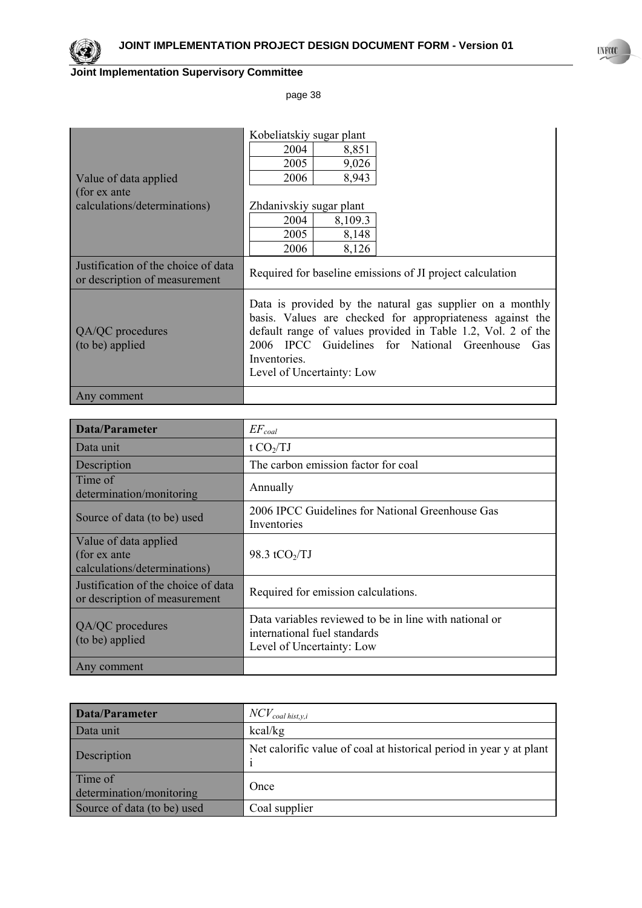

page 38

|                                                                      | Kobeliatskiy sugar plant                                                                                                                                                                                                                                                                |
|----------------------------------------------------------------------|-----------------------------------------------------------------------------------------------------------------------------------------------------------------------------------------------------------------------------------------------------------------------------------------|
|                                                                      | 2004<br>8,851                                                                                                                                                                                                                                                                           |
|                                                                      | 2005<br>9,026                                                                                                                                                                                                                                                                           |
| Value of data applied                                                | 2006<br>8,943                                                                                                                                                                                                                                                                           |
| (for ex ante                                                         |                                                                                                                                                                                                                                                                                         |
| calculations/determinations)                                         | Zhdanivskiy sugar plant                                                                                                                                                                                                                                                                 |
|                                                                      | 2004<br>8,109.3                                                                                                                                                                                                                                                                         |
|                                                                      | 2005<br>8,148                                                                                                                                                                                                                                                                           |
|                                                                      | 2006<br>8,126                                                                                                                                                                                                                                                                           |
| Justification of the choice of data<br>or description of measurement | Required for baseline emissions of JI project calculation                                                                                                                                                                                                                               |
| QA/QC procedures<br>(to be) applied                                  | Data is provided by the natural gas supplier on a monthly<br>basis. Values are checked for appropriateness against the<br>default range of values provided in Table 1.2, Vol. 2 of the<br>2006 IPCC Guidelines for National Greenhouse Gas<br>Inventories.<br>Level of Uncertainty: Low |
| Any comment                                                          |                                                                                                                                                                                                                                                                                         |

| Data/Parameter                                                        | $EF_{coal}$                                                                                                         |
|-----------------------------------------------------------------------|---------------------------------------------------------------------------------------------------------------------|
| Data unit                                                             | t $CO2/TJ$                                                                                                          |
| Description                                                           | The carbon emission factor for coal                                                                                 |
| Time of<br>determination/monitoring                                   | Annually                                                                                                            |
| Source of data (to be) used                                           | 2006 IPCC Guidelines for National Greenhouse Gas<br>Inventories                                                     |
| Value of data applied<br>(for ex ante<br>calculations/determinations) | 98.3 tCO $\sqrt{IJ}$                                                                                                |
| Justification of the choice of data<br>or description of measurement  | Required for emission calculations.                                                                                 |
| QA/QC procedures<br>(to be) applied                                   | Data variables reviewed to be in line with national or<br>international fuel standards<br>Level of Uncertainty: Low |
| Any comment                                                           |                                                                                                                     |

| Data/Parameter                      | $NCV_{coal\,hist,y,i}$                                              |
|-------------------------------------|---------------------------------------------------------------------|
| Data unit                           | kcal/kg                                                             |
| Description                         | Net calorific value of coal at historical period in year y at plant |
| Time of<br>determination/monitoring | Once                                                                |
| Source of data (to be) used         | Coal supplier                                                       |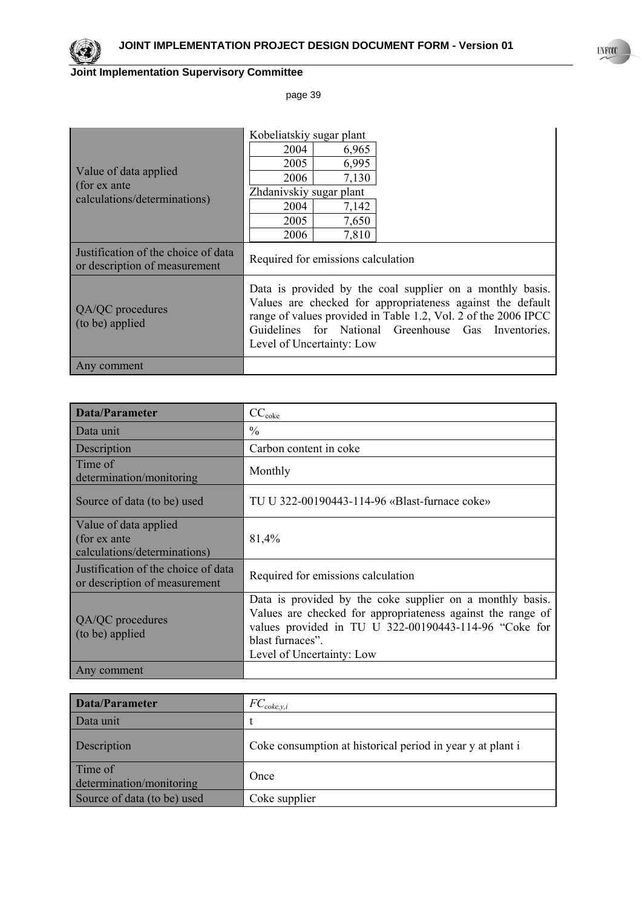

page 39

|                                                                      | Kobeliatskiy sugar plant                                                                                                                                                                                                                                                      |
|----------------------------------------------------------------------|-------------------------------------------------------------------------------------------------------------------------------------------------------------------------------------------------------------------------------------------------------------------------------|
|                                                                      | 6,965<br>2004                                                                                                                                                                                                                                                                 |
|                                                                      | 6,995<br>2005                                                                                                                                                                                                                                                                 |
| Value of data applied                                                | 2006<br>7,130                                                                                                                                                                                                                                                                 |
| (for ex ante<br>calculations/determinations)                         | Zhdanivskiy sugar plant                                                                                                                                                                                                                                                       |
|                                                                      | 7,142<br>2004                                                                                                                                                                                                                                                                 |
|                                                                      | 7,650<br>2005                                                                                                                                                                                                                                                                 |
|                                                                      | 7,810<br>2006                                                                                                                                                                                                                                                                 |
| Justification of the choice of data<br>or description of measurement | Required for emissions calculation                                                                                                                                                                                                                                            |
| QA/QC procedures<br>(to be) applied                                  | Data is provided by the coal supplier on a monthly basis.<br>Values are checked for appropriateness against the default<br>range of values provided in Table 1.2, Vol. 2 of the 2006 IPCC<br>Guidelines for National Greenhouse Gas Inventories.<br>Level of Uncertainty: Low |
| Any comment                                                          |                                                                                                                                                                                                                                                                               |

| <b>Data/Parameter</b>                                                 | $CC_{\text{coke}}$                                                                                                                                                                                                                 |
|-----------------------------------------------------------------------|------------------------------------------------------------------------------------------------------------------------------------------------------------------------------------------------------------------------------------|
| Data unit                                                             | $\%$                                                                                                                                                                                                                               |
| Description                                                           | Carbon content in coke                                                                                                                                                                                                             |
| Time of<br>determination/monitoring                                   | Monthly                                                                                                                                                                                                                            |
| Source of data (to be) used                                           | TU U 322-00190443-114-96 «Blast-furnace coke»                                                                                                                                                                                      |
| Value of data applied<br>(for ex ante<br>calculations/determinations) | 81,4%                                                                                                                                                                                                                              |
| Justification of the choice of data<br>or description of measurement  | Required for emissions calculation                                                                                                                                                                                                 |
| QA/QC procedures<br>(to be) applied                                   | Data is provided by the coke supplier on a monthly basis.<br>Values are checked for appropriateness against the range of<br>values provided in TU U 322-00190443-114-96 "Coke for<br>blast furnaces".<br>Level of Uncertainty: Low |
| Any comment                                                           |                                                                                                                                                                                                                                    |

| Data/Parameter                      | . $FC_{\text{coke},y,i}$                                   |
|-------------------------------------|------------------------------------------------------------|
| Data unit                           |                                                            |
| Description                         | Coke consumption at historical period in year y at plant i |
| Time of<br>determination/monitoring | Once                                                       |
| Source of data (to be) used         | Coke supplier                                              |

**UNFCCC**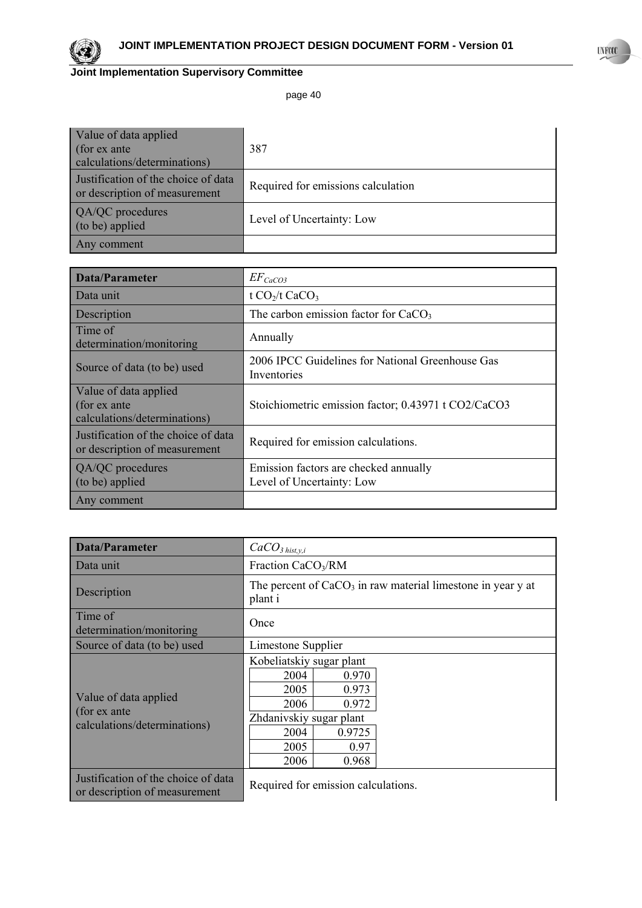

page 40

| Value of data applied<br>(for ex ante<br>calculations/determinations) | 387                                |
|-----------------------------------------------------------------------|------------------------------------|
| Justification of the choice of data<br>or description of measurement  | Required for emissions calculation |
| QA/QC procedures<br>(to be) applied                                   | Level of Uncertainty: Low          |
| Any comment                                                           |                                    |

| Data/Parameter                                                        | $EF_{CaCO3}$                                                       |
|-----------------------------------------------------------------------|--------------------------------------------------------------------|
| Data unit                                                             | t CO <sub>2</sub> /t CaCO <sub>3</sub>                             |
| Description                                                           | The carbon emission factor for $CaCO3$                             |
| Time of<br>determination/monitoring                                   | Annually                                                           |
| Source of data (to be) used                                           | 2006 IPCC Guidelines for National Greenhouse Gas<br>Inventories    |
| Value of data applied<br>(for ex ante<br>calculations/determinations) | Stoichiometric emission factor; 0.43971 t CO2/CaCO3                |
| Justification of the choice of data<br>or description of measurement  | Required for emission calculations.                                |
| QA/QC procedures<br>(to be) applied                                   | Emission factors are checked annually<br>Level of Uncertainty: Low |
| Any comment                                                           |                                                                    |

| Data/Parameter                                                        | $CaCO3$ <sub>hist,y,i</sub>                                                                                                                               |
|-----------------------------------------------------------------------|-----------------------------------------------------------------------------------------------------------------------------------------------------------|
| Data unit                                                             | Fraction CaCO <sub>3</sub> /RM                                                                                                                            |
| Description                                                           | The percent of $CaCO3$ in raw material limestone in year y at<br>plant i                                                                                  |
| Time of<br>determination/monitoring                                   | Once                                                                                                                                                      |
| Source of data (to be) used                                           | Limestone Supplier                                                                                                                                        |
| Value of data applied<br>(for ex ante<br>calculations/determinations) | Kobeliatskiy sugar plant<br>2004<br>0.970<br>2005<br>0.973<br>2006<br>0.972<br>Zhdanivskiy sugar plant<br>2004<br>0.9725<br>2005<br>0.97<br>2006<br>0.968 |
| Justification of the choice of data<br>or description of measurement  | Required for emission calculations.                                                                                                                       |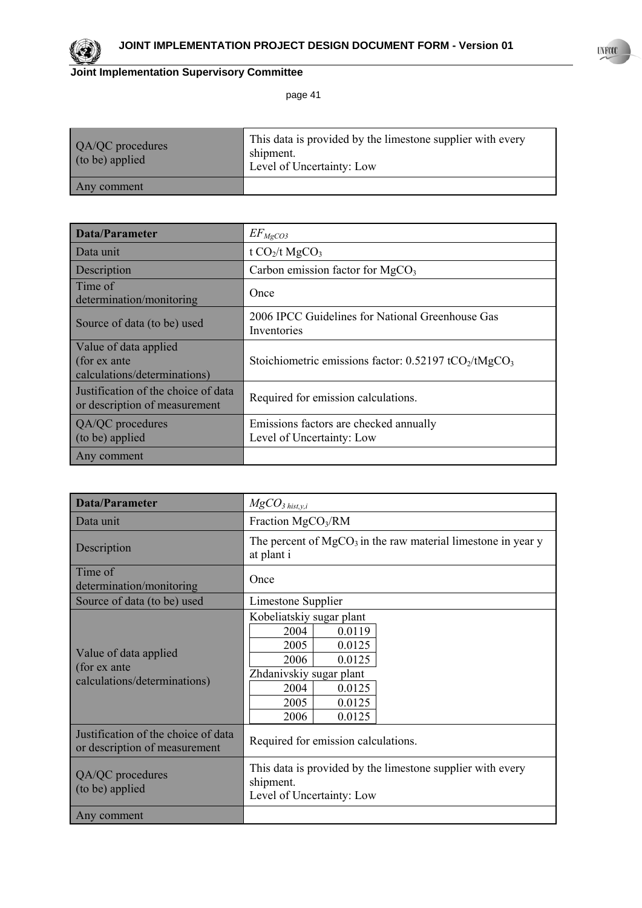

page 41

| QA/QC procedures<br>(to be) applied | This data is provided by the limestone supplier with every<br>shipment.<br>Level of Uncertainty: Low |
|-------------------------------------|------------------------------------------------------------------------------------------------------|
| Any comment                         |                                                                                                      |

| Data/Parameter                                                        | $EF_{MgCO3}$                                                                  |
|-----------------------------------------------------------------------|-------------------------------------------------------------------------------|
| Data unit                                                             | t $CO2/t$ MgCO <sub>3</sub>                                                   |
| Description                                                           | Carbon emission factor for $MgCO3$                                            |
| Time of<br>determination/monitoring                                   | Once                                                                          |
| Source of data (to be) used                                           | 2006 IPCC Guidelines for National Greenhouse Gas<br>Inventories               |
| Value of data applied<br>(for ex ante<br>calculations/determinations) | Stoichiometric emissions factor: 0.52197 tCO <sub>2</sub> /tMgCO <sub>3</sub> |
| Justification of the choice of data<br>or description of measurement  | Required for emission calculations.                                           |
| QA/QC procedures<br>(to be) applied                                   | Emissions factors are checked annually<br>Level of Uncertainty: Low           |
| Any comment                                                           |                                                                               |

| <b>Data/Parameter</b>                                                 | $MgCO3$ hist,y,i                                                                                                                                                |  |  |  |  |
|-----------------------------------------------------------------------|-----------------------------------------------------------------------------------------------------------------------------------------------------------------|--|--|--|--|
| Data unit                                                             | Fraction $MgCO3/RM$                                                                                                                                             |  |  |  |  |
| Description                                                           | The percent of $MgCO3$ in the raw material limestone in year y<br>at plant i                                                                                    |  |  |  |  |
| Time of<br>determination/monitoring                                   | Once                                                                                                                                                            |  |  |  |  |
| Source of data (to be) used                                           | Limestone Supplier                                                                                                                                              |  |  |  |  |
| Value of data applied<br>(for ex ante<br>calculations/determinations) | Kobeliatskiy sugar plant<br>2004<br>0.0119<br>2005<br>0.0125<br>2006<br>0.0125<br>Zhdanivskiy sugar plant<br>2004<br>0.0125<br>2005<br>0.0125<br>0.0125<br>2006 |  |  |  |  |
| Justification of the choice of data<br>or description of measurement  | Required for emission calculations.                                                                                                                             |  |  |  |  |
| QA/QC procedures<br>(to be) applied                                   | This data is provided by the limestone supplier with every<br>shipment.<br>Level of Uncertainty: Low                                                            |  |  |  |  |
| Any comment                                                           |                                                                                                                                                                 |  |  |  |  |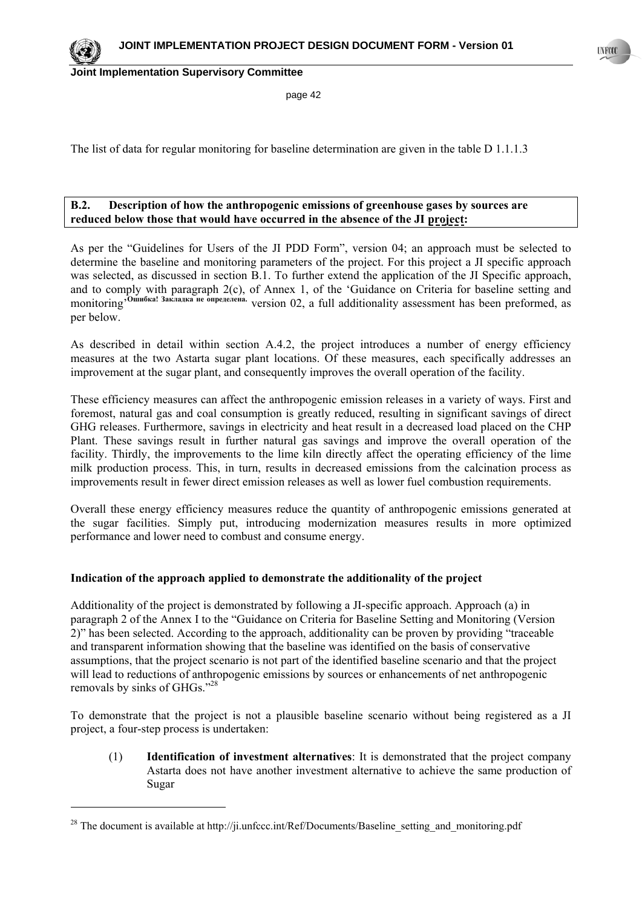page 42

The list of data for regular monitoring for baseline determination are given in the table D 1.1.1.3

## **B.2. Description of how the anthropogenic emissions of greenhouse gases by sources are reduced below those that would have occurred in the absence of the JI project:**

As per the "Guidelines for Users of the JI PDD Form", version 04; an approach must be selected to determine the baseline and monitoring parameters of the project. For this project a JI specific approach was selected, as discussed in section B.1. To further extend the application of the JI Specific approach, and to comply with paragraph 2(c), of Annex 1, of the 'Guidance on Criteria for baseline setting and monitoring'**Ошибка! Закладка не определена.** version 02, a full additionality assessment has been preformed, as per below.

As described in detail within section A.4.2, the project introduces a number of energy efficiency measures at the two Astarta sugar plant locations. Of these measures, each specifically addresses an improvement at the sugar plant, and consequently improves the overall operation of the facility.

These efficiency measures can affect the anthropogenic emission releases in a variety of ways. First and foremost, natural gas and coal consumption is greatly reduced, resulting in significant savings of direct GHG releases. Furthermore, savings in electricity and heat result in a decreased load placed on the CHP Plant. These savings result in further natural gas savings and improve the overall operation of the facility. Thirdly, the improvements to the lime kiln directly affect the operating efficiency of the lime milk production process. This, in turn, results in decreased emissions from the calcination process as improvements result in fewer direct emission releases as well as lower fuel combustion requirements.

Overall these energy efficiency measures reduce the quantity of anthropogenic emissions generated at the sugar facilities. Simply put, introducing modernization measures results in more optimized performance and lower need to combust and consume energy.

### **Indication of the approach applied to demonstrate the additionality of the project**

Additionality of the project is demonstrated by following a JI-specific approach. Approach (a) in paragraph 2 of the Annex I to the "Guidance on Criteria for Baseline Setting and Monitoring (Version 2)" has been selected. According to the approach, additionality can be proven by providing "traceable and transparent information showing that the baseline was identified on the basis of conservative assumptions, that the project scenario is not part of the identified baseline scenario and that the project will lead to reductions of anthropogenic emissions by sources or enhancements of net anthropogenic removals by sinks of GHGs."28

To demonstrate that the project is not a plausible baseline scenario without being registered as a JI project, a four-step process is undertaken:

(1) **Identification of investment alternatives**: It is demonstrated that the project company Astarta does not have another investment alternative to achieve the same production of Sugar



l

<sup>&</sup>lt;sup>28</sup> The document is available at http://ji.unfccc.int/Ref/Documents/Baseline setting and monitoring.pdf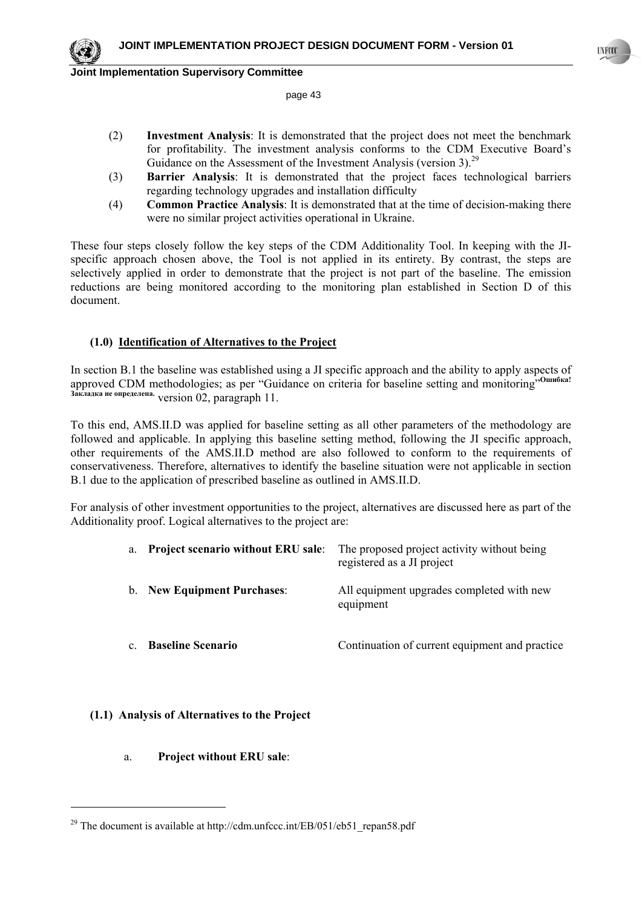page 43

- (2) **Investment Analysis**: It is demonstrated that the project does not meet the benchmark for profitability. The investment analysis conforms to the CDM Executive Board's Guidance on the Assessment of the Investment Analysis (version 3).<sup>29</sup>
- (3) **Barrier Analysis**: It is demonstrated that the project faces technological barriers regarding technology upgrades and installation difficulty
- (4) **Common Practice Analysis**: It is demonstrated that at the time of decision-making there were no similar project activities operational in Ukraine.

These four steps closely follow the key steps of the CDM Additionality Tool. In keeping with the JIspecific approach chosen above, the Tool is not applied in its entirety. By contrast, the steps are selectively applied in order to demonstrate that the project is not part of the baseline. The emission reductions are being monitored according to the monitoring plan established in Section D of this document.

## **(1.0) Identification of Alternatives to the Project**

In section B.1 the baseline was established using a JI specific approach and the ability to apply aspects of approved CDM methodologies; as per "Guidance on criteria for baseline setting and monitoring"**Ошибка! Закладка не определена.** version 02, paragraph 11.

To this end, AMS.II.D was applied for baseline setting as all other parameters of the methodology are followed and applicable. In applying this baseline setting method, following the JI specific approach, other requirements of the AMS.II.D method are also followed to conform to the requirements of conservativeness. Therefore, alternatives to identify the baseline situation were not applicable in section B.1 due to the application of prescribed baseline as outlined in AMS.II.D.

For analysis of other investment opportunities to the project, alternatives are discussed here as part of the Additionality proof. Logical alternatives to the project are:

| a.      |                                    | <b>Project scenario without ERU sale:</b> The proposed project activity without being<br>registered as a JI project |
|---------|------------------------------------|---------------------------------------------------------------------------------------------------------------------|
|         | <b>b.</b> New Equipment Purchases: | All equipment upgrades completed with new<br>equipment                                                              |
| $c_{-}$ | <b>Baseline Scenario</b>           | Continuation of current equipment and practice                                                                      |

# **(1.1) Analysis of Alternatives to the Project**

a. **Project without ERU sale**:

l

<sup>&</sup>lt;sup>29</sup> The document is available at http://cdm.unfccc.int/EB/051/eb51\_repan58.pdf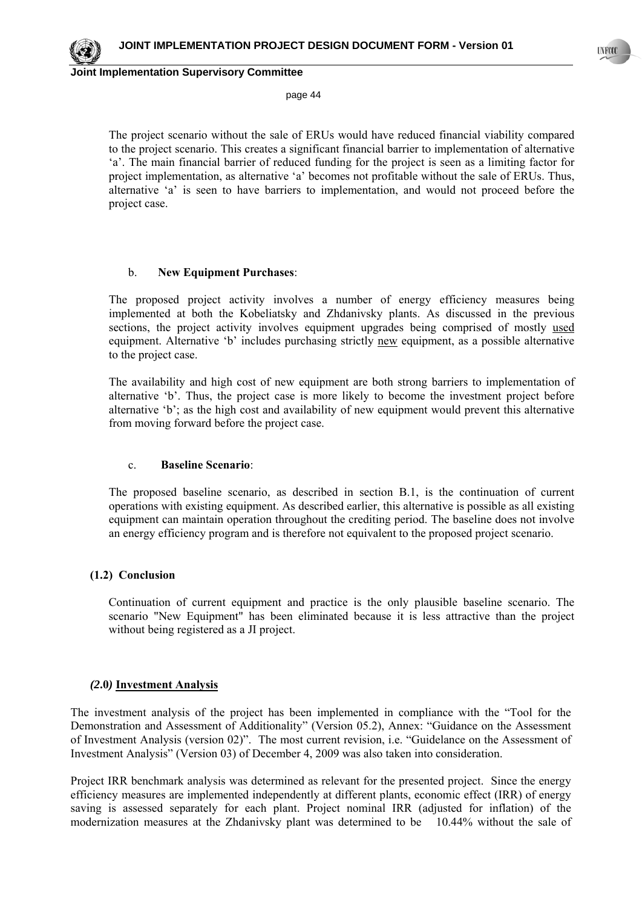page 44

The project scenario without the sale of ERUs would have reduced financial viability compared to the project scenario. This creates a significant financial barrier to implementation of alternative 'a'. The main financial barrier of reduced funding for the project is seen as a limiting factor for project implementation, as alternative 'a' becomes not profitable without the sale of ERUs. Thus, alternative 'a' is seen to have barriers to implementation, and would not proceed before the project case.

#### b. **New Equipment Purchases**:

The proposed project activity involves a number of energy efficiency measures being implemented at both the Kobeliatsky and Zhdanivsky plants. As discussed in the previous sections, the project activity involves equipment upgrades being comprised of mostly used equipment. Alternative 'b' includes purchasing strictly new equipment, as a possible alternative to the project case.

The availability and high cost of new equipment are both strong barriers to implementation of alternative 'b'. Thus, the project case is more likely to become the investment project before alternative 'b'; as the high cost and availability of new equipment would prevent this alternative from moving forward before the project case.

#### c. **Baseline Scenario**:

The proposed baseline scenario, as described in section B.1, is the continuation of current operations with existing equipment. As described earlier, this alternative is possible as all existing equipment can maintain operation throughout the crediting period. The baseline does not involve an energy efficiency program and is therefore not equivalent to the proposed project scenario.

#### **(1.2) Conclusion**

Continuation of current equipment and practice is the only plausible baseline scenario. The scenario "New Equipment" has been eliminated because it is less attractive than the project without being registered as a JI project.

#### *(2***.0***)* **Investment Analysis**

The investment analysis of the project has been implemented in compliance with the "Tool for the Demonstration and Assessment of Additionality" (Version 05.2), Annex: "Guidance on the Assessment of Investment Analysis (version 02)". The most current revision, i.e. "Guidelance on the Assessment of Investment Analysis" (Version 03) of December 4, 2009 was also taken into consideration.

Project IRR benchmark analysis was determined as relevant for the presented project. Since the energy efficiency measures are implemented independently at different plants, economic effect (IRR) of energy saving is assessed separately for each plant. Project nominal IRR (adjusted for inflation) of the modernization measures at the Zhdanivsky plant was determined to be 10.44% without the sale of

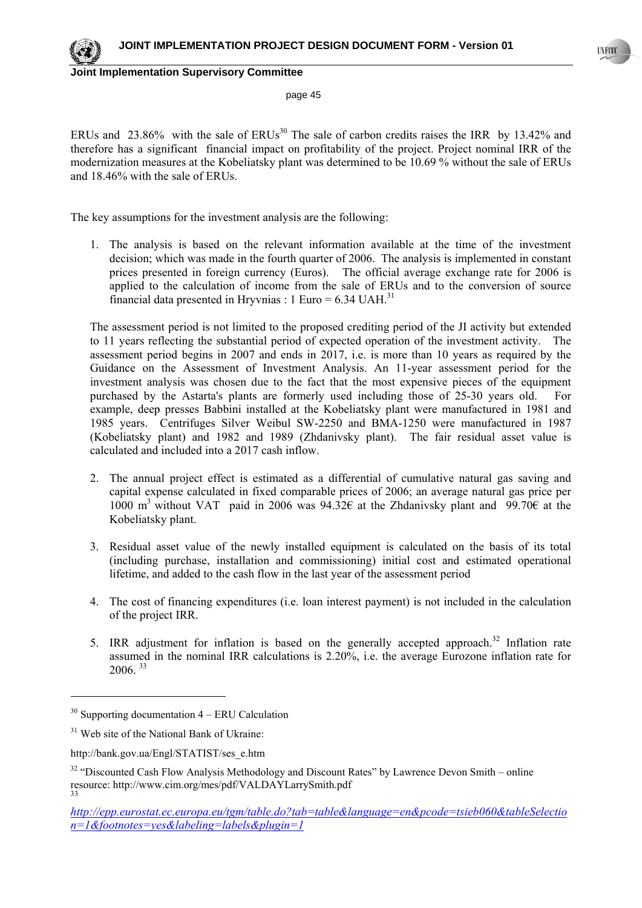

page 45

ERUs and 23.86% with the sale of  $ERUs<sup>30</sup>$  The sale of carbon credits raises the IRR by 13.42% and therefore has a significant financial impact on profitability of the project. Project nominal IRR of the modernization measures at the Kobeliatsky plant was determined to be 10.69 % without the sale of ERUs and 18.46% with the sale of ERUs.

The key assumptions for the investment analysis are the following:

1. The analysis is based on the relevant information available at the time of the investment decision; which was made in the fourth quarter of 2006. The analysis is implemented in constant prices presented in foreign currency (Euros). The official average exchange rate for 2006 is applied to the calculation of income from the sale of ERUs and to the conversion of source financial data presented in Hryvnias : 1 Euro =  $6.34$  UAH.<sup>31</sup>

The assessment period is not limited to the proposed crediting period of the JI activity but extended to 11 years reflecting the substantial period of expected operation of the investment activity. The assessment period begins in 2007 and ends in 2017, i.e. is more than 10 years as required by the Guidance on the Assessment of Investment Analysis. An 11-year assessment period for the investment analysis was chosen due to the fact that the most expensive pieces of the equipment purchased by the Astarta's plants are formerly used including those of 25-30 years old. For example, deep presses Babbini installed at the Kobeliatsky plant were manufactured in 1981 and 1985 years. Centrifuges Silver Weibul SW-2250 and BMA-1250 were manufactured in 1987 (Kobeliatsky plant) and 1982 and 1989 (Zhdanivsky plant). The fair residual asset value is calculated and included into a 2017 cash inflow.

- 2. The annual project effect is estimated as a differential of cumulative natural gas saving and capital expense calculated in fixed comparable prices of 2006; an average natural gas price per 1000 m<sup>3</sup> without VAT paid in 2006 was 94.32 $\epsilon$  at the Zhdanivsky plant and 99.70 $\epsilon$  at the Kobeliatsky plant.
- 3. Residual asset value of the newly installed equipment is calculated on the basis of its total (including purchase, installation and commissioning) initial cost and estimated operational lifetime, and added to the cash flow in the last year of the assessment period
- 4. The cost of financing expenditures (i.e. loan interest payment) is not included in the calculation of the project IRR.
- 5. IRR adjustment for inflation is based on the generally accepted approach.<sup>32</sup> Inflation rate assumed in the nominal IRR calculations is 2.20%, i.e. the average Eurozone inflation rate for 2006. <sup>33</sup>

l

 $30$  Supporting documentation  $4 - ERU$  Calculation

<sup>&</sup>lt;sup>31</sup> Web site of the National Bank of Ukraine:

http://bank.gov.ua/Engl/STATIST/ses\_e.htm

<sup>&</sup>lt;sup>32</sup> "Discounted Cash Flow Analysis Methodology and Discount Rates" by Lawrence Devon Smith – online resource: http://www.cim.org/mes/pdf/VALDAYLarrySmith.pdf 33

*http://epp.eurostat.ec.europa.eu/tgm/table.do?tab=table&language=en&pcode=tsieb060&tableSelectio n=1&footnotes=yes&labeling=labels&plugin=1*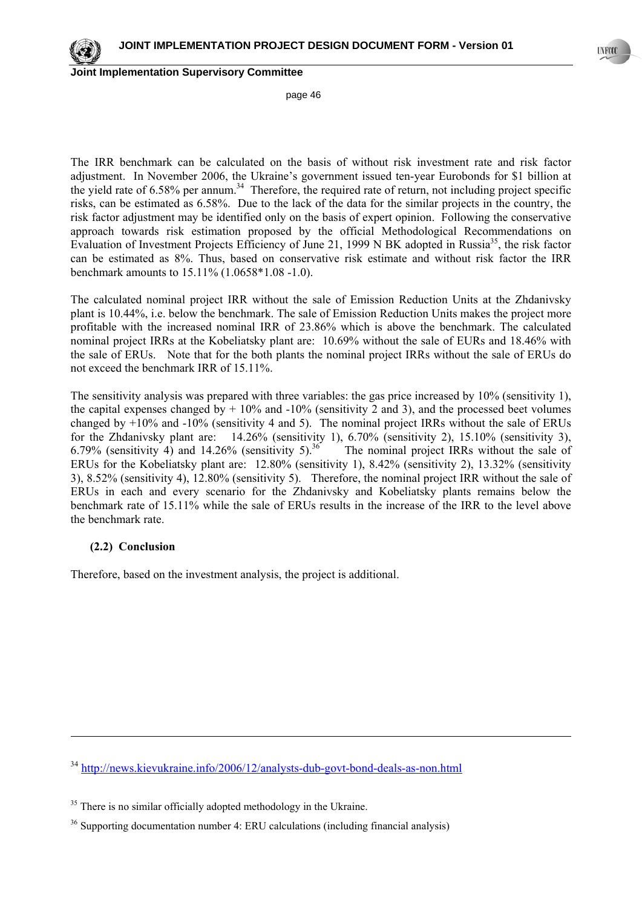page 46

The IRR benchmark can be calculated on the basis of without risk investment rate and risk factor adjustment. In November 2006, the Ukraine's government issued ten-year Eurobonds for \$1 billion at the yield rate of  $6.58\%$  per annum.<sup>34</sup> Therefore, the required rate of return, not including project specific risks, can be estimated as 6.58%. Due to the lack of the data for the similar projects in the country, the risk factor adjustment may be identified only on the basis of expert opinion. Following the conservative approach towards risk estimation proposed by the official Methodological Recommendations on Evaluation of Investment Projects Efficiency of June 21, 1999 N BK adopted in Russia<sup>35</sup>, the risk factor can be estimated as 8%. Thus, based on conservative risk estimate and without risk factor the IRR benchmark amounts to 15.11% (1.0658\*1.08 -1.0).

The calculated nominal project IRR without the sale of Emission Reduction Units at the Zhdanivsky plant is 10.44%, i.e. below the benchmark. The sale of Emission Reduction Units makes the project more profitable with the increased nominal IRR of 23.86% which is above the benchmark. The calculated nominal project IRRs at the Kobeliatsky plant are: 10.69% without the sale of EURs and 18.46% with the sale of ERUs. Note that for the both plants the nominal project IRRs without the sale of ERUs do not exceed the benchmark IRR of 15.11%.

The sensitivity analysis was prepared with three variables: the gas price increased by 10% (sensitivity 1), the capital expenses changed by  $+10\%$  and  $-10\%$  (sensitivity 2 and 3), and the processed beet volumes changed by  $+10\%$  and  $-10\%$  (sensitivity 4 and 5). The nominal project IRRs without the sale of ERUs for the Zhdanivsky plant are: 14.26% (sensitivity 1), 6.70% (sensitivity 2), 15.10% (sensitivity 3), 6.79% (sensitivity 4) and 14.26% (sensitivity 5).<sup>36</sup> The nominal project IRRs without the sale of ERUs for the Kobeliatsky plant are: 12.80% (sensitivity 1), 8.42% (sensitivity 2), 13.32% (sensitivity 3), 8.52% (sensitivity 4), 12.80% (sensitivity 5). Therefore, the nominal project IRR without the sale of ERUs in each and every scenario for the Zhdanivsky and Kobeliatsky plants remains below the benchmark rate of 15.11% while the sale of ERUs results in the increase of the IRR to the level above the benchmark rate.

### **(2.2) Conclusion**

-

Therefore, based on the investment analysis, the project is additional.

<sup>34</sup> http://news.kievukraine.info/2006/12/analysts-dub-govt-bond-deals-as-non.html

<sup>&</sup>lt;sup>35</sup> There is no similar officially adopted methodology in the Ukraine.

<sup>36</sup> Supporting documentation number 4: ERU calculations (including financial analysis)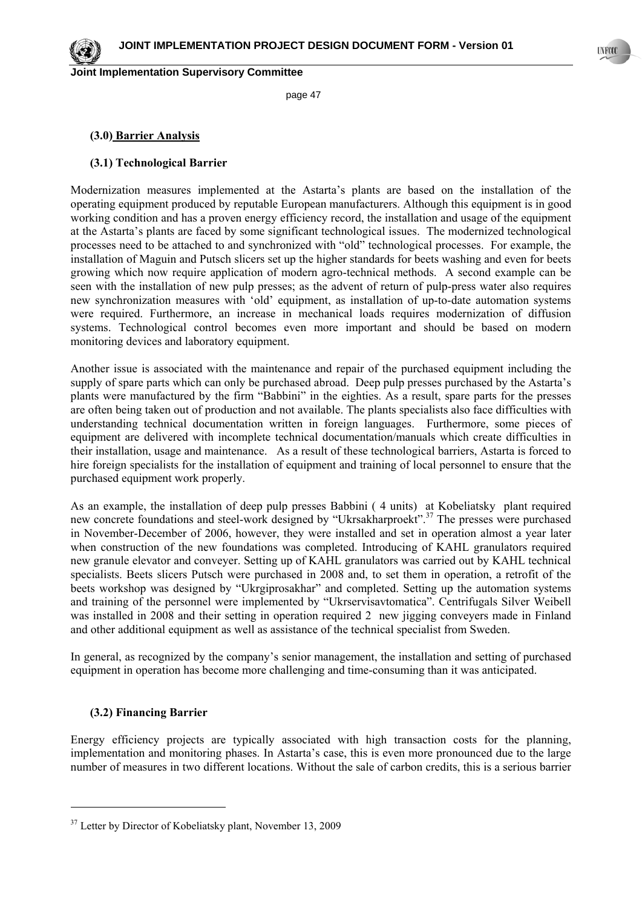page 47

## **(3.0) Barrier Analysis**

## **(3.1) Technological Barrier**

Modernization measures implemented at the Astarta's plants are based on the installation of the operating equipment produced by reputable European manufacturers. Although this equipment is in good working condition and has a proven energy efficiency record, the installation and usage of the equipment at the Astarta's plants are faced by some significant technological issues. The modernized technological processes need to be attached to and synchronized with "old" technological processes. For example, the installation of Maguin and Putsch slicers set up the higher standards for beets washing and even for beets growing which now require application of modern agro-technical methods. A second example can be seen with the installation of new pulp presses; as the advent of return of pulp-press water also requires new synchronization measures with 'old' equipment, as installation of up-to-date automation systems were required. Furthermore, an increase in mechanical loads requires modernization of diffusion systems. Technological control becomes even more important and should be based on modern monitoring devices and laboratory equipment.

Another issue is associated with the maintenance and repair of the purchased equipment including the supply of spare parts which can only be purchased abroad. Deep pulp presses purchased by the Astarta's plants were manufactured by the firm "Babbini" in the eighties. As a result, spare parts for the presses are often being taken out of production and not available. The plants specialists also face difficulties with understanding technical documentation written in foreign languages. Furthermore, some pieces of equipment are delivered with incomplete technical documentation/manuals which create difficulties in their installation, usage and maintenance. As a result of these technological barriers, Astarta is forced to hire foreign specialists for the installation of equipment and training of local personnel to ensure that the purchased equipment work properly.

As an example, the installation of deep pulp presses Babbini ( 4 units) at Kobeliatsky plant required new concrete foundations and steel-work designed by "Ukrsakharproekt".<sup>37</sup> The presses were purchased in November-December of 2006, however, they were installed and set in operation almost a year later when construction of the new foundations was completed. Introducing of KAHL granulators required new granule elevator and conveyer. Setting up of KAHL granulators was carried out by KAHL technical specialists. Beets slicers Putsch were purchased in 2008 and, to set them in operation, a retrofit of the beets workshop was designed by "Ukrgiprosakhar" and completed. Setting up the automation systems and training of the personnel were implemented by "Ukrservisavtomatica". Centrifugals Silver Weibell was installed in 2008 and their setting in operation required 2 new jigging conveyers made in Finland and other additional equipment as well as assistance of the technical specialist from Sweden.

In general, as recognized by the company's senior management, the installation and setting of purchased equipment in operation has become more challenging and time-consuming than it was anticipated.

### **(3.2) Financing Barrier**

l

Energy efficiency projects are typically associated with high transaction costs for the planning, implementation and monitoring phases. In Astarta's case, this is even more pronounced due to the large number of measures in two different locations. Without the sale of carbon credits, this is a serious barrier



<sup>&</sup>lt;sup>37</sup> Letter by Director of Kobeliatsky plant, November 13, 2009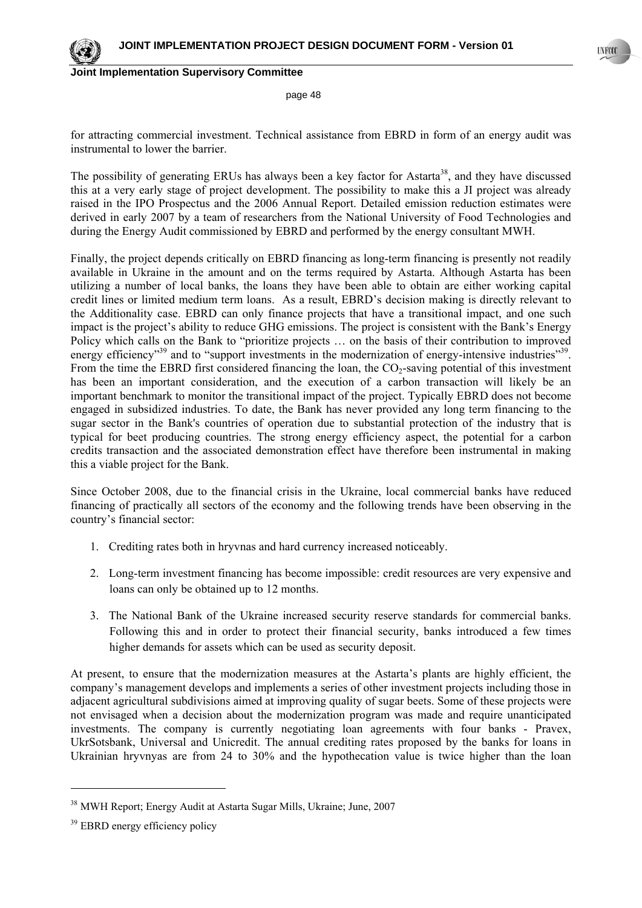

page 48

for attracting commercial investment. Technical assistance from EBRD in form of an energy audit was instrumental to lower the barrier.

The possibility of generating ERUs has always been a key factor for Astarta<sup>38</sup>, and they have discussed this at a very early stage of project development. The possibility to make this a JI project was already raised in the IPO Prospectus and the 2006 Annual Report. Detailed emission reduction estimates were derived in early 2007 by a team of researchers from the National University of Food Technologies and during the Energy Audit commissioned by EBRD and performed by the energy consultant MWH.

Finally, the project depends critically on EBRD financing as long-term financing is presently not readily available in Ukraine in the amount and on the terms required by Astarta. Although Astarta has been utilizing a number of local banks, the loans they have been able to obtain are either working capital credit lines or limited medium term loans. As a result, EBRD's decision making is directly relevant to the Additionality case. EBRD can only finance projects that have a transitional impact, and one such impact is the project's ability to reduce GHG emissions. The project is consistent with the Bank's Energy Policy which calls on the Bank to "prioritize projects … on the basis of their contribution to improved energy efficiency<sup>39</sup> and to "support investments in the modernization of energy-intensive industries<sup>39</sup>. From the time the EBRD first considered financing the loan, the CO<sub>2</sub>-saving potential of this investment has been an important consideration, and the execution of a carbon transaction will likely be an important benchmark to monitor the transitional impact of the project. Typically EBRD does not become engaged in subsidized industries. To date, the Bank has never provided any long term financing to the sugar sector in the Bank's countries of operation due to substantial protection of the industry that is typical for beet producing countries. The strong energy efficiency aspect, the potential for a carbon credits transaction and the associated demonstration effect have therefore been instrumental in making this a viable project for the Bank.

Since October 2008, due to the financial crisis in the Ukraine, local commercial banks have reduced financing of practically all sectors of the economy and the following trends have been observing in the country's financial sector:

- 1. Crediting rates both in hryvnas and hard currency increased noticeably.
- 2. Long-term investment financing has become impossible: credit resources are very expensive and loans can only be obtained up to 12 months.
- 3. The National Bank of the Ukraine increased security reserve standards for commercial banks. Following this and in order to protect their financial security, banks introduced a few times higher demands for assets which can be used as security deposit.

At present, to ensure that the modernization measures at the Astarta's plants are highly efficient, the company's management develops and implements a series of other investment projects including those in adjacent agricultural subdivisions aimed at improving quality of sugar beets. Some of these projects were not envisaged when a decision about the modernization program was made and require unanticipated investments. The company is currently negotiating loan agreements with four banks - Pravex, UkrSotsbank, Universal and Unicredit. The annual crediting rates proposed by the banks for loans in Ukrainian hryvnyas are from 24 to 30% and the hypothecation value is twice higher than the loan

l

<sup>38</sup> MWH Report; Energy Audit at Astarta Sugar Mills, Ukraine; June, 2007

<sup>&</sup>lt;sup>39</sup> EBRD energy efficiency policy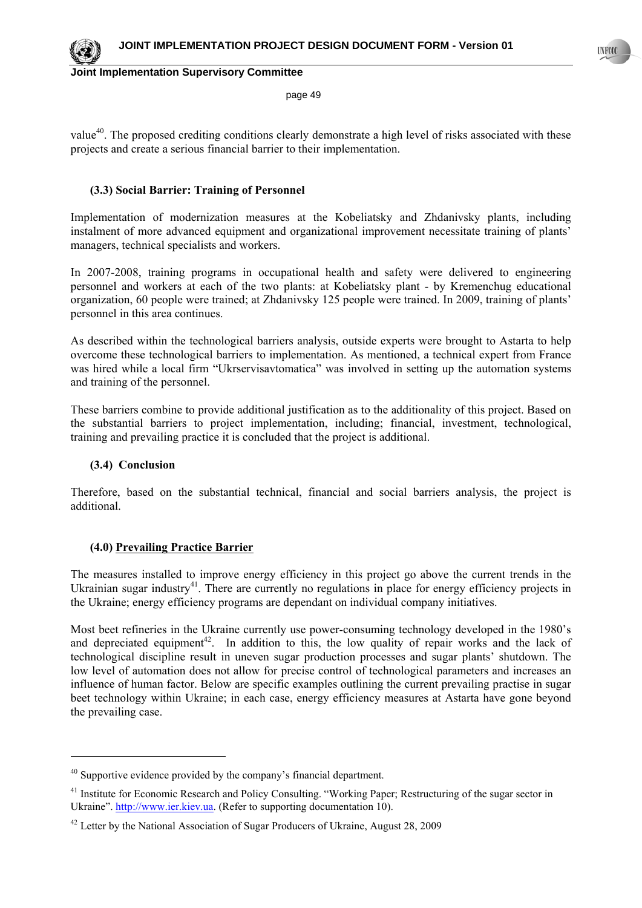

page 49

value<sup>40</sup>. The proposed crediting conditions clearly demonstrate a high level of risks associated with these projects and create a serious financial barrier to their implementation.

## **(3.3) Social Barrier: Training of Personnel**

Implementation of modernization measures at the Kobeliatsky and Zhdanivsky plants, including instalment of more advanced equipment and organizational improvement necessitate training of plants' managers, technical specialists and workers.

In 2007-2008, training programs in occupational health and safety were delivered to engineering personnel and workers at each of the two plants: at Kobeliatsky plant - by Kremenchug educational organization, 60 people were trained; at Zhdanivsky 125 people were trained. In 2009, training of plants' personnel in this area continues.

As described within the technological barriers analysis, outside experts were brought to Astarta to help overcome these technological barriers to implementation. As mentioned, a technical expert from France was hired while a local firm "Ukrservisavtomatica" was involved in setting up the automation systems and training of the personnel.

These barriers combine to provide additional justification as to the additionality of this project. Based on the substantial barriers to project implementation, including; financial, investment, technological, training and prevailing practice it is concluded that the project is additional.

### **(3.4) Conclusion**

 $\overline{a}$ 

Therefore, based on the substantial technical, financial and social barriers analysis, the project is additional.

### **(4.0) Prevailing Practice Barrier**

The measures installed to improve energy efficiency in this project go above the current trends in the Ukrainian sugar industry<sup>41</sup>. There are currently no regulations in place for energy efficiency projects in the Ukraine; energy efficiency programs are dependant on individual company initiatives.

Most beet refineries in the Ukraine currently use power-consuming technology developed in the 1980's and depreciated equipment<sup>42</sup>. In addition to this, the low quality of repair works and the lack of technological discipline result in uneven sugar production processes and sugar plants' shutdown. The low level of automation does not allow for precise control of technological parameters and increases an influence of human factor. Below are specific examples outlining the current prevailing practise in sugar beet technology within Ukraine; in each case, energy efficiency measures at Astarta have gone beyond the prevailing case.

 $40$  Supportive evidence provided by the company's financial department.

<sup>&</sup>lt;sup>41</sup> Institute for Economic Research and Policy Consulting. "Working Paper; Restructuring of the sugar sector in Ukraine". http://www.ier.kiev.ua. (Refer to supporting documentation 10).

 $42$  Letter by the National Association of Sugar Producers of Ukraine, August 28, 2009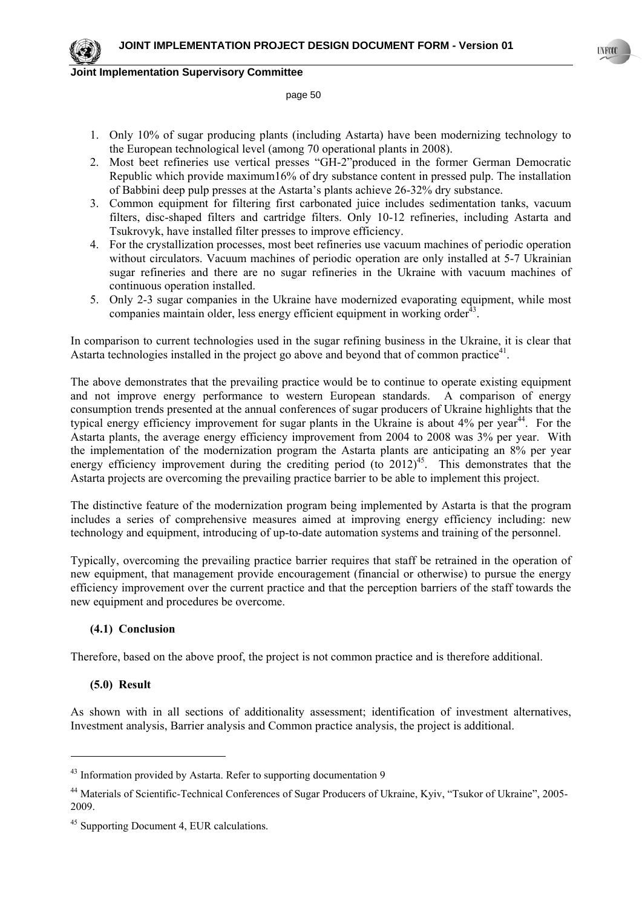#### page 50

- 1. Only 10% of sugar producing plants (including Astarta) have been modernizing technology to the European technological level (among 70 operational plants in 2008).
- 2. Most beet refineries use vertical presses "GH-2"produced in the former German Democratic Republic which provide maximum16% of dry substance content in pressed pulp. The installation of Babbini deep pulp presses at the Astarta's plants achieve 26-32% dry substance.
- 3. Common equipment for filtering first carbonated juice includes sedimentation tanks, vacuum filters, disc-shaped filters and cartridge filters. Only 10-12 refineries, including Astarta and Tsukrovyk, have installed filter presses to improve efficiency.
- 4. For the crystallization processes, most beet refineries use vacuum machines of periodic operation without circulators. Vacuum machines of periodic operation are only installed at 5-7 Ukrainian sugar refineries and there are no sugar refineries in the Ukraine with vacuum machines of continuous operation installed.
- 5. Only 2-3 sugar companies in the Ukraine have modernized evaporating equipment, while most companies maintain older, less energy efficient equipment in working order $^{43}$ .

In comparison to current technologies used in the sugar refining business in the Ukraine, it is clear that Astarta technologies installed in the project go above and beyond that of common practice<sup>41</sup>.

The above demonstrates that the prevailing practice would be to continue to operate existing equipment and not improve energy performance to western European standards. A comparison of energy consumption trends presented at the annual conferences of sugar producers of Ukraine highlights that the typical energy efficiency improvement for sugar plants in the Ukraine is about 4% per year<sup>44</sup>. For the Astarta plants, the average energy efficiency improvement from 2004 to 2008 was 3% per year. With the implementation of the modernization program the Astarta plants are anticipating an 8% per year energy efficiency improvement during the crediting period (to  $2012$ )<sup>45</sup>. This demonstrates that the Astarta projects are overcoming the prevailing practice barrier to be able to implement this project.

The distinctive feature of the modernization program being implemented by Astarta is that the program includes a series of comprehensive measures aimed at improving energy efficiency including: new technology and equipment, introducing of up-to-date automation systems and training of the personnel.

Typically, overcoming the prevailing practice barrier requires that staff be retrained in the operation of new equipment, that management provide encouragement (financial or otherwise) to pursue the energy efficiency improvement over the current practice and that the perception barriers of the staff towards the new equipment and procedures be overcome.

### **(4.1) Conclusion**

Therefore, based on the above proof, the project is not common practice and is therefore additional.

### **(5.0) Result**

 $\overline{a}$ 

As shown with in all sections of additionality assessment; identification of investment alternatives, Investment analysis, Barrier analysis and Common practice analysis, the project is additional.



<sup>&</sup>lt;sup>43</sup> Information provided by Astarta. Refer to supporting documentation 9

<sup>44</sup> Materials of Scientific-Technical Conferences of Sugar Producers of Ukraine, Kyiv, "Tsukor of Ukraine", 2005- 2009.

<sup>&</sup>lt;sup>45</sup> Supporting Document 4, EUR calculations.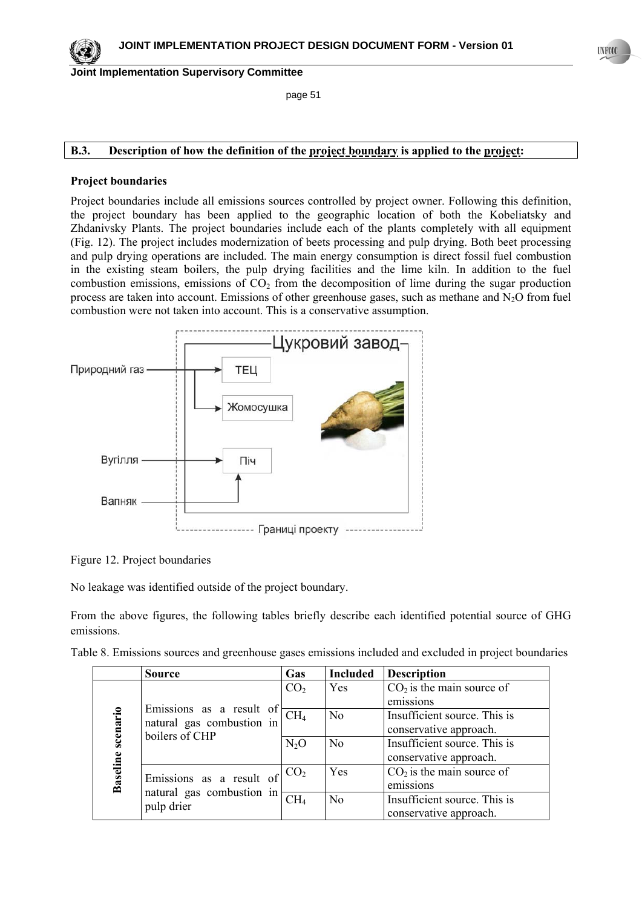page 51

# **B.3. Description of how the definition of the project boundary is applied to the project:**

#### **Project boundaries**

Project boundaries include all emissions sources controlled by project owner. Following this definition, the project boundary has been applied to the geographic location of both the Kobeliatsky and Zhdanivsky Plants. The project boundaries include each of the plants completely with all equipment (Fig. 12). The project includes modernization of beets processing and pulp drying. Both beet processing and pulp drying operations are included. The main energy consumption is direct fossil fuel combustion in the existing steam boilers, the pulp drying facilities and the lime kiln. In addition to the fuel combustion emissions, emissions of  $CO<sub>2</sub>$  from the decomposition of lime during the sugar production process are taken into account. Emissions of other greenhouse gases, such as methane and  $N_2O$  from fuel combustion were not taken into account. This is a conservative assumption.



Figure 12. Project boundaries

No leakage was identified outside of the project boundary.

From the above figures, the following tables briefly describe each identified potential source of GHG emissions.

|  | Table 8. Emissions sources and greenhouse gases emissions included and excluded in project boundaries |
|--|-------------------------------------------------------------------------------------------------------|

|                 | <b>Source</b>             | Gas             | <b>Included</b> | <b>Description</b>           |
|-----------------|---------------------------|-----------------|-----------------|------------------------------|
|                 |                           | CO <sub>2</sub> | Yes             | $CO2$ is the main source of  |
|                 | Emissions as a result of  |                 |                 | emissions                    |
| scenario        | natural gas combustion in | CH <sub>4</sub> | N <sub>o</sub>  | Insufficient source. This is |
|                 | boilers of CHP            |                 |                 | conservative approach.       |
|                 |                           | $N_2O$          | No              | Insufficient source. This is |
|                 |                           |                 |                 | conservative approach.       |
|                 | Emissions as a result of  |                 | Yes             | $CO2$ is the main source of  |
| <b>Baseline</b> | natural gas combustion in |                 |                 | emissions                    |
|                 |                           | CH <sub>4</sub> | No              | Insufficient source. This is |
|                 | pulp drier                |                 |                 | conservative approach.       |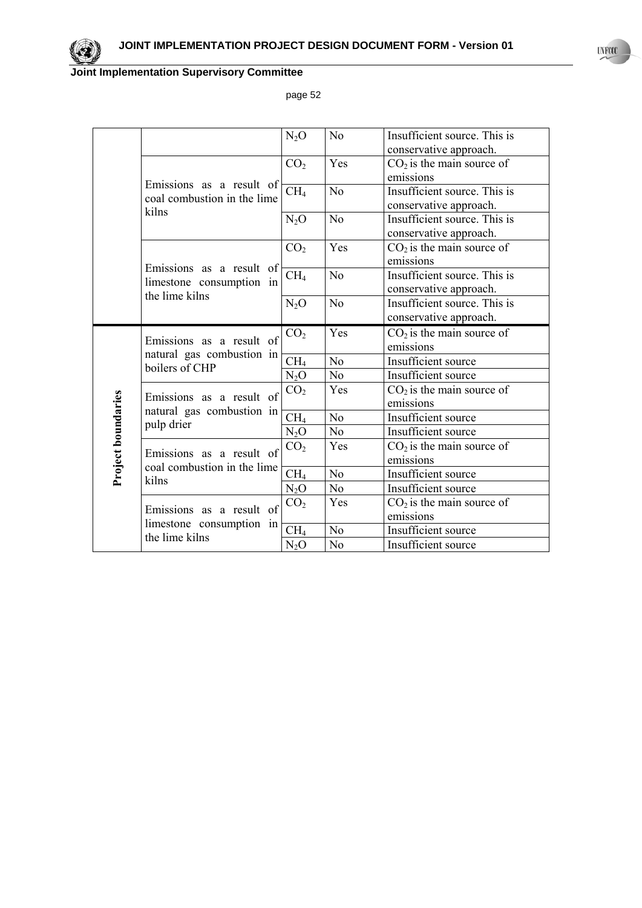

page 52

|                                    |                                             | $N_2O$           | N <sub>0</sub> | Insufficient source. This is |
|------------------------------------|---------------------------------------------|------------------|----------------|------------------------------|
|                                    |                                             |                  |                | conservative approach.       |
|                                    |                                             | CO <sub>2</sub>  | Yes            | $CO2$ is the main source of  |
|                                    | Emissions as a result of                    |                  |                | emissions                    |
|                                    | coal combustion in the lime                 | CH <sub>4</sub>  | N <sub>0</sub> | Insufficient source. This is |
|                                    | kilns                                       |                  |                | conservative approach.       |
|                                    |                                             | $N_2O$           | N <sub>0</sub> | Insufficient source. This is |
|                                    |                                             |                  |                | conservative approach.       |
|                                    |                                             | CO <sub>2</sub>  | Yes            | $CO2$ is the main source of  |
|                                    | Emissions as a result of                    |                  |                | emissions                    |
|                                    | limestone consumption in                    | CH <sub>4</sub>  | N <sub>0</sub> | Insufficient source. This is |
|                                    | the lime kilns                              |                  |                | conservative approach.       |
|                                    |                                             | N <sub>2</sub> O | N <sub>0</sub> | Insufficient source. This is |
|                                    |                                             |                  |                | conservative approach.       |
|                                    | Emissions as a result of                    | CO <sub>2</sub>  | Yes            | $CO2$ is the main source of  |
|                                    | natural gas combustion in<br>boilers of CHP |                  |                | emissions                    |
|                                    |                                             | CH <sub>4</sub>  | N <sub>0</sub> | Insufficient source          |
|                                    |                                             | $N_2O$           | N <sub>0</sub> | Insufficient source          |
|                                    | Emissions as a result of                    | CO <sub>2</sub>  | Yes            | $CO2$ is the main source of  |
|                                    | natural gas combustion in                   |                  |                | emissions                    |
|                                    | pulp drier                                  | CH <sub>4</sub>  | N <sub>0</sub> | Insufficient source          |
|                                    |                                             | $N_2O$           | N <sub>0</sub> | Insufficient source          |
|                                    | Emissions as a result of                    | CO <sub>2</sub>  | Yes            | $CO2$ is the main source of  |
|                                    | coal combustion in the lime                 |                  |                | emissions                    |
| <b>Project boundaries</b><br>kilns |                                             | CH <sub>4</sub>  | N <sub>0</sub> | Insufficient source          |
|                                    |                                             | $N_2O$           | N <sub>0</sub> | Insufficient source          |
|                                    | Emissions as a result of                    | CO <sub>2</sub>  | Yes            | $CO2$ is the main source of  |
|                                    | limestone consumption in                    |                  |                | emissions                    |
|                                    | the lime kilns                              | CH <sub>4</sub>  | N <sub>0</sub> | Insufficient source          |
|                                    |                                             | $N_2O$           | N <sub>0</sub> | Insufficient source          |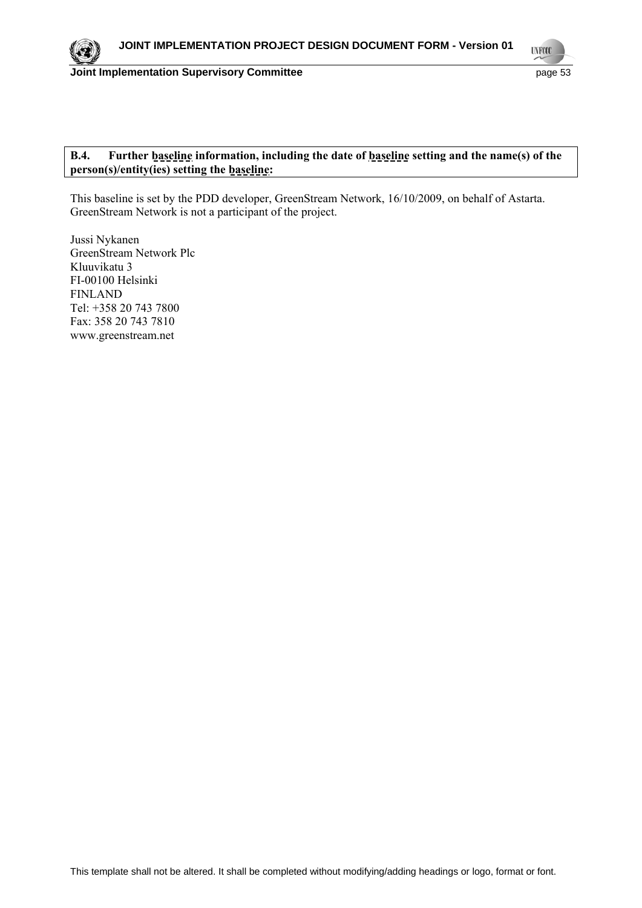**UNFOOL** 

## **B.4. Further baseline information, including the date of baseline setting and the name(s) of the person(s)/entity(ies) setting the baseline:**

This baseline is set by the PDD developer, GreenStream Network, 16/10/2009, on behalf of Astarta. GreenStream Network is not a participant of the project.

Jussi Nykanen GreenStream Network Plc Kluuvikatu 3 FI-00100 Helsinki FINLAND Tel: +358 20 743 7800 Fax: 358 20 743 7810 www.greenstream.net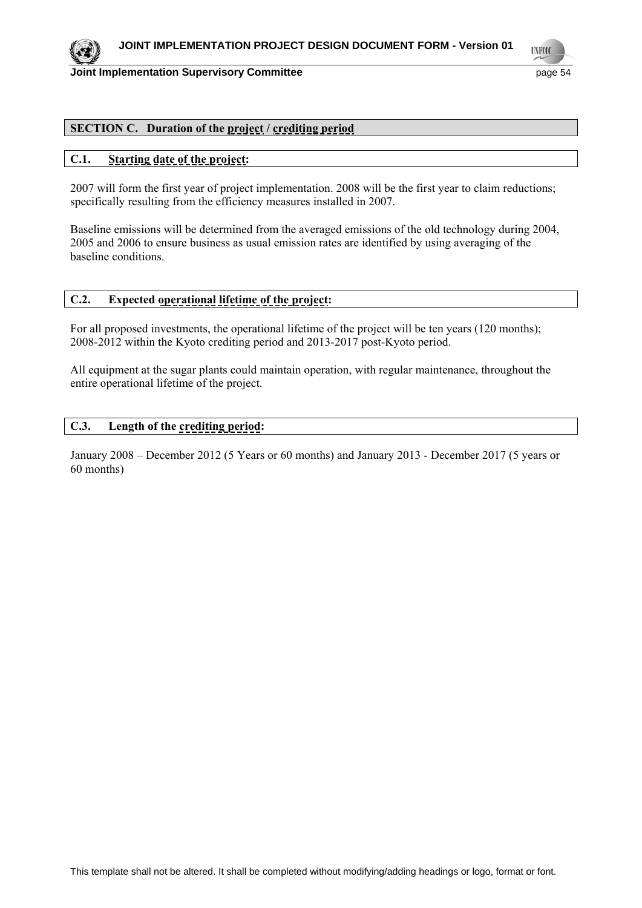

#### **Joint Implementation Supervisory Committee Access 2008 12 and 2009 12 and 2009 12 and 2009 13 and 2009 13 and 2009 13 and 2009 13 and 2009 13 and 2009 13 and 2009 13 and 2009 13 and 2009 13 and 2009 13 and 2009 13 and 200**

**TYFO** 

## **SECTION C. Duration of the project / crediting period**

#### **C.1. Starting date of the project:**

2007 will form the first year of project implementation. 2008 will be the first year to claim reductions; specifically resulting from the efficiency measures installed in 2007.

Baseline emissions will be determined from the averaged emissions of the old technology during 2004, 2005 and 2006 to ensure business as usual emission rates are identified by using averaging of the baseline conditions.

## **C.2. Expected operational lifetime of the project:**

For all proposed investments, the operational lifetime of the project will be ten years (120 months); 2008-2012 within the Kyoto crediting period and 2013-2017 post-Kyoto period.

All equipment at the sugar plants could maintain operation, with regular maintenance, throughout the entire operational lifetime of the project.

## **C.3. Length of the crediting period:**

January 2008 – December 2012 (5 Years or 60 months) and January 2013 - December 2017 (5 years or 60 months)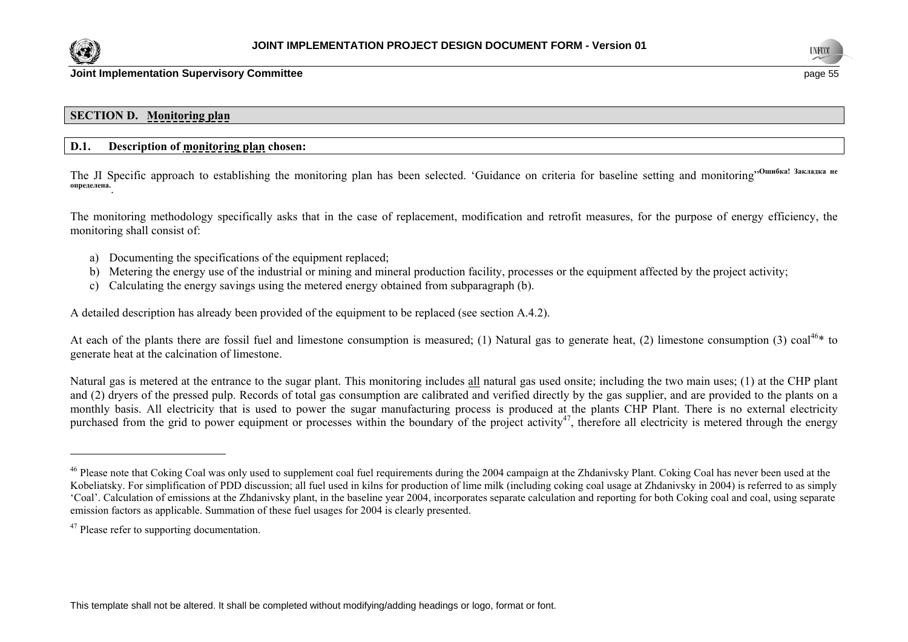



### **SECTION D. Monitoring plan**

### **D.1. Description of monitoring plan chosen:**

The JI Specific approach to establishing the monitoring plan has been selected. 'Guidance on criteria for baseline setting and monitoring"**Ошибка! Закладка не определена.** .

The monitoring methodology specifically asks that in the case of replacement, modification and retrofit measures, for the purpose of energy efficiency, the monitoring shall consist of:

- a) Documenting the specifications of the equipment replaced;
- b) Metering the energy use of the industrial or mining and mineral production facility, processes or the equipment affected by the project activity;
- c) Calculating the energy savings using the metered energy obtained from subparagraph (b).

A detailed description has already been provided of the equipment to be replaced (see section A.4.2).

At each of the plants there are fossil fuel and limestone consumption is measured; (1) Natural gas to generate heat, (2) limestone consumption (3) coal<sup>46\*</sup> to generate heat at the calcination of limestone.

Natural gas is metered at the entrance to the sugar plant. This monitoring includes all natural gas used onsite; including the two main uses; (1) at the CHP plant and (2) dryers of the pressed pulp. Records of total gas consumption are calibrated and verified directly by the gas supplier, and are provided to the plants on a monthly basis. All electricity that is used to power the sugar manufacturing process is produced at the plants CHP Plant. There is no external electricity purchased from the grid to power equipment or processes within the boundary of the project activity<sup>47</sup>, therefore all electricity is metered through the energy

<sup>&</sup>lt;sup>46</sup> Please note that Coking Coal was only used to supplement coal fuel requirements during the 2004 campaign at the Zhdanivsky Plant. Coking Coal has never been used at the Kobeliatsky. For simplification of PDD discussion; all fuel used in kilns for production of lime milk (including coking coal usage at Zhdanivsky in 2004) is referred to as simply 'Coal'. Calculation of emissions at the Zhdanivsky plant, in the baseline year 2004, incorporates separate calculation and reporting for both Coking coal and coal, using separate emission factors as applicable. Summation of these fuel usages for 2004 is clearly presented.

<sup>&</sup>lt;sup>47</sup> Please refer to supporting documentation.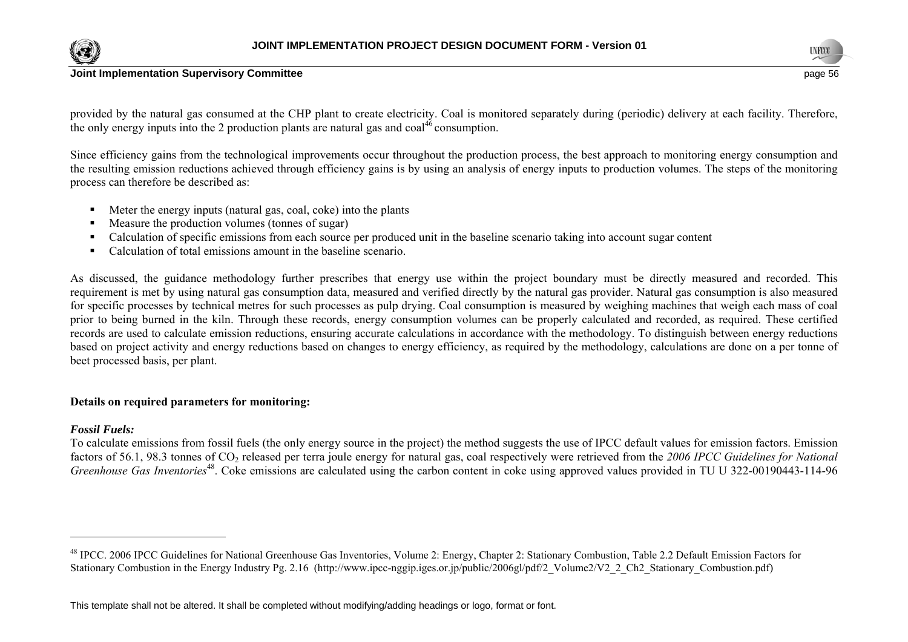



provided by the natural gas consumed at the CHP plant to create electricity. Coal is monitored separately during (periodic) delivery at each facility. Therefore, the only energy inputs into the 2 production plants are natural gas and  $\cosh^{46}$  consumption.

Since efficiency gains from the technological improvements occur throughout the production process, the best approach to monitoring energy consumption and the resulting emission reductions achieved through efficiency gains is by using an analysis of energy inputs to production volumes. The steps of the monitoring process can therefore be described as:

- Meter the energy inputs (natural gas, coal, coke) into the plants
- Measure the production volumes (tonnes of sugar)
- Calculation of specific emissions from each source per produced unit in the baseline scenario taking into account sugar content
- Calculation of total emissions amount in the baseline scenario.

As discussed, the guidance methodology further prescribes that energy use within the project boundary must be directly measured and recorded. This requirement is met by using natural gas consumption data, measured and verified directly by the natural gas provider. Natural gas consumption is also measured for specific processes by technical metres for such processes as pulp drying. Coal consumption is measured by weighing machines that weigh each mass of coal prior to being burned in the kiln. Through these records, energy consumption volumes can be properly calculated and recorded, as required. These certified records are used to calculate emission reductions, ensuring accurate calculations in accordance with the methodology. To distinguish between energy reductions based on project activity and energy reductions based on changes to energy efficiency, as required by the methodology, calculations are done on a per tonne of beet processed basis, per plant.

## **Details on required parameters for monitoring:**

### *Fossil Fuels:*

To calculate emissions from fossil fuels (the only energy source in the project) the method suggests the use of IPCC default values for emission factors. Emission factors of 56.1, 98.3 tonnes of CO<sub>2</sub> released per terra joule energy for natural gas, coal respectively were retrieved from the 2006 IPCC Guidelines for National *Greenhouse Gas Inventories*<sup>48</sup>. Coke emissions are calculated using the carbon content in coke using approved values provided in TU U 322-00190443-114-96

<sup>&</sup>lt;sup>48</sup> IPCC. 2006 IPCC Guidelines for National Greenhouse Gas Inventories, Volume 2: Energy, Chapter 2: Stationary Combustion, Table 2.2 Default Emission Factors for Stationary Combustion in the Energy Industry Pg. 2.16 (http://www.ipcc-nggip.iges.or.jp/public/2006gl/pdf/2\_Volume2/V2\_2\_Ch2\_Stationary\_Combustion.pdf)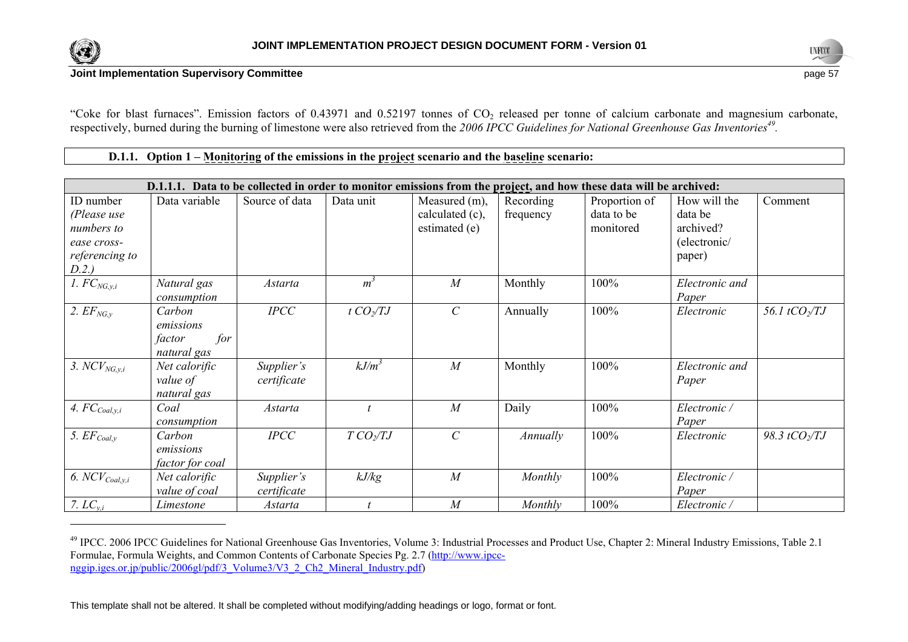



"Coke for blast furnaces". Emission factors of 0.43971 and 0.52197 tonnes of  $CO<sub>2</sub>$  released per tonne of calcium carbonate and magnesium carbonate, respectively, burned during the burning of limestone were also retrieved from the *2006 IPCC Guidelines for National Greenhouse Gas Inventories49.* 

**D.1.1.** Option  $1 -$  <u>Monitoring</u> of the emissions in the project scenario and the baseline scenario:

|                           |                 |                 |                 |                             |           | D.1.1.1. Data to be collected in order to monitor emissions from the project, and how these data will be archived: |                |                      |
|---------------------------|-----------------|-----------------|-----------------|-----------------------------|-----------|--------------------------------------------------------------------------------------------------------------------|----------------|----------------------|
| ID number                 | Data variable   | Source of data  | Data unit       | Measured (m),               | Recording | Proportion of                                                                                                      | How will the   | Comment              |
| (Please use               |                 |                 |                 | calculated (c),             | frequency | data to be                                                                                                         | data be        |                      |
| numbers to                |                 |                 |                 | estimated (e)               |           | monitored                                                                                                          | archived?      |                      |
| ease cross-               |                 |                 |                 |                             |           |                                                                                                                    | (electronic/   |                      |
| referencing to            |                 |                 |                 |                             |           |                                                                                                                    | paper)         |                      |
| D.2.)                     |                 |                 |                 |                             |           |                                                                                                                    |                |                      |
| 1. $FC_{NG,y,i}$          | Natural gas     | <i>Astarta</i>  | $m^3$           | $\overline{M}$              | Monthly   | 100%                                                                                                               | Electronic and |                      |
|                           | consumption     |                 |                 |                             |           |                                                                                                                    | Paper          |                      |
| 2. $EF_{NG, v}$           | Carbon          | $\mathit{IPCC}$ | $t$ $CO_2/TJ$   | $\mathcal{C}_{\mathcal{C}}$ | Annually  | 100%                                                                                                               | Electronic     | 56.1 $tCO_2/TJ$      |
|                           | emissions       |                 |                 |                             |           |                                                                                                                    |                |                      |
|                           | for<br>factor   |                 |                 |                             |           |                                                                                                                    |                |                      |
|                           | natural gas     |                 |                 |                             |           |                                                                                                                    |                |                      |
| 3. $NCV_{NG,y,i}$         | Net calorific   | Supplier's      | $kJ/m^3$        | M                           | Monthly   | 100%                                                                                                               | Electronic and |                      |
|                           | value of        | certificate     |                 |                             |           |                                                                                                                    | Paper          |                      |
|                           | natural gas     |                 |                 |                             |           |                                                                                                                    |                |                      |
| 4. $FC_{\text{Coal},y,i}$ | Coal            | Astarta         |                 | $\overline{M}$              | Daily     | 100%                                                                                                               | Electronic /   |                      |
|                           | consumption     |                 |                 |                             |           |                                                                                                                    | Paper          |                      |
| 5. $EF_{Coal,y}$          | Carbon          | $\mathit{IPCC}$ | $TCO \sqrt{IJ}$ | $\mathcal{C}$               | Annually  | 100%                                                                                                               | Electronic     | 98.3 tCO $\sqrt{IJ}$ |
|                           | emissions       |                 |                 |                             |           |                                                                                                                    |                |                      |
|                           | factor for coal |                 |                 |                             |           |                                                                                                                    |                |                      |
| 6. $NCV_{Coal, y, i}$     | Net calorific   | Supplier's      | kJ/kg           | $\overline{M}$              | Monthly   | 100%                                                                                                               | Electronic /   |                      |
|                           | value of coal   | certificate     |                 |                             |           |                                                                                                                    | Paper          |                      |
| 7. $LC_{y,i}$             | Limestone       | <b>Astarta</b>  |                 | M                           | Monthly   | 100%                                                                                                               | Electronic /   |                      |

<sup>49</sup> IPCC. 2006 IPCC Guidelines for National Greenhouse Gas Inventories, Volume 3: Industrial Processes and Product Use, Chapter 2: Mineral Industry Emissions, Table 2.1 Formulae, Formula Weights, and Common Contents of Carbonate Species Pg. 2.7 (http://www.ipccnggip.iges.or.jp/public/2006gl/pdf/3\_Volume3/V3\_2\_Ch2\_Mineral\_Industry.pdf)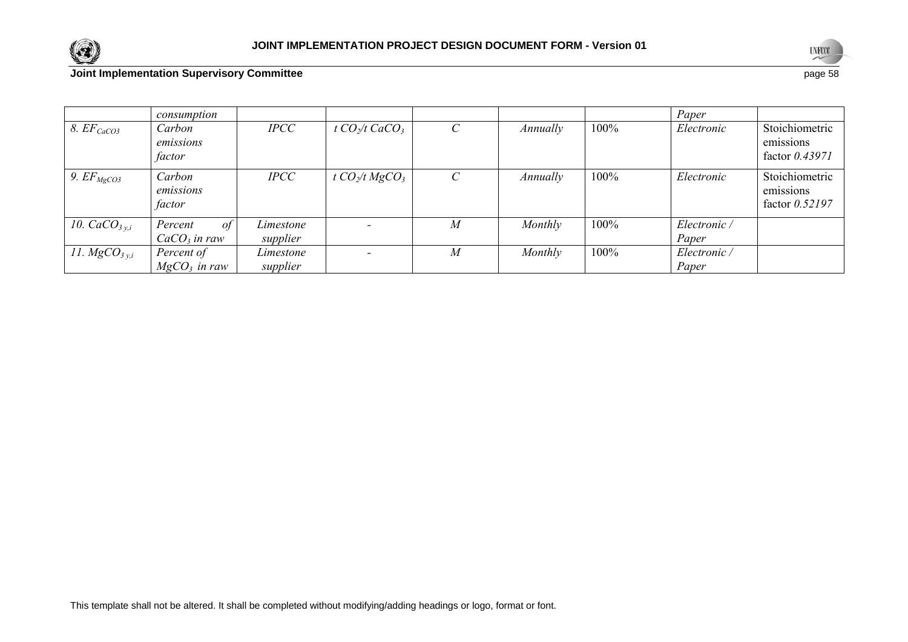



|                        | consumption                             |                       |                                        |                             |          |      | Paper                 |                                                 |
|------------------------|-----------------------------------------|-----------------------|----------------------------------------|-----------------------------|----------|------|-----------------------|-------------------------------------------------|
| 8. EF <sub>CaCO3</sub> | Carbon<br>emissions<br>factor           | $\textit{IPCC}$       | t CO <sub>2</sub> /t CaCO <sub>3</sub> | $\mathcal{C}_{\mathcal{C}}$ | Annually | 100% | Electronic            | Stoichiometric<br>emissions<br>factor $0.43971$ |
| 9. $EF_{MgCO3}$        | Carbon<br>emissions<br>factor           | $\mathit{IPCC}$       | t $CO_2/t$ MgCO <sub>3</sub>           | $\mathcal{C}_{0}^{(n)}$     | Annually | 100% | Electronic            | Stoichiometric<br>emissions<br>factor $0.52197$ |
| 10. $CaCO3 y.i$        | $\sigma f$<br>Percent<br>$CaCO3$ in raw | Limestone<br>supplier |                                        | $\boldsymbol{M}$            | Monthly  | 100% | Electronic /<br>Paper |                                                 |
| 11. $MgCO3 y,i$        | Percent of<br>$MgCO3$ in raw            | Limestone<br>supplier |                                        | M                           | Monthly  | 100% | Electronic/<br>Paper  |                                                 |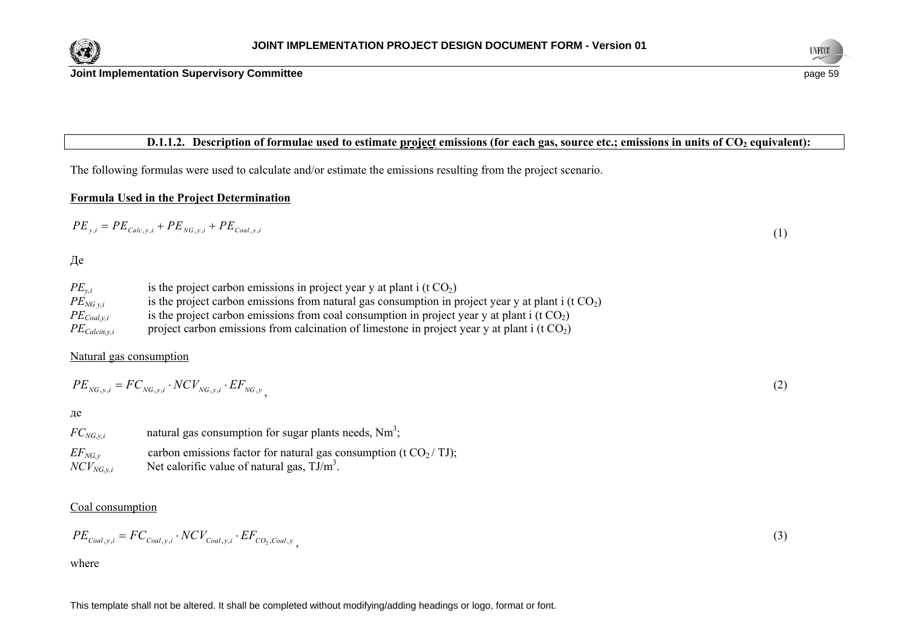



## **D.1.1.2.** Description of formulae used to estimate project emissions (for each gas, source etc.; emissions in units of CO<sub>2</sub> equivalent):

The following formulas were used to calculate and/or estimate the emissions resulting from the project scenario.

# **Formula Used in the Project Determination**

$$
PE_{y,i} = PE_{Calc,y,i} + PE_{NG,y,i} + PE_{coal,y,i}
$$
\n<sup>(1)</sup>

Де

| $PE_{v,i}$          | is the project carbon emissions in project year y at plant i (t $CO2$ )                                          |
|---------------------|------------------------------------------------------------------------------------------------------------------|
| $PE_{NG\, v.i}$     | is the project carbon emissions from natural gas consumption in project year y at plant $i$ (t CO <sub>2</sub> ) |
| $PE_{Coal, v, i}$   | is the project carbon emissions from coal consumption in project year y at plant i (t $CO2$ )                    |
| $PE_{Calcin, y, i}$ | project carbon emissions from calcination of limestone in project year y at plant i ( $t CO2$ )                  |

#### Natural gas consumption

$$
PE_{NG,y,i} = FC_{NG,y,i} \cdot NCV_{NG,y,i} \cdot EF_{NG,y} \tag{2}
$$

де

| $FC_{NG, v, i}$ | natural gas consumption for sugar plants needs, $Nm^3$ ;           |
|-----------------|--------------------------------------------------------------------|
| $EF_{NG, v}$    | carbon emissions factor for natural gas consumption (t $CO2/$ TJ); |
| $NCV_{NG,y,i}$  | Net calorific value of natural gas, $TJ/m^3$ .                     |

## Coal consumption

$$
PE_{\textit{Coal},y,i} = FC_{\textit{Coal},y,i} \cdot NCV_{\textit{Coal},y,i} \cdot EF_{\textit{CO}_2,\textit{Coal},y}
$$

where

(3)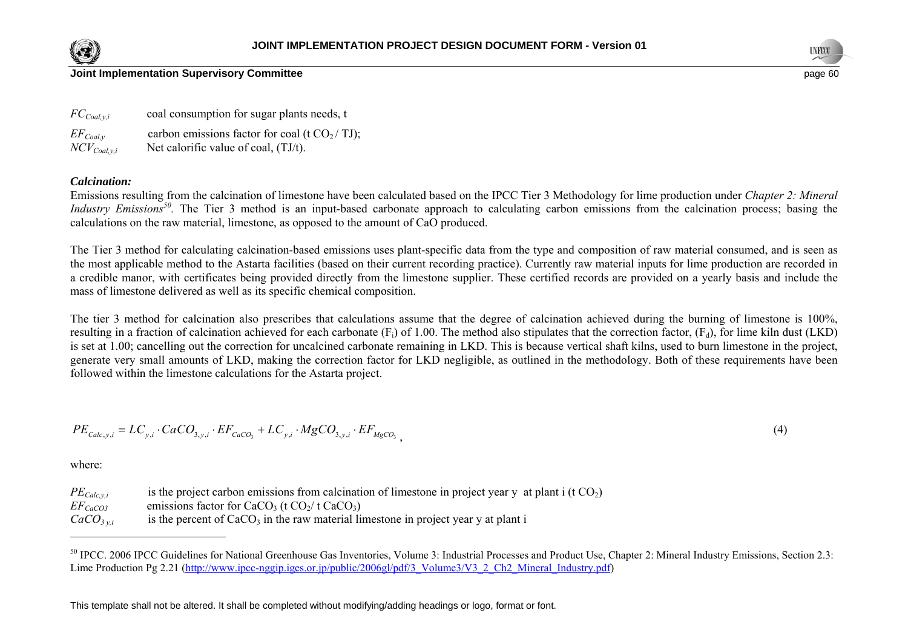



### **Joint Implementation Supervisory Committee page 60** and the state of the state of the state of the state of the state of the state of the state of the state of the state of the state of the state of the state of the sta

*FC<sub>Coal,v,i*</sub> coal consumption for sugar plants needs, t  $EF_{Coal,v}$  carbon emissions factor for coal (t CO<sub>2</sub>/TJ);  $NCV_{Coal,vi}$  Net calorific value of coal, (TJ/t).

#### *Calcination:*

Emissions resulting from the calcination of limestone have been calculated based on the IPCC Tier 3 Methodology for lime production under *Chapter 2: Mineral Industry Emissions<sup>50</sup>*. The Tier 3 method is an input-based carbonate approach to calculating carbon emissions from the calcination process; basing the calculations on the raw material, limestone, as opposed to the amount of CaO produced.

The Tier 3 method for calculating calcination-based emissions uses plant-specific data from the type and composition of raw material consumed, and is seen as the most applicable method to the Astarta facilities (based on their current recording practice). Currently raw material inputs for lime production are recorded in a credible manor, with certificates being provided directly from the limestone supplier. These certified records are provided on a yearly basis and include the mass of limestone delivered as well as its specific chemical composition.

The tier 3 method for calcination also prescribes that calculations assume that the degree of calcination achieved during the burning of limestone is 100%, resulting in a fraction of calcination achieved for each carbonate  $(F_i)$  of 1.00. The method also stipulates that the correction factor,  $(F_d)$ , for lime kiln dust (LKD) is set at 1.00; cancelling out the correction for uncalcined carbonate remaining in LKD. This is because vertical shaft kilns, used to burn limestone in the project, generate very small amounts of LKD, making the correction factor for LKD negligible, as outlined in the methodology. Both of these requirements have been followed within the limestone calculations for the Astarta project.

$$
PE_{Calc,y,i} = LC_{y,i} \cdot CaCO_{3,y,i} \cdot EF_{CaCO_3} + LC_{y,i} \cdot MgCO_{3,y,i} \cdot EF_{MgCO_3}
$$
\n
$$
\tag{4}
$$

where:

 $PE_{Calc, y,i}$  is the project carbon emissions from calcination of limestone in project year y at plant i (t CO<sub>2</sub>)  $EF_{CaCO3}$  emissions factor for CaCO<sub>3</sub> (t CO<sub>2</sub>/ t CaCO<sub>3</sub>)

 $CaCO<sub>3 vi</sub>$  is the percent of CaCO<sub>3</sub> in the raw material limestone in project year y at plant i

<sup>&</sup>lt;sup>50</sup> IPCC. 2006 IPCC Guidelines for National Greenhouse Gas Inventories, Volume 3: Industrial Processes and Product Use, Chapter 2: Mineral Industry Emissions, Section 2.3: Lime Production Pg 2.21 (http://www.ipcc-nggip.iges.or.jp/public/2006gl/pdf/3\_Volume3/V3\_2\_Ch2\_Mineral\_Industry.pdf)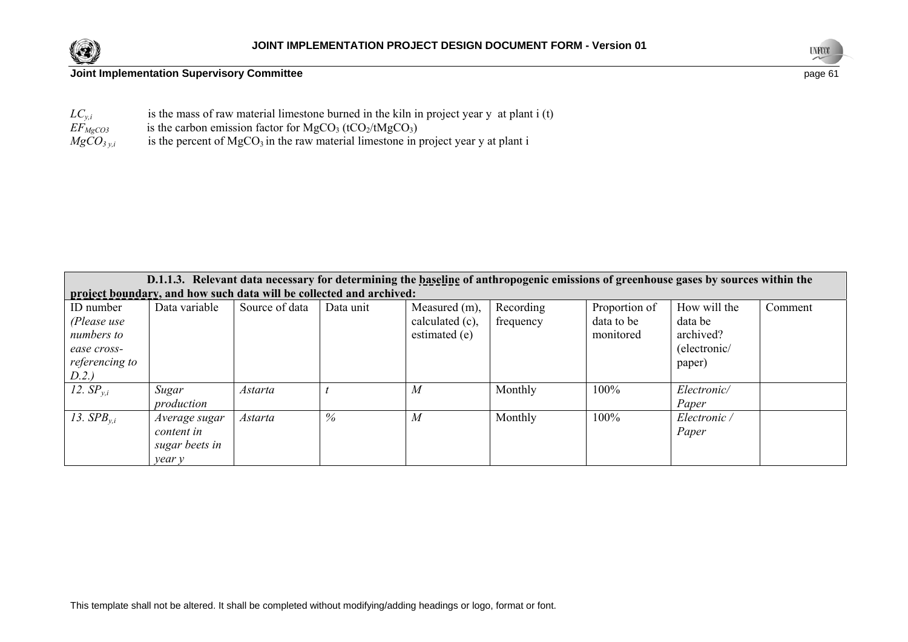



| $LC_{v,i}$       | is the mass of raw material limestone burned in the kiln in project year $y$ at plant $i(t)$ |
|------------------|----------------------------------------------------------------------------------------------|
| $EF_{MgCO3}$     | is the carbon emission factor for $MgCO3$ (tCO <sub>2</sub> /tMgCO <sub>3</sub> )            |
| $MgCO_{3 \nu.i}$ | is the percent of $MgCO3$ in the raw material limestone in project year y at plant i         |

|                                                                                  | D.1.1.3. Relevant data necessary for determining the baseline of anthropogenic emissions of greenhouse gases by sources within the |                |           |                                                   |                        |                                          |                                                                |         |
|----------------------------------------------------------------------------------|------------------------------------------------------------------------------------------------------------------------------------|----------------|-----------|---------------------------------------------------|------------------------|------------------------------------------|----------------------------------------------------------------|---------|
|                                                                                  | project boundary, and how such data will be collected and archived:                                                                |                |           |                                                   |                        |                                          |                                                                |         |
| ID number<br>(Please use<br>numbers to<br>ease cross-<br>referencing to<br>D.2.) | Data variable                                                                                                                      | Source of data | Data unit | Measured (m),<br>calculated (c),<br>estimated (e) | Recording<br>frequency | Proportion of<br>data to be<br>monitored | How will the<br>data be<br>archived?<br>(electronic/<br>paper) | Comment |
| 12. $SP_{v.i}$                                                                   | Sugar<br>production                                                                                                                | <i>Astarta</i> |           | M                                                 | Monthly                | 100%                                     | Electronic/<br>Paper                                           |         |
| 13. $SPB_{v,i}$                                                                  | Average sugar<br>content in<br>sugar beets in<br>year y                                                                            | <i>Astarta</i> | $\%$      | $\boldsymbol{M}$                                  | Monthly                | 100%                                     | Electronic /<br>Paper                                          |         |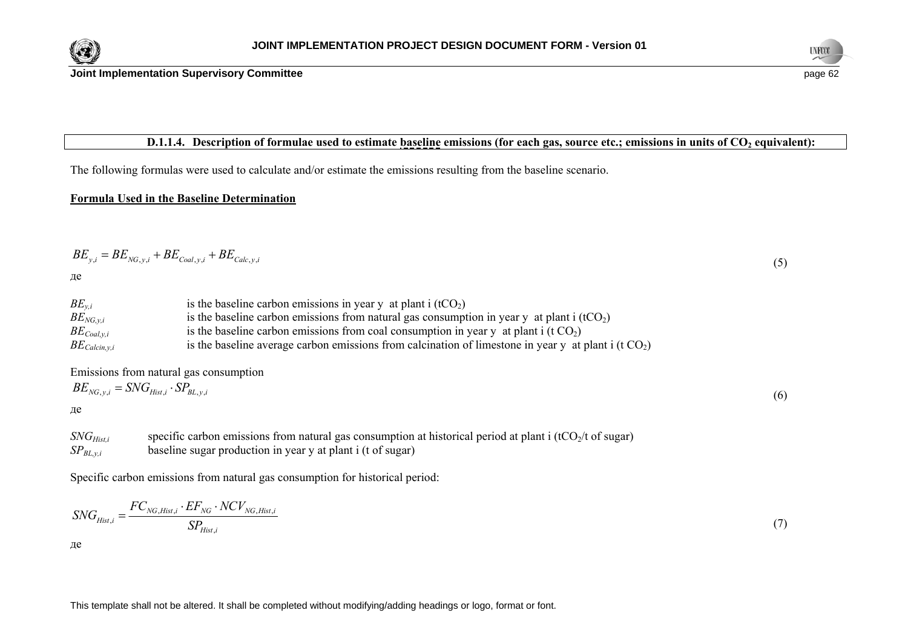



# **D.1.1.4.** Description of formulae used to estimate baseline emissions (for each gas, source etc.; emissions in units of CO<sub>2</sub> equivalent):

The following formulas were used to calculate and/or estimate the emissions resulting from the baseline scenario.

#### **Formula Used in the Baseline Determination**

$$
BE_{y,i} = BE_{NG,y,i} + BE_{Coal,y,i} + BE_{Calc,y,i}
$$
\n
$$
\tag{5}
$$

де

| $BE_{v,i}$          | is the baseline carbon emissions in year y at plant i $(tCO2)$                                         |
|---------------------|--------------------------------------------------------------------------------------------------------|
| $BE_{NG,v,i}$       | is the baseline carbon emissions from natural gas consumption in year y at plant i $(tCO2)$            |
| $BE_{Coal, y, i}$   | is the baseline carbon emissions from coal consumption in year y at plant i (t $CO2$ )                 |
| $BE_{Calcin, y, i}$ | is the baseline average carbon emissions from calcination of limestone in year y at plant i (t $CO2$ ) |

Emissions from natural gas consumption

$$
BE_{NG,y,i} = SNG_{Hist,i} \cdot SP_{BL,y,i} \tag{6}
$$

де

*SNG<sub>Hist,i</sub>* specific carbon emissions from natural gas consumption at historical period at plant i (tCO<sub>2</sub>/t of sugar) *SP<sub>BL,v,i</sub>* baseline sugar production in year y at plant i (t of sugar)

Specific carbon emissions from natural gas consumption for historical period:

$$
SNG_{Hist,i} = \frac{FC_{NG,Hist,i} \cdot EF_{NG} \cdot NCV_{NG,Hist,i}}{SP_{Hist,i}}
$$
(7)

де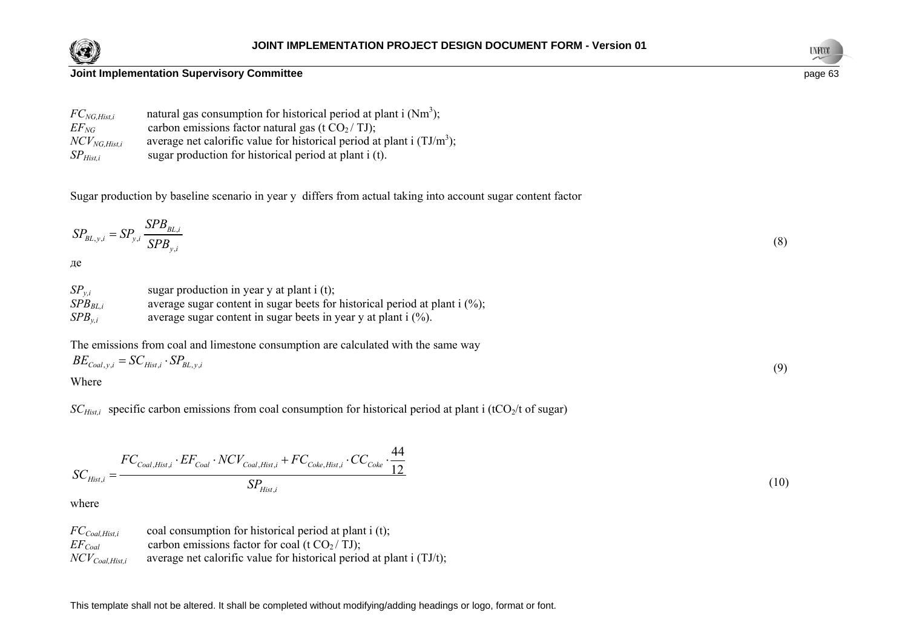



| $FC_{NG, Hist, i}$ | natural gas consumption for historical period at plant i $(Nm^3)$ ;       |
|--------------------|---------------------------------------------------------------------------|
| $EF_{NG}$          | carbon emissions factor natural gas (t $CO2/TJ$ );                        |
| $NCV_{NG, Hist.i}$ | average net calorific value for historical period at plant i $(TJ/m^3)$ ; |
| $SP_{Hist,i}$      | sugar production for historical period at plant i (t).                    |

Sugar production by baseline scenario in year у differs from actual taking into account sugar content factor

$$
SP_{BL,y,i} = SP_{y,i} \frac{SPB_{BL,i}}{SPB_{y,i}} \tag{8}
$$

де

| $SP_{v.i}$   | sugar production in year $y$ at plant i (t);                                 |
|--------------|------------------------------------------------------------------------------|
| $SPB_{BL.i}$ | average sugar content in sugar beets for historical period at plant $i$ (%); |
| $SPB_{v.i}$  | average sugar content in sugar beets in year y at plant i (%).               |

The emissions from coal and limestone consumption are calculated with the same way  $BE_{Coal,y,i} = SC_{Hist,i} \cdot SP_{BL,y,i}$ (9)

Where

*SC<sub>Hist,i</sub>* specific carbon emissions from coal consumption for historical period at plant i (tCO<sub>2</sub>/t of sugar)

$$
SC_{Hist,i} = \frac{FC_{Coal,Hist,i} \cdot EF_{Coal} \cdot NCV_{Coal,Hist,i} + FC_{Coke,Hist,i} \cdot CC_{Coke} \cdot \frac{44}{12}}{SP_{Hist,i}}
$$
(10)

where

*FC<sub>Coal,Hist,i* coal consumption for historical period at plant i (t);</sub>  $EF_{Coul}$  carbon emissions factor for coal (t CO<sub>2</sub>/ TJ); *NCV<sub>Coal</sub> Hist i* average net calorific value for historical period at plant i (TJ/t);

This template shall not be altered. It shall be completed without modifying/adding headings or logo, format or font.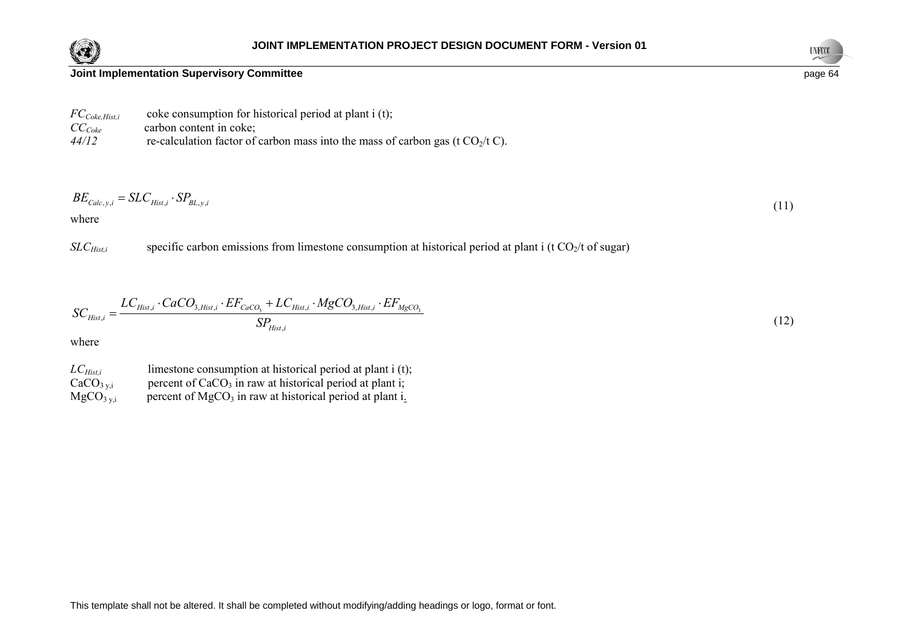



| $FC_{\textit{Coke},\textit{Hist},i}$ | coke consumption for historical period at plant i (t);                           |
|--------------------------------------|----------------------------------------------------------------------------------|
| $CC_{\text{Coke}}$                   | carbon content in coke;                                                          |
| 44/12                                | re-calculation factor of carbon mass into the mass of carbon gas (t $CO2/t C$ ). |

$$
BE_{Calc,y,i} = SLC_{Hist,i} \cdot SP_{BL,y,i} \tag{11}
$$

where

*SLC<sub>Hist,i</sub>* specific carbon emissions from limestone consumption at historical period at plant i (t CO<sub>2</sub>/t of sugar)

$$
SC_{Hist,i} = \frac{LC_{Hist,i} \cdot CaCO_{3,Hist,i} \cdot EF_{CaCO_3} + LC_{Hist,i} \cdot MgCO_{3,Hist,i} \cdot EF_{MgCO_3}}{SP_{Hist,i}}
$$
(12)

where

*LC<sub>Hist,i</sub>* limestone consumption at historical period at plant i (t);  $CaCO<sub>3 y,i</sub>$  percent of CaCO<sub>3</sub> in raw at historical period at plant i;  $MgCO<sub>3 y,i</sub>$  percent of MgCO<sub>3</sub> in raw at historical period at plant i.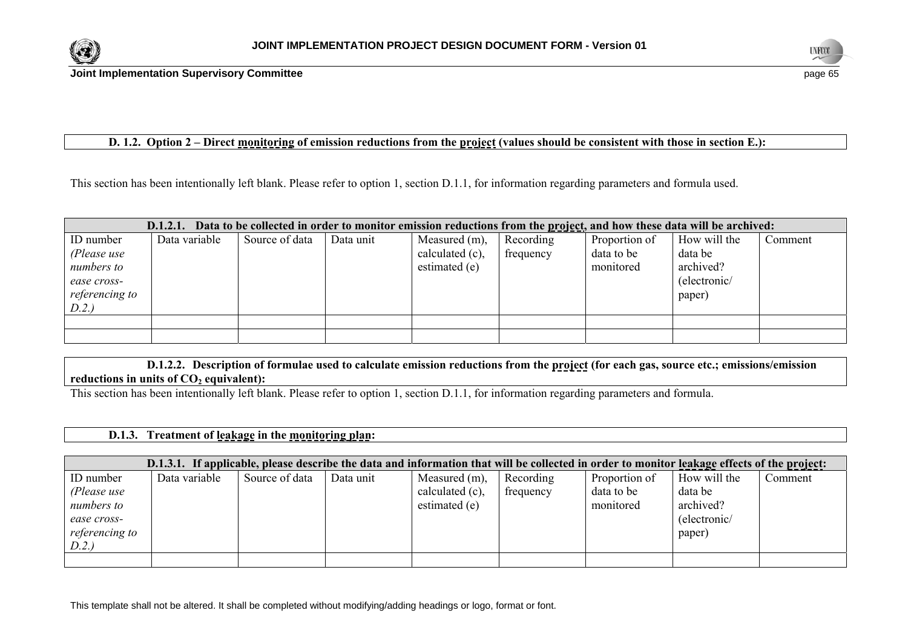



## **D. 1.2. Option 2 – Direct monitoring of emission reductions from the project (values should be consistent with those in section E.):**

This section has been intentionally left blank. Please refer to option 1, section D.1.1, for information regarding parameters and formula used.

|                | Data to be collected in order to monitor emission reductions from the project, and how these data will be archived:<br>D.1.2.1. |                |           |                 |           |               |              |         |
|----------------|---------------------------------------------------------------------------------------------------------------------------------|----------------|-----------|-----------------|-----------|---------------|--------------|---------|
| ID number      | Data variable                                                                                                                   | Source of data | Data unit | Measured (m),   | Recording | Proportion of | How will the | Comment |
| (Please use    |                                                                                                                                 |                |           | calculated (c), | frequency | data to be    | data be      |         |
| numbers to     |                                                                                                                                 |                |           | estimated (e)   |           | monitored     | archived?    |         |
| ease cross-    |                                                                                                                                 |                |           |                 |           |               | (electronic/ |         |
| referencing to |                                                                                                                                 |                |           |                 |           |               | paper)       |         |
| D.2.)          |                                                                                                                                 |                |           |                 |           |               |              |         |
|                |                                                                                                                                 |                |           |                 |           |               |              |         |
|                |                                                                                                                                 |                |           |                 |           |               |              |         |

 **D.1.2.2. Description of formulae used to calculate emission reductions from the project (for each gas, source etc.; emissions/emission**  reductions in units of CO<sub>2</sub> equivalent):

This section has been intentionally left blank. Please refer to option 1, section D.1.1, for information regarding parameters and formula.

## **D.1.3. Treatment of leakage in the monitoring plan:**

|                | D.1.3.1. If applicable, please describe the data and information that will be collected in order to monitor leakage effects of the project: |                |           |                    |           |               |              |         |
|----------------|---------------------------------------------------------------------------------------------------------------------------------------------|----------------|-----------|--------------------|-----------|---------------|--------------|---------|
| ID number      | Data variable                                                                                                                               | Source of data | Data unit | Measured (m),      | Recording | Proportion of | How will the | Comment |
| (Please use    |                                                                                                                                             |                |           | calculated $(c)$ , | frequency | data to be    | data be      |         |
| numbers to     |                                                                                                                                             |                |           | estimated (e)      |           | monitored     | archived?    |         |
| ease cross-    |                                                                                                                                             |                |           |                    |           |               | (electronic/ |         |
| referencing to |                                                                                                                                             |                |           |                    |           |               | paper)       |         |
| D.2.)          |                                                                                                                                             |                |           |                    |           |               |              |         |
|                |                                                                                                                                             |                |           |                    |           |               |              |         |

This template shall not be altered. It shall be completed without modifying/adding headings or logo, format or font.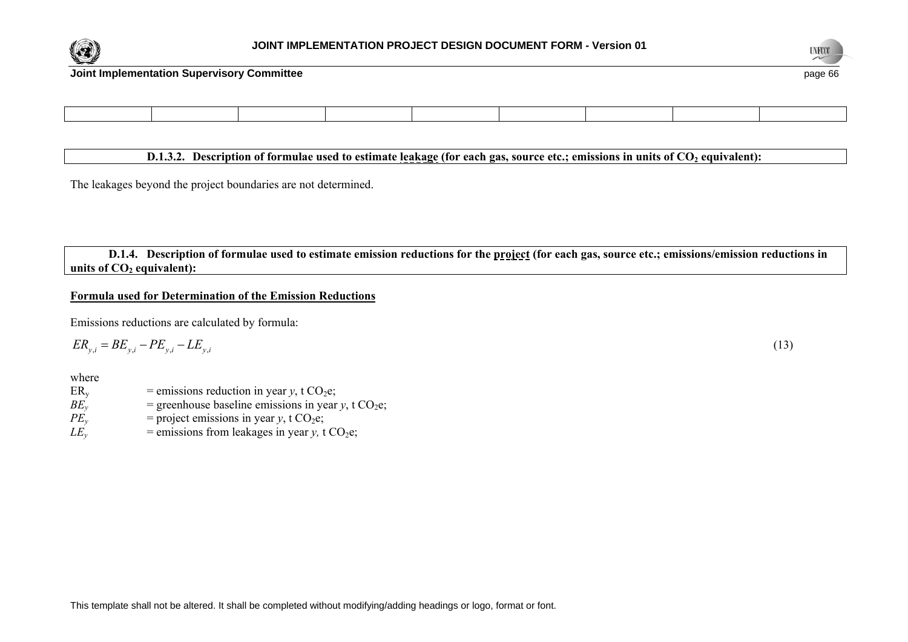



## **D.1.3.2. Description of formulae used to estimate leakage (for each gas, source etc.; emissions in units of CO<sub>2</sub> equivalent):**

The leakages beyond the project boundaries are not determined.

 **D.1.4. Description of formulae used to estimate emission reductions for the project (for each gas, source etc.; emissions/emission reductions in**  units of  $CO<sub>2</sub>$  equivalent):

#### **Formula used for Determination of the Emission Reductions**

Emissions reductions are calculated by formula:

$$
ER_{y,i} = BE_{y,i} - PE_{y,i} - LE_{y,i} \tag{13}
$$

where

 $ER_v$  = emissions reduction in year *y*, t CO<sub>2</sub>e;  $BE<sub>v</sub>$  = greenhouse baseline emissions in year *y*, t CO<sub>2</sub>e;  $PE<sub>v</sub>$  = project emissions in year *y*, t CO<sub>2</sub>e;

 $LE<sub>y</sub>$  = emissions from leakages in year *y*, t CO<sub>2</sub>e;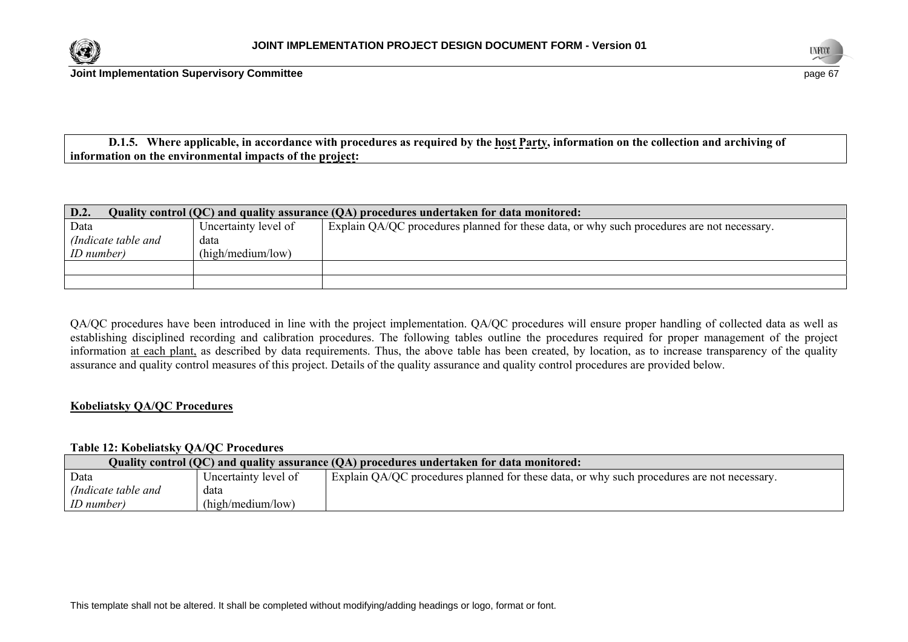



 **D.1.5. Where applicable, in accordance with procedures as required by the host Party, information on the collection and archiving of information on the environmental impacts of the project:** 

| D.2.                | Quality control (QC) and quality assurance (QA) procedures undertaken for data monitored: |                                                                                            |  |  |  |
|---------------------|-------------------------------------------------------------------------------------------|--------------------------------------------------------------------------------------------|--|--|--|
| Data                | Uncertainty level of                                                                      | Explain QA/QC procedures planned for these data, or why such procedures are not necessary. |  |  |  |
| (Indicate table and | data                                                                                      |                                                                                            |  |  |  |
| <i>ID</i> number)   | (high/medium/low)                                                                         |                                                                                            |  |  |  |
|                     |                                                                                           |                                                                                            |  |  |  |
|                     |                                                                                           |                                                                                            |  |  |  |

QA/QC procedures have been introduced in line with the project implementation. QA/QC procedures will ensure proper handling of collected data as well as establishing disciplined recording and calibration procedures. The following tables outline the procedures required for proper management of the project information at each plant, as described by data requirements. Thus, the above table has been created, by location, as to increase transparency of the quality assurance and quality control measures of this project. Details of the quality assurance and quality control procedures are provided below.

### **Kobeliatsky QA/QC Procedures**

## **Table 12: Kobeliatsky QA/QC Procedures**

|                     | Quality control (QC) and quality assurance (QA) procedures undertaken for data monitored: |                                                                                            |  |  |  |
|---------------------|-------------------------------------------------------------------------------------------|--------------------------------------------------------------------------------------------|--|--|--|
| Data                | Uncertainty level of                                                                      | Explain QA/QC procedures planned for these data, or why such procedures are not necessary. |  |  |  |
| (Indicate table and | data                                                                                      |                                                                                            |  |  |  |
| ID number)          | (high/medium/low)                                                                         |                                                                                            |  |  |  |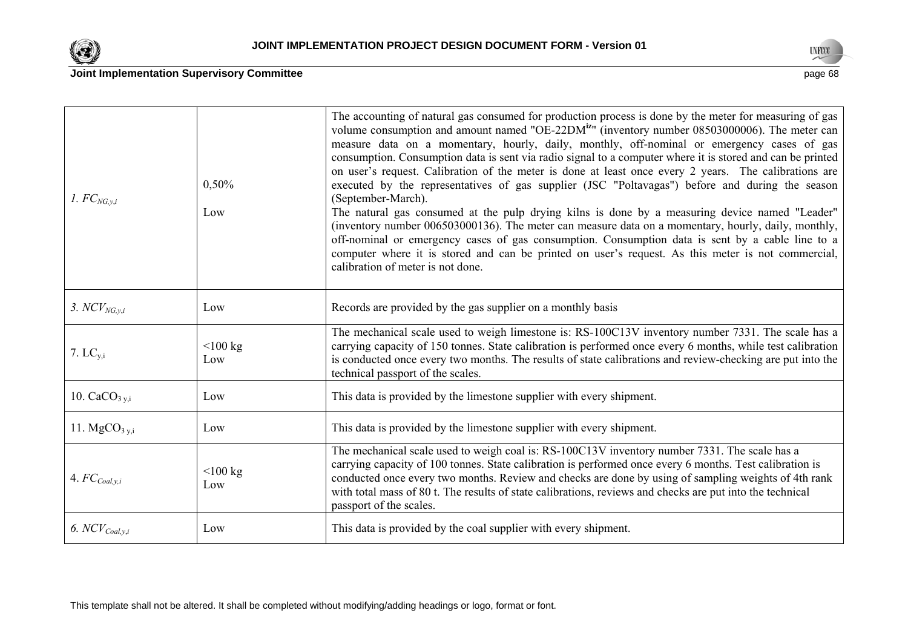



| 1. $FC_{NG,v,i}$          | 0,50%<br>Low      | The accounting of natural gas consumed for production process is done by the meter for measuring of gas<br>volume consumption and amount named "OE-22DM <sup>iz</sup> " (inventory number 08503000006). The meter can<br>measure data on a momentary, hourly, daily, monthly, off-nominal or emergency cases of gas<br>consumption. Consumption data is sent via radio signal to a computer where it is stored and can be printed<br>on user's request. Calibration of the meter is done at least once every 2 years. The calibrations are<br>executed by the representatives of gas supplier (JSC "Poltavagas") before and during the season<br>(September-March).<br>The natural gas consumed at the pulp drying kilns is done by a measuring device named "Leader"<br>(inventory number 006503000136). The meter can measure data on a momentary, hourly, daily, monthly,<br>off-nominal or emergency cases of gas consumption. Consumption data is sent by a cable line to a<br>computer where it is stored and can be printed on user's request. As this meter is not commercial,<br>calibration of meter is not done. |
|---------------------------|-------------------|-----------------------------------------------------------------------------------------------------------------------------------------------------------------------------------------------------------------------------------------------------------------------------------------------------------------------------------------------------------------------------------------------------------------------------------------------------------------------------------------------------------------------------------------------------------------------------------------------------------------------------------------------------------------------------------------------------------------------------------------------------------------------------------------------------------------------------------------------------------------------------------------------------------------------------------------------------------------------------------------------------------------------------------------------------------------------------------------------------------------------------|
| 3. $NCV_{NG,y,i}$         | Low               | Records are provided by the gas supplier on a monthly basis                                                                                                                                                                                                                                                                                                                                                                                                                                                                                                                                                                                                                                                                                                                                                                                                                                                                                                                                                                                                                                                                 |
| 7. $LC_{y,i}$             | $<$ 100 kg<br>Low | The mechanical scale used to weigh limestone is: RS-100C13V inventory number 7331. The scale has a<br>carrying capacity of 150 tonnes. State calibration is performed once every 6 months, while test calibration<br>is conducted once every two months. The results of state calibrations and review-checking are put into the<br>technical passport of the scales.                                                                                                                                                                                                                                                                                                                                                                                                                                                                                                                                                                                                                                                                                                                                                        |
| 10. $CaCO3 y,i$           | Low               | This data is provided by the limestone supplier with every shipment.                                                                                                                                                                                                                                                                                                                                                                                                                                                                                                                                                                                                                                                                                                                                                                                                                                                                                                                                                                                                                                                        |
| 11. $MgCO3 y,i$           | Low               | This data is provided by the limestone supplier with every shipment.                                                                                                                                                                                                                                                                                                                                                                                                                                                                                                                                                                                                                                                                                                                                                                                                                                                                                                                                                                                                                                                        |
| 4. $FC_{\text{Coal},y,i}$ | $<$ 100 kg<br>Low | The mechanical scale used to weigh coal is: RS-100C13V inventory number 7331. The scale has a<br>carrying capacity of 100 tonnes. State calibration is performed once every 6 months. Test calibration is<br>conducted once every two months. Review and checks are done by using of sampling weights of 4th rank<br>with total mass of 80 t. The results of state calibrations, reviews and checks are put into the technical<br>passport of the scales.                                                                                                                                                                                                                                                                                                                                                                                                                                                                                                                                                                                                                                                                   |
| 6. $NCV_{Coal,y,i}$       | Low               | This data is provided by the coal supplier with every shipment.                                                                                                                                                                                                                                                                                                                                                                                                                                                                                                                                                                                                                                                                                                                                                                                                                                                                                                                                                                                                                                                             |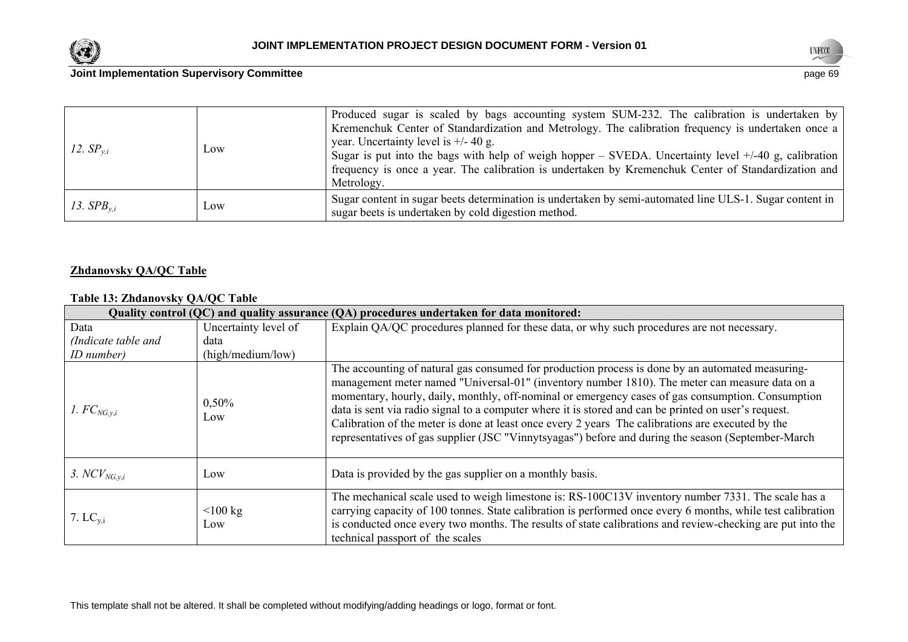



| 12. $SP_{v,i}$  | Low | Produced sugar is scaled by bags accounting system SUM-232. The calibration is undertaken by<br>Kremenchuk Center of Standardization and Metrology. The calibration frequency is undertaken once a<br>year. Uncertainty level is $+/- 40$ g.<br>Sugar is put into the bags with help of weigh hopper – SVEDA. Uncertainty level $+/40$ g, calibration<br>frequency is once a year. The calibration is undertaken by Kremenchuk Center of Standardization and<br>Metrology. |
|-----------------|-----|----------------------------------------------------------------------------------------------------------------------------------------------------------------------------------------------------------------------------------------------------------------------------------------------------------------------------------------------------------------------------------------------------------------------------------------------------------------------------|
| 13. $SPB_{v,i}$ | Low | Sugar content in sugar beets determination is undertaken by semi-automated line ULS-1. Sugar content in<br>sugar beets is undertaken by cold digestion method.                                                                                                                                                                                                                                                                                                             |

## **Zhdanovsky QA/QC Table**

# **Table 13: Zhdanovsky QA/QC Table**

| Quality control (QC) and quality assurance (QA) procedures undertaken for data monitored: |                      |                                                                                                                                                                                                                                                                                                                                                                                                                                                                                                                                                                                                                             |  |
|-------------------------------------------------------------------------------------------|----------------------|-----------------------------------------------------------------------------------------------------------------------------------------------------------------------------------------------------------------------------------------------------------------------------------------------------------------------------------------------------------------------------------------------------------------------------------------------------------------------------------------------------------------------------------------------------------------------------------------------------------------------------|--|
| Data                                                                                      | Uncertainty level of | Explain QA/QC procedures planned for these data, or why such procedures are not necessary.                                                                                                                                                                                                                                                                                                                                                                                                                                                                                                                                  |  |
| (Indicate table and                                                                       | data                 |                                                                                                                                                                                                                                                                                                                                                                                                                                                                                                                                                                                                                             |  |
| ID number)                                                                                | (high/medium/low)    |                                                                                                                                                                                                                                                                                                                                                                                                                                                                                                                                                                                                                             |  |
| 1. $FC_{NG,v,i}$                                                                          | 0,50%<br>Low         | The accounting of natural gas consumed for production process is done by an automated measuring-<br>management meter named "Universal-01" (inventory number 1810). The meter can measure data on a<br>momentary, hourly, daily, monthly, off-nominal or emergency cases of gas consumption. Consumption<br>data is sent via radio signal to a computer where it is stored and can be printed on user's request.<br>Calibration of the meter is done at least once every 2 years. The calibrations are executed by the<br>representatives of gas supplier (JSC "Vinnytsyagas") before and during the season (September-March |  |
| 3. $NCV_{NG,y,i}$                                                                         | Low                  | Data is provided by the gas supplier on a monthly basis.                                                                                                                                                                                                                                                                                                                                                                                                                                                                                                                                                                    |  |
| 7. $LC_{v,i}$                                                                             | $\leq 100$ kg<br>Low | The mechanical scale used to weigh limestone is: RS-100C13V inventory number 7331. The scale has a<br>carrying capacity of 100 tonnes. State calibration is performed once every 6 months, while test calibration<br>is conducted once every two months. The results of state calibrations and review-checking are put into the<br>technical passport of the scales                                                                                                                                                                                                                                                         |  |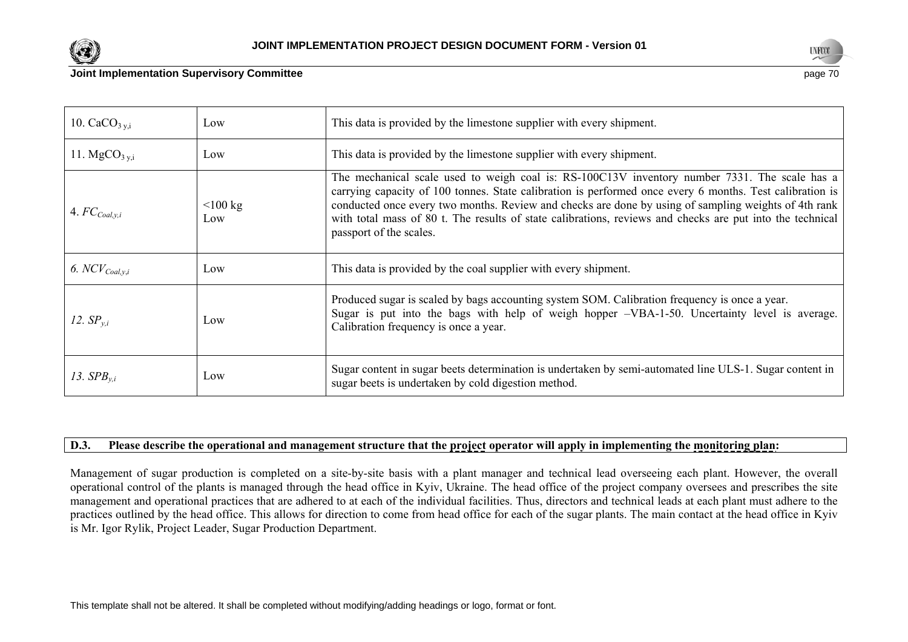



### **Joint Implementation Supervisory Committee page 70 and 20 and 20 and 20 and 20 and 20 and 20 and 20 and 20 and 20 and 20 and 20 and 20 and 20 and 20 and 20 and 20 and 20 and 20 and 20 and 20 and 20 and 20 and 20 and 20**

| 10. $CaCO3 y,i$           | Low               | This data is provided by the limestone supplier with every shipment.                                                                                                                                                                                                                                                                                                                                                                                      |
|---------------------------|-------------------|-----------------------------------------------------------------------------------------------------------------------------------------------------------------------------------------------------------------------------------------------------------------------------------------------------------------------------------------------------------------------------------------------------------------------------------------------------------|
| 11. $MgCO3 y,i$           | Low               | This data is provided by the limestone supplier with every shipment.                                                                                                                                                                                                                                                                                                                                                                                      |
| 4. $FC_{\text{Coal},y,i}$ | $<$ 100 kg<br>Low | The mechanical scale used to weigh coal is: RS-100C13V inventory number 7331. The scale has a<br>carrying capacity of 100 tonnes. State calibration is performed once every 6 months. Test calibration is<br>conducted once every two months. Review and checks are done by using of sampling weights of 4th rank<br>with total mass of 80 t. The results of state calibrations, reviews and checks are put into the technical<br>passport of the scales. |
| 6. $NCV_{Coal,y,i}$       | Low               | This data is provided by the coal supplier with every shipment.                                                                                                                                                                                                                                                                                                                                                                                           |
| 12. $SP_{v,i}$            | Low               | Produced sugar is scaled by bags accounting system SOM. Calibration frequency is once a year.<br>Sugar is put into the bags with help of weigh hopper -VBA-1-50. Uncertainty level is average.<br>Calibration frequency is once a year.                                                                                                                                                                                                                   |
| 13. $SPB_{v,i}$           | Low               | Sugar content in sugar beets determination is undertaken by semi-automated line ULS-1. Sugar content in<br>sugar beets is undertaken by cold digestion method.                                                                                                                                                                                                                                                                                            |

# **D.3. Please describe the operational and management structure that the project operator will apply in implementing the monitoring plan:**

Management of sugar production is completed on a site-by-site basis with a plant manager and technical lead overseeing each plant. However, the overall operational control of the plants is managed through the head office in Kyiv, Ukraine. The head office of the project company oversees and prescribes the site management and operational practices that are adhered to at each of the individual facilities. Thus, directors and technical leads at each plant must adhere to the practices outlined by the head office. This allows for direction to come from head office for each of the sugar plants. The main contact at the head office in Kyiv is Mr. Igor Rylik, Project Leader, Sugar Production Department.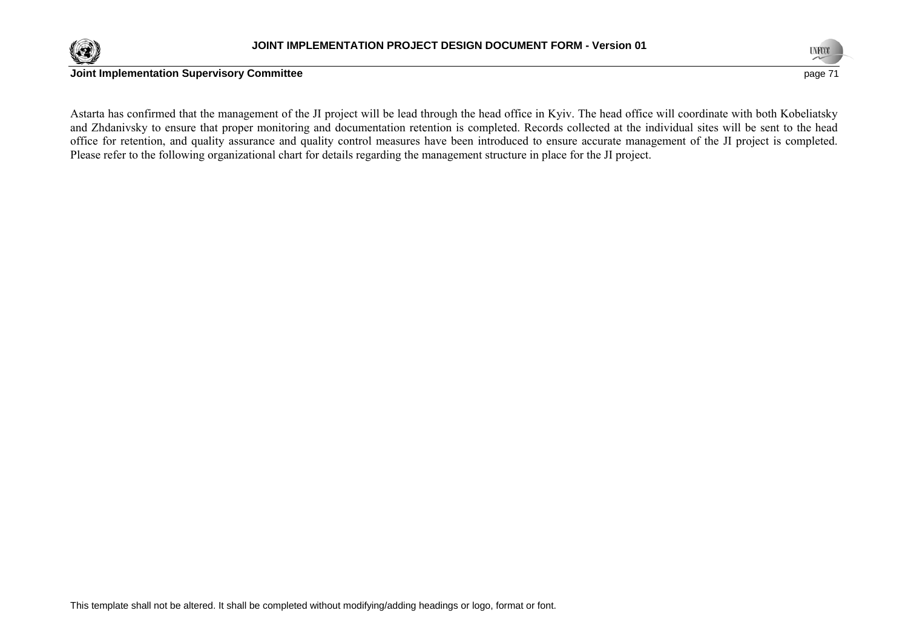



Astarta has confirmed that the management of the JI project will be lead through the head office in Kyiv. The head office will coordinate with both Kobeliatsky and Zhdanivsky to ensure that proper monitoring and documentation retention is completed. Records collected at the individual sites will be sent to the head office for retention, and quality assurance and quality control measures have been introduced to ensure accurate management of the JI project is completed. Please refer to the following organizational chart for details regarding the management structure in place for the JI project.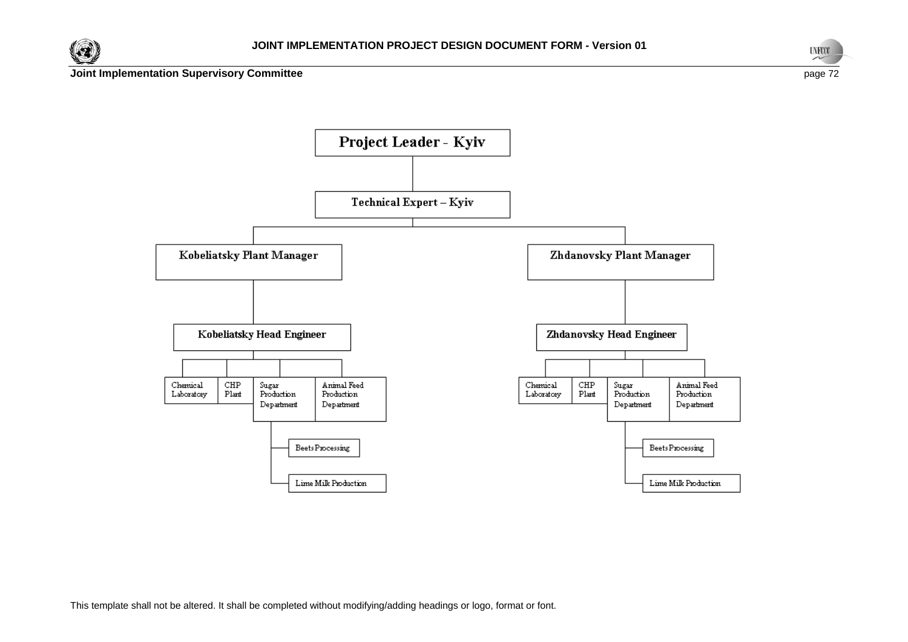





This template shall not be altered. It shall be completed without modifying/adding headings or logo, format or font.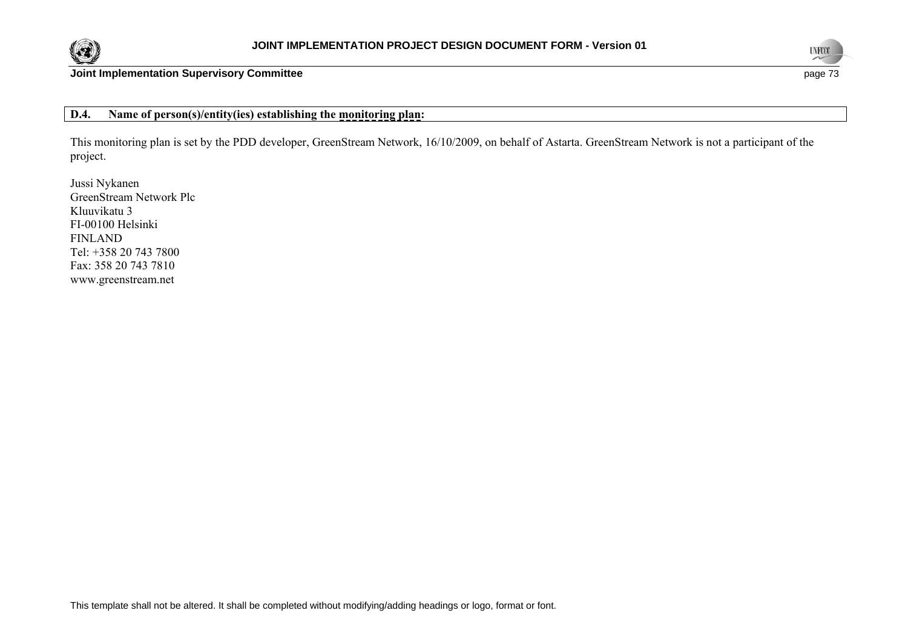



**Joint Implementation Supervisory Committee** page 73

### **D.4. Name of person(s)/entity(ies) establishing the monitoring plan:**

This monitoring plan is set by the PDD developer, GreenStream Network, 16/10/2009, on behalf of Astarta. GreenStream Network is not a participant of the project.

Jussi Nykanen GreenStream Network Plc Kluuvikatu 3 FI-00100 Helsinki FINLAND Tel: +358 20 743 7800 Fax: 358 20 743 7810 www.greenstream.net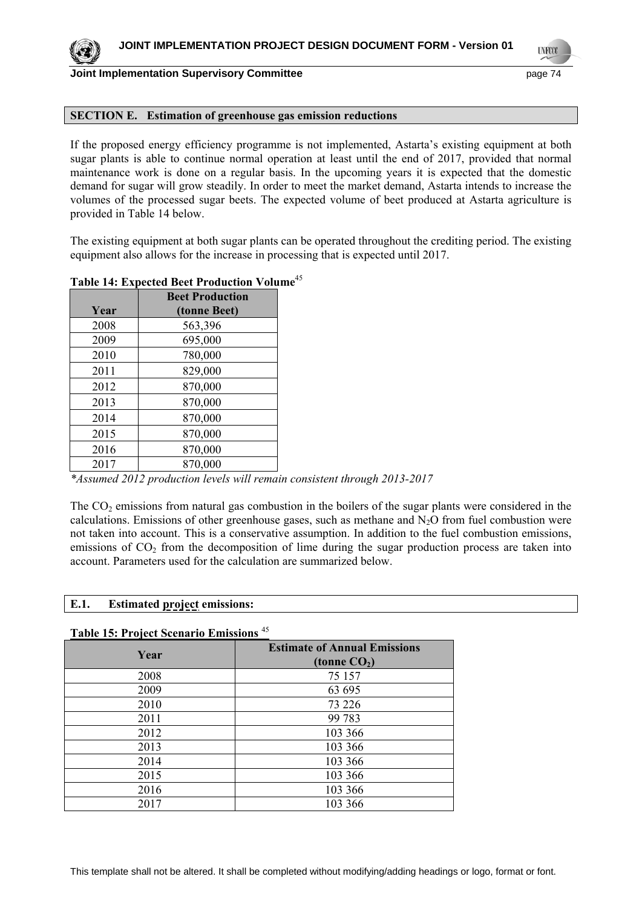

**Joint Implementation Supervisory Committee page 74** page 74

#### **SECTION E. Estimation of greenhouse gas emission reductions**

If the proposed energy efficiency programme is not implemented, Astarta's existing equipment at both sugar plants is able to continue normal operation at least until the end of 2017, provided that normal maintenance work is done on a regular basis. In the upcoming years it is expected that the domestic demand for sugar will grow steadily. In order to meet the market demand, Astarta intends to increase the volumes of the processed sugar beets. The expected volume of beet produced at Astarta agriculture is provided in Table 14 below.

The existing equipment at both sugar plants can be operated throughout the crediting period. The existing equipment also allows for the increase in processing that is expected until 2017.

|           | <b>Beet Production</b>                  |  |  |
|-----------|-----------------------------------------|--|--|
| Year      | (tonne Beet)                            |  |  |
| 2008      | 563,396                                 |  |  |
| 2009      | 695,000                                 |  |  |
| 2010      | 780,000                                 |  |  |
| 2011      | 829,000                                 |  |  |
| 2012      | 870,000                                 |  |  |
| 2013      | 870,000                                 |  |  |
| 2014      | 870,000                                 |  |  |
| 2015      | 870,000                                 |  |  |
| 2016      | 870,000                                 |  |  |
| 2017      | 870,000                                 |  |  |
| $*112012$ | $1 \cdot \cdot \cdot 1 \cdot 1 \cdot 1$ |  |  |

### **Table 14: Expected Beet Production Volume**<sup>45</sup>

*\*Assumed 2012 production levels will remain consistent through 2013-2017* 

The  $CO<sub>2</sub>$  emissions from natural gas combustion in the boilers of the sugar plants were considered in the calculations. Emissions of other greenhouse gases, such as methane and  $N<sub>2</sub>O$  from fuel combustion were not taken into account. This is a conservative assumption. In addition to the fuel combustion emissions, emissions of  $CO<sub>2</sub>$  from the decomposition of lime during the sugar production process are taken into account. Parameters used for the calculation are summarized below.

#### **E.1. Estimated project emissions:**

#### **Table 15: Project Scenario Emissions** <sup>45</sup>

| Year | <b>Estimate of Annual Emissions</b><br>(tonne $CO2$ ) |
|------|-------------------------------------------------------|
| 2008 | 75 157                                                |
| 2009 | 63 695                                                |
| 2010 | 73 226                                                |
| 2011 | 99 783                                                |
| 2012 | 103 366                                               |
| 2013 | 103 366                                               |
| 2014 | 103 366                                               |
| 2015 | 103 366                                               |
| 2016 | 103 366                                               |
| 2017 | 103 366                                               |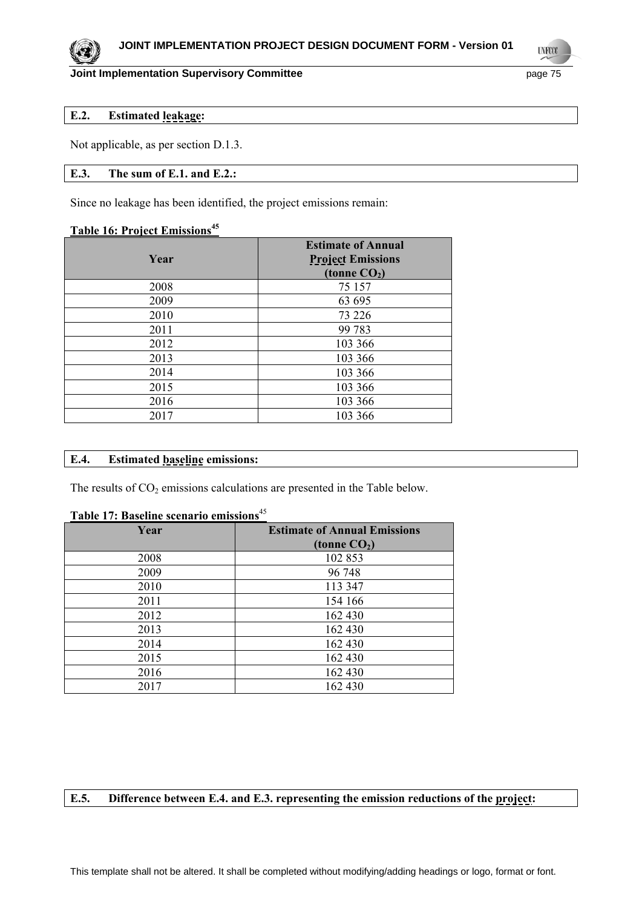### **JOINT IMPLEMENTATION PROJECT DESIGN DOCUMENT FORM - Version 01**

### **Joint Implementation Supervisory Committee** *page 75* **page 75**

**UNFCO** 

### **E.2. Estimated leakage:**

Not applicable, as per section D.1.3.

### **E.3. The sum of E.1. and E.2.:**

Since no leakage has been identified, the project emissions remain:

### **Table 16: Project Emissions<sup>45</sup>**

| Year | <b>Estimate of Annual</b><br><b>Project Emissions</b><br>(tonne $CO2$ ) |
|------|-------------------------------------------------------------------------|
| 2008 | 75 157                                                                  |
| 2009 | 63 695                                                                  |
| 2010 | 73 226                                                                  |
| 2011 | 99 783                                                                  |
| 2012 | 103 366                                                                 |
| 2013 | 103 366                                                                 |
| 2014 | 103 366                                                                 |
| 2015 | 103 366                                                                 |
| 2016 | 103 366                                                                 |
| 2017 | 103 366                                                                 |

### **E.4. Estimated baseline emissions:**

The results of  $CO<sub>2</sub>$  emissions calculations are presented in the Table below.

# **Table 17: Baseline scenario emissions**<sup>45</sup>

| Year | <b>Estimate of Annual Emissions</b><br>(tonne $CO2$ ) |  |  |
|------|-------------------------------------------------------|--|--|
| 2008 | 102 853                                               |  |  |
| 2009 | 96 748                                                |  |  |
| 2010 | 113 347                                               |  |  |
| 2011 | 154 166                                               |  |  |
| 2012 | 162 430                                               |  |  |
| 2013 | 162 430                                               |  |  |
| 2014 | 162 430                                               |  |  |
| 2015 | 162 430                                               |  |  |
| 2016 | 162 430                                               |  |  |
| 2017 | 162 430                                               |  |  |

### **E.5. Difference between E.4. and E.3. representing the emission reductions of the project:**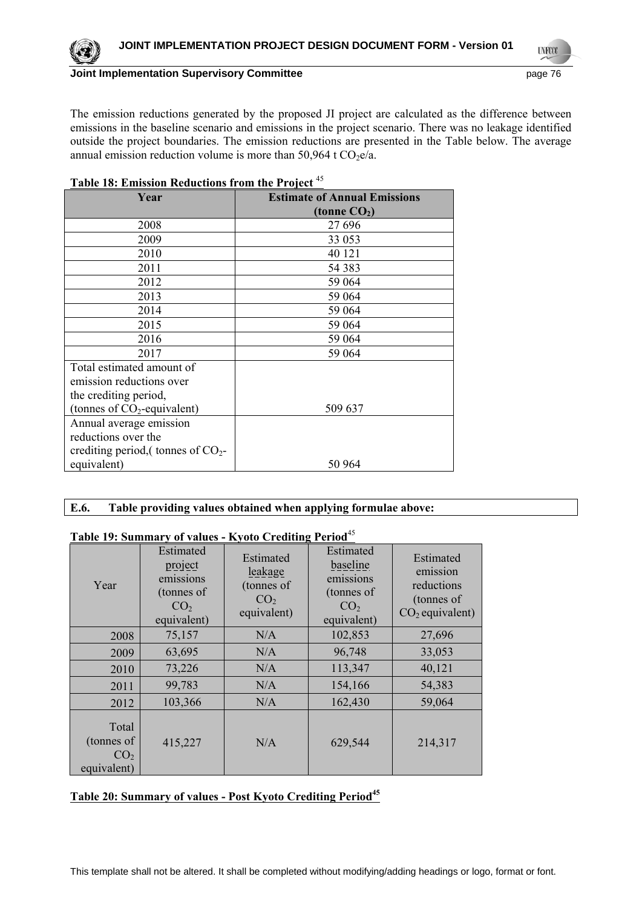**UNFCO** 

**Joint Implementation Supervisory Committee** *page 76* **page 76** 

The emission reductions generated by the proposed JI project are calculated as the difference between emissions in the baseline scenario and emissions in the project scenario. There was no leakage identified outside the project boundaries. The emission reductions are presented in the Table below. The average annual emission reduction volume is more than 50,964 t  $CO<sub>2</sub>e/a$ .

| <b>Table 18: Emission Reductions from the Project</b> <sup>45</sup> |                                     |  |  |  |
|---------------------------------------------------------------------|-------------------------------------|--|--|--|
| Year                                                                | <b>Estimate of Annual Emissions</b> |  |  |  |
|                                                                     | (tonne $CO2$ )                      |  |  |  |
| 2008                                                                | 27 69 6                             |  |  |  |
| 2009                                                                | 33 053                              |  |  |  |
| 2010                                                                | 40 121                              |  |  |  |
| 2011                                                                | 54 38 3                             |  |  |  |
| 2012                                                                | 59 064                              |  |  |  |
| 2013                                                                | 59 064                              |  |  |  |
| 2014                                                                | 59 064                              |  |  |  |
| 2015                                                                | 59 064                              |  |  |  |
| 2016                                                                | 59 064                              |  |  |  |
| 2017                                                                | 59 064                              |  |  |  |
| Total estimated amount of                                           |                                     |  |  |  |
| emission reductions over                                            |                                     |  |  |  |
| the crediting period,                                               |                                     |  |  |  |
| (tonnes of $CO_2$ -equivalent)                                      | 509 637                             |  |  |  |
| Annual average emission                                             |                                     |  |  |  |
| reductions over the                                                 |                                     |  |  |  |
| crediting period, (tonnes of $CO2$ -                                |                                     |  |  |  |
| equivalent)                                                         | 50 964                              |  |  |  |

### **E.6. Table providing values obtained when applying formulae above:**

### **Table 19: Summary of values - Kyoto Crediting Period**<sup>45</sup>

| Year                                                  | Estimated<br>project<br>emissions<br>(tonnes of<br>CO <sub>2</sub><br>equivalent) | Estimated<br>leakage<br>(tonnes of<br>CO <sub>2</sub><br>equivalent) | Estimated<br>baseline<br>emissions<br>(tonnes of<br>CO <sub>2</sub><br>equivalent) | Estimated<br>emission<br>reductions<br>(tonnes of<br>$CO2$ equivalent) |
|-------------------------------------------------------|-----------------------------------------------------------------------------------|----------------------------------------------------------------------|------------------------------------------------------------------------------------|------------------------------------------------------------------------|
| 2008                                                  | 75,157                                                                            | N/A                                                                  | 102,853                                                                            | 27,696                                                                 |
| 2009                                                  | 63,695                                                                            | N/A                                                                  | 96,748                                                                             | 33,053                                                                 |
| 2010                                                  | 73,226                                                                            | N/A                                                                  | 113,347                                                                            | 40,121                                                                 |
| 2011                                                  | 99,783                                                                            | N/A                                                                  | 154,166                                                                            | 54,383                                                                 |
| 2012                                                  | 103,366                                                                           | N/A                                                                  | 162,430                                                                            | 59,064                                                                 |
| Total<br>(tonnes of<br>CO <sub>2</sub><br>equivalent) | 415,227                                                                           | N/A                                                                  | 629,544                                                                            | 214,317                                                                |

### Table 20: Summary of values - Post Kyoto Crediting Period<sup>45</sup>

This template shall not be altered. It shall be completed without modifying/adding headings or logo, format or font.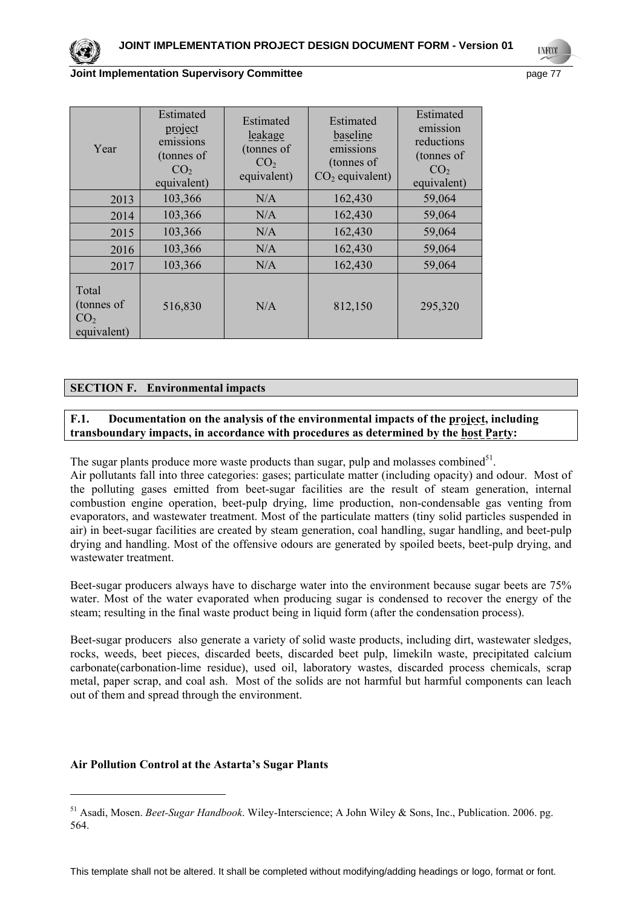

#### **Joint Implementation Supervisory Committee** *page 77*

| Year                                                  | Estimated<br>project<br>emissions<br>(tonnes of<br>CO <sub>2</sub><br>equivalent) | Estimated<br>leakage<br>(tonnes of<br>CO <sub>2</sub><br>equivalent) | Estimated<br>baseline<br>emissions<br>(tonnes of<br>$CO2$ equivalent) | Estimated<br>emission<br>reductions<br>(tonnes of<br>CO <sub>2</sub><br>equivalent) |
|-------------------------------------------------------|-----------------------------------------------------------------------------------|----------------------------------------------------------------------|-----------------------------------------------------------------------|-------------------------------------------------------------------------------------|
| 2013                                                  | 103,366                                                                           | N/A                                                                  | 162,430                                                               | 59,064                                                                              |
| 2014                                                  | 103,366                                                                           | N/A                                                                  | 162,430                                                               | 59,064                                                                              |
| 2015                                                  | 103,366                                                                           | N/A                                                                  | 162,430                                                               | 59,064                                                                              |
| 2016                                                  | 103,366                                                                           | N/A                                                                  | 162,430                                                               | 59,064                                                                              |
| 2017                                                  | 103,366                                                                           | N/A                                                                  | 162,430                                                               | 59,064                                                                              |
| Total<br>(tonnes of<br>CO <sub>2</sub><br>equivalent) | 516,830                                                                           | N/A                                                                  | 812,150                                                               | 295,320                                                                             |

### **SECTION F. Environmental impacts**

### **F.1. Documentation on the analysis of the environmental impacts of the project, including transboundary impacts, in accordance with procedures as determined by the host Party:**

The sugar plants produce more waste products than sugar, pulp and molasses combined $5^1$ .

Air pollutants fall into three categories: gases; particulate matter (including opacity) and odour. Most of the polluting gases emitted from beet-sugar facilities are the result of steam generation, internal combustion engine operation, beet-pulp drying, lime production, non-condensable gas venting from evaporators, and wastewater treatment. Most of the particulate matters (tiny solid particles suspended in air) in beet-sugar facilities are created by steam generation, coal handling, sugar handling, and beet-pulp drying and handling. Most of the offensive odours are generated by spoiled beets, beet-pulp drying, and wastewater treatment.

Beet-sugar producers always have to discharge water into the environment because sugar beets are 75% water. Most of the water evaporated when producing sugar is condensed to recover the energy of the steam; resulting in the final waste product being in liquid form (after the condensation process).

Beet-sugar producers also generate a variety of solid waste products, including dirt, wastewater sledges, rocks, weeds, beet pieces, discarded beets, discarded beet pulp, limekiln waste, precipitated calcium carbonate(carbonation-lime residue), used oil, laboratory wastes, discarded process chemicals, scrap metal, paper scrap, and coal ash. Most of the solids are not harmful but harmful components can leach out of them and spread through the environment.

### **Air Pollution Control at the Astarta's Sugar Plants**

1

<sup>51</sup> Asadi, Mosen. *Beet-Sugar Handbook*. Wiley-Interscience; A John Wiley & Sons, Inc., Publication. 2006. pg. 564.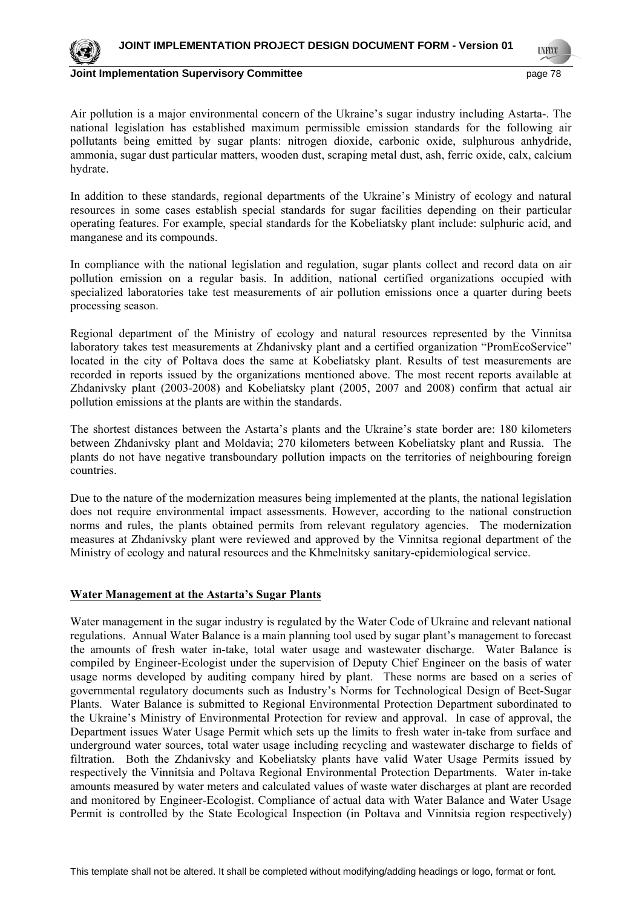

**LYFOO** 

**Joint Implementation Supervisory Committee** *page 18* **page 78** 

Air pollution is a major environmental concern of the Ukraine's sugar industry including Astarta-. The national legislation has established maximum permissible emission standards for the following air pollutants being emitted by sugar plants: nitrogen dioxide, carbonic oxide, sulphurous anhydride, ammonia, sugar dust particular matters, wooden dust, scraping metal dust, ash, ferric oxide, calx, calcium hydrate.

In addition to these standards, regional departments of the Ukraine's Ministry of ecology and natural resources in some cases establish special standards for sugar facilities depending on their particular operating features. For example, special standards for the Kobeliatsky plant include: sulphuric acid, and manganese and its compounds.

In compliance with the national legislation and regulation, sugar plants collect and record data on air pollution emission on a regular basis. In addition, national certified organizations occupied with specialized laboratories take test measurements of air pollution emissions once a quarter during beets processing season.

Regional department of the Ministry of ecology and natural resources represented by the Vinnitsa laboratory takes test measurements at Zhdanivsky plant and a certified organization "PromEcoService" located in the city of Poltava does the same at Kobeliatsky plant. Results of test measurements are recorded in reports issued by the organizations mentioned above. The most recent reports available at Zhdanivsky plant (2003-2008) and Kobeliatsky plant (2005, 2007 and 2008) confirm that actual air pollution emissions at the plants are within the standards.

The shortest distances between the Astarta's plants and the Ukraine's state border are: 180 kilometers between Zhdanivsky plant and Moldavia; 270 kilometers between Kobeliatsky plant and Russia. The plants do not have negative transboundary pollution impacts on the territories of neighbouring foreign countries.

Due to the nature of the modernization measures being implemented at the plants, the national legislation does not require environmental impact assessments. However, according to the national construction norms and rules, the plants obtained permits from relevant regulatory agencies. The modernization measures at Zhdanivsky plant were reviewed and approved by the Vinnitsa regional department of the Ministry of ecology and natural resources and the Khmelnitsky sanitary-epidemiological service.

### **Water Management at the Astarta's Sugar Plants**

Water management in the sugar industry is regulated by the Water Code of Ukraine and relevant national regulations. Annual Water Balance is a main planning tool used by sugar plant's management to forecast the amounts of fresh water in-take, total water usage and wastewater discharge. Water Balance is compiled by Engineer-Ecologist under the supervision of Deputy Chief Engineer on the basis of water usage norms developed by auditing company hired by plant. These norms are based on a series of governmental regulatory documents such as Industry's Norms for Technological Design of Beet-Sugar Plants. Water Balance is submitted to Regional Environmental Protection Department subordinated to the Ukraine's Ministry of Environmental Protection for review and approval. In case of approval, the Department issues Water Usage Permit which sets up the limits to fresh water in-take from surface and underground water sources, total water usage including recycling and wastewater discharge to fields of filtration. Both the Zhdanivsky and Kobeliatsky plants have valid Water Usage Permits issued by respectively the Vinnitsia and Poltava Regional Environmental Protection Departments. Water in-take amounts measured by water meters and calculated values of waste water discharges at plant are recorded and monitored by Engineer-Ecologist. Compliance of actual data with Water Balance and Water Usage Permit is controlled by the State Ecological Inspection (in Poltava and Vinnitsia region respectively)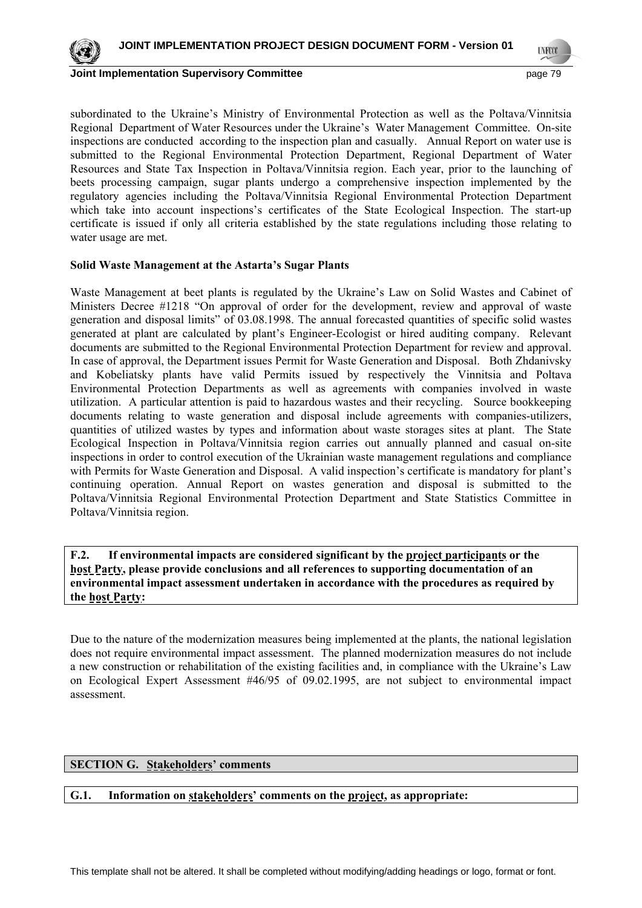

**Joint Implementation Supervisory Committee** *page 19* **page 79** 

subordinated to the Ukraine's Ministry of Environmental Protection as well as the Poltava/Vinnitsia Regional Department of Water Resources under the Ukraine's Water Management Committee. On-site inspections are conducted according to the inspection plan and casually. Annual Report on water use is submitted to the Regional Environmental Protection Department, Regional Department of Water Resources and State Tax Inspection in Poltava/Vinnitsia region. Each year, prior to the launching of beets processing campaign, sugar plants undergo a comprehensive inspection implemented by the regulatory agencies including the Poltava/Vinnitsia Regional Environmental Protection Department which take into account inspections's certificates of the State Ecological Inspection. The start-up certificate is issued if only all criteria established by the state regulations including those relating to water usage are met.

#### **Solid Waste Management at the Astarta's Sugar Plants**

Waste Management at beet plants is regulated by the Ukraine's Law on Solid Wastes and Cabinet of Ministers Decree #1218 "On approval of order for the development, review and approval of waste generation and disposal limits" of 03.08.1998. The annual forecasted quantities of specific solid wastes generated at plant are calculated by plant's Engineer-Ecologist or hired auditing company. Relevant documents are submitted to the Regional Environmental Protection Department for review and approval. In case of approval, the Department issues Permit for Waste Generation and Disposal. Both Zhdanivsky and Kobeliatsky plants have valid Permits issued by respectively the Vinnitsia and Poltava Environmental Protection Departments as well as agreements with companies involved in waste utilization. A particular attention is paid to hazardous wastes and their recycling. Source bookkeeping documents relating to waste generation and disposal include agreements with companies-utilizers, quantities of utilized wastes by types and information about waste storages sites at plant. The State Ecological Inspection in Poltava/Vinnitsia region carries out annually planned and casual on-site inspections in order to control execution of the Ukrainian waste management regulations and compliance with Permits for Waste Generation and Disposal. A valid inspection's certificate is mandatory for plant's continuing operation. Annual Report on wastes generation and disposal is submitted to the Poltava/Vinnitsia Regional Environmental Protection Department and State Statistics Committee in Poltava/Vinnitsia region.

**F.2. If environmental impacts are considered significant by the project participants or the host Party, please provide conclusions and all references to supporting documentation of an environmental impact assessment undertaken in accordance with the procedures as required by the host Party:** 

Due to the nature of the modernization measures being implemented at the plants, the national legislation does not require environmental impact assessment. The planned modernization measures do not include a new construction or rehabilitation of the existing facilities and, in compliance with the Ukraine's Law on Ecological Expert Assessment #46/95 of 09.02.1995, are not subject to environmental impact assessment.

### **SECTION G. Stakeholders' comments**

**G.1. Information on stakeholders' comments on the project, as appropriate:**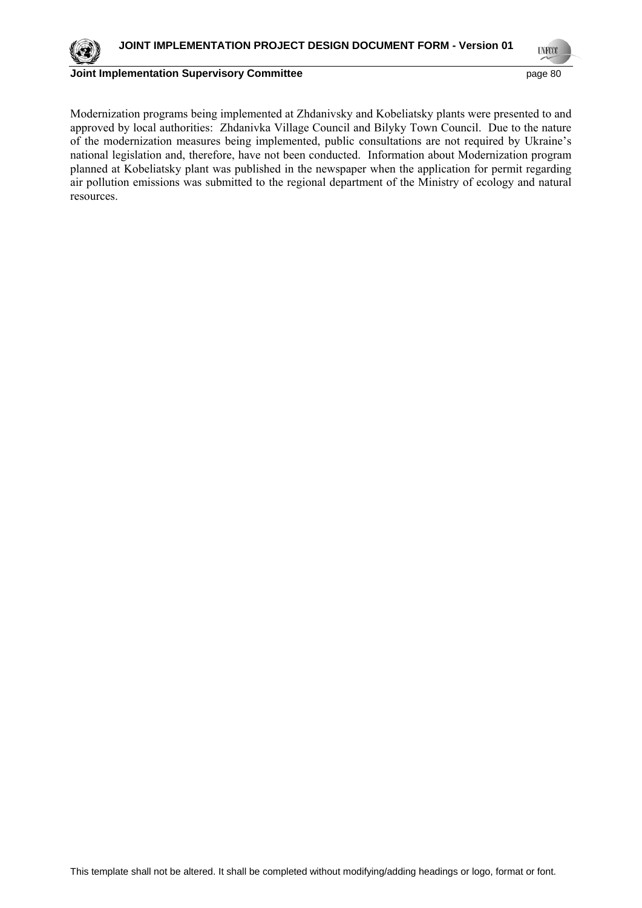

**Joint Implementation Supervisory Committee page 10** page 80

Modernization programs being implemented at Zhdanivsky and Kobeliatsky plants were presented to and approved by local authorities: Zhdanivka Village Council and Bilyky Town Council. Due to the nature of the modernization measures being implemented, public consultations are not required by Ukraine's national legislation and, therefore, have not been conducted. Information about Modernization program planned at Kobeliatsky plant was published in the newspaper when the application for permit regarding air pollution emissions was submitted to the regional department of the Ministry of ecology and natural resources.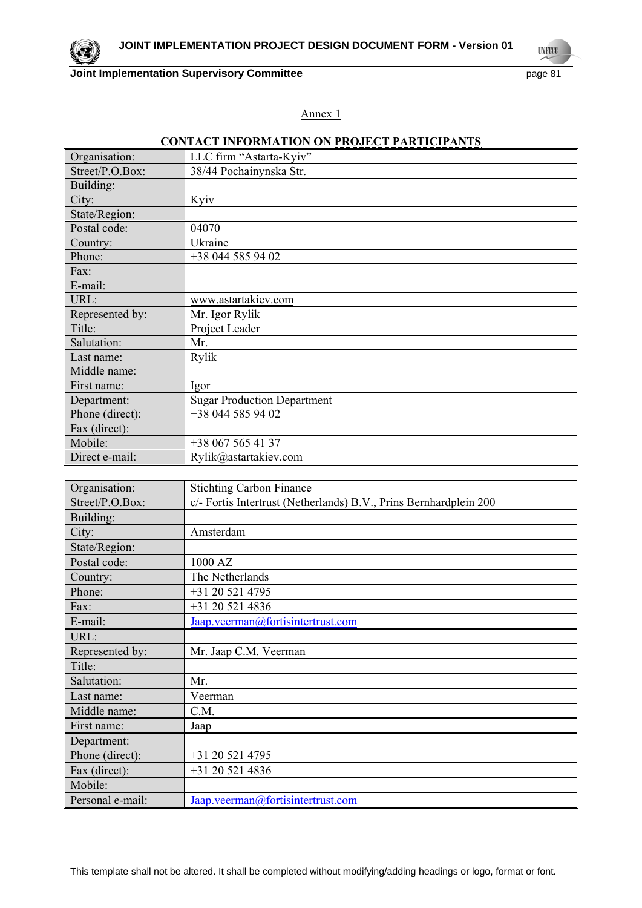**Joint Implementation Supervisory Committee Access 21 page 81** page 81

**UNFOOT** 

Annex 1

# **CONTACT INFORMATION ON PROJECT PARTICIPANTS**

| Organisation:   | LLC firm "Astarta-Kyiv"            |
|-----------------|------------------------------------|
| Street/P.O.Box: | 38/44 Pochainynska Str.            |
| Building:       |                                    |
| City:           | Kyiv                               |
| State/Region:   |                                    |
| Postal code:    | 04070                              |
| Country:        | Ukraine                            |
| Phone:          | +38 044 585 94 02                  |
| Fax:            |                                    |
| E-mail:         |                                    |
| URL:            | www.astartakiev.com                |
| Represented by: | Mr. Igor Rylik                     |
| Title:          | Project Leader                     |
| Salutation:     | Mr.                                |
| Last name:      | Rylik                              |
| Middle name:    |                                    |
| First name:     | Igor                               |
| Department:     | <b>Sugar Production Department</b> |
| Phone (direct): | +38 044 585 94 02                  |
| Fax (direct):   |                                    |
| Mobile:         | +38 067 565 41 37                  |
| Direct e-mail:  | Rylik@astartakiev.com              |

| Organisation:    | <b>Stichting Carbon Finance</b>                                   |
|------------------|-------------------------------------------------------------------|
| Street/P.O.Box:  | c/- Fortis Intertrust (Netherlands) B.V., Prins Bernhardplein 200 |
| Building:        |                                                                   |
| City:            | Amsterdam                                                         |
| State/Region:    |                                                                   |
| Postal code:     | 1000 AZ                                                           |
| Country:         | The Netherlands                                                   |
| Phone:           | +31 20 521 4795                                                   |
| Fax:             | +31 20 521 4836                                                   |
| E-mail:          | Jaap.veerman@fortisintertrust.com                                 |
| URL:             |                                                                   |
| Represented by:  | Mr. Jaap C.M. Veerman                                             |
| Title:           |                                                                   |
| Salutation:      | Mr.                                                               |
| Last name:       | Veerman                                                           |
| Middle name:     | C.M.                                                              |
| First name:      | Jaap                                                              |
| Department:      |                                                                   |
| Phone (direct):  | +31 20 521 4795                                                   |
| Fax (direct):    | +31 20 521 4836                                                   |
| Mobile:          |                                                                   |
| Personal e-mail: | Jaap.veerman@fortisintertrust.com                                 |